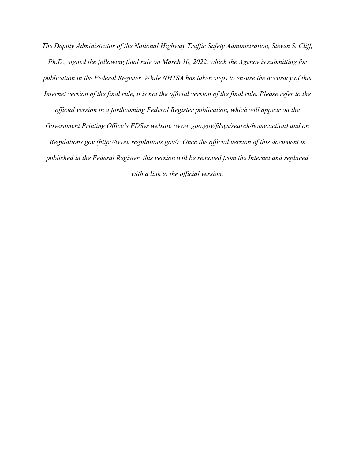*The Deputy Administrator of the National Highway Traffic Safety Administration, Steven S. Cliff, Ph.D., signed the following final rule on March 10, 2022, which the Agency is submitting for publication in the Federal Register. While NHTSA has taken steps to ensure the accuracy of this Internet version of the final rule, it is not the official version of the final rule. Please refer to the official version in a forthcoming Federal Register publication, which will appear on the* 

*Government Printing Office's FDSys website (www.gpo.gov/fdsys/search/home.action) and on Regulations.gov (http://www.regulations.gov/). Once the official version of this document is published in the Federal Register, this version will be removed from the Internet and replaced with a link to the official version.*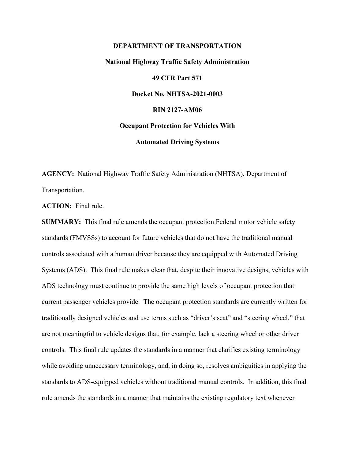# **DEPARTMENT OF TRANSPORTATION National Highway Traffic Safety Administration 49 CFR Part 571 Docket No. NHTSA-2021-0003 RIN 2127-AM06 Occupant Protection for Vehicles With Automated Driving Systems**

**AGENCY:** National Highway Traffic Safety Administration (NHTSA), Department of Transportation.

**ACTION:** Final rule.

**SUMMARY:** This final rule amends the occupant protection Federal motor vehicle safety standards (FMVSSs) to account for future vehicles that do not have the traditional manual controls associated with a human driver because they are equipped with Automated Driving Systems (ADS). This final rule makes clear that, despite their innovative designs, vehicles with ADS technology must continue to provide the same high levels of occupant protection that current passenger vehicles provide. The occupant protection standards are currently written for traditionally designed vehicles and use terms such as "driver's seat" and "steering wheel," that are not meaningful to vehicle designs that, for example, lack a steering wheel or other driver controls. This final rule updates the standards in a manner that clarifies existing terminology while avoiding unnecessary terminology, and, in doing so, resolves ambiguities in applying the standards to ADS-equipped vehicles without traditional manual controls. In addition, this final rule amends the standards in a manner that maintains the existing regulatory text whenever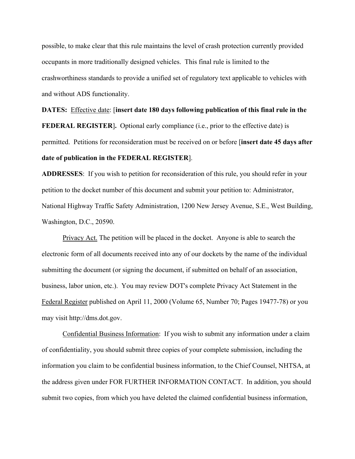possible, to make clear that this rule maintains the level of crash protection currently provided occupants in more traditionally designed vehicles. This final rule is limited to the crashworthiness standards to provide a unified set of regulatory text applicable to vehicles with and without ADS functionality.

**DATES:** Effective date: [**insert date 180 days following publication of this final rule in the FEDERAL REGISTER**]. Optional early compliance (i.e., prior to the effective date) is permitted. Petitions for reconsideration must be received on or before [**insert date 45 days after date of publication in the FEDERAL REGISTER**].

**ADDRESSES**: If you wish to petition for reconsideration of this rule, you should refer in your petition to the docket number of this document and submit your petition to: Administrator, National Highway Traffic Safety Administration, 1200 New Jersey Avenue, S.E., West Building, Washington, D.C., 20590.

 Privacy Act. The petition will be placed in the docket. Anyone is able to search the electronic form of all documents received into any of our dockets by the name of the individual submitting the document (or signing the document, if submitted on behalf of an association, business, labor union, etc.). You may review DOT's complete Privacy Act Statement in the Federal Register published on April 11, 2000 (Volume 65, Number 70; Pages 19477-78) or you may visit http://dms.dot.gov.

Confidential Business Information: If you wish to submit any information under a claim of confidentiality, you should submit three copies of your complete submission, including the information you claim to be confidential business information, to the Chief Counsel, NHTSA, at the address given under FOR FURTHER INFORMATION CONTACT. In addition, you should submit two copies, from which you have deleted the claimed confidential business information,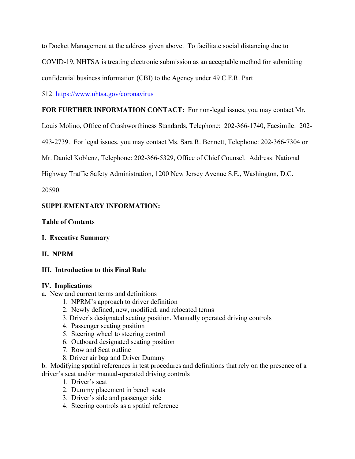to Docket Management at the address given above. To facilitate social distancing due to

COVID-19, NHTSA is treating electronic submission as an acceptable method for submitting

confidential business information (CBI) to the Agency under 49 C.F.R. Part

512. https://www.nhtsa.gov/coronavirus

# **FOR FURTHER INFORMATION CONTACT:** For non-legal issues, you may contact Mr.

Louis Molino, Office of Crashworthiness Standards, Telephone: 202-366-1740, Facsimile: 202-

493-2739. For legal issues, you may contact Ms. Sara R. Bennett, Telephone: 202-366-7304 or

Mr. Daniel Koblenz, Telephone: 202-366-5329, Office of Chief Counsel. Address: National

Highway Traffic Safety Administration, 1200 New Jersey Avenue S.E., Washington, D.C.

20590.

# **SUPPLEMENTARY INFORMATION:**

# **Table of Contents**

# **I. Executive Summary**

# **II. NPRM**

# **III. Introduction to this Final Rule**

# **IV. Implications**

- a. New and current terms and definitions
	- 1. NPRM's approach to driver definition
	- 2. Newly defined, new, modified, and relocated terms
	- 3. Driver's designated seating position, Manually operated driving controls
	- 4. Passenger seating position
	- 5. Steering wheel to steering control
	- 6. Outboard designated seating position
	- 7. Row and Seat outline
	- 8. Driver air bag and Driver Dummy

b. Modifying spatial references in test procedures and definitions that rely on the presence of a driver's seat and/or manual-operated driving controls

- 1. Driver's seat
- 2. Dummy placement in bench seats
- 3. Driver's side and passenger side
- 4. Steering controls as a spatial reference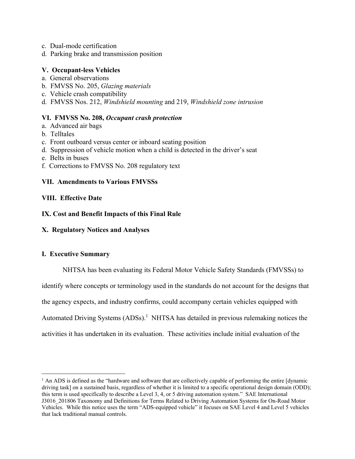- c. Dual-mode certification
- d. Parking brake and transmission position

# **V. Occupant-less Vehicles**

- a. General observations
- b. FMVSS No. 205, *Glazing materials*
- c. Vehicle crash compatibility
- d. FMVSS Nos. 212, *Windshield mounting* and 219, *Windshield zone intrusion*

# **VI. FMVSS No. 208,** *Occupant crash protection*

- a. Advanced air bags
- b. Telltales
- c. Front outboard versus center or inboard seating position
- d. Suppression of vehicle motion when a child is detected in the driver's seat
- e. Belts in buses
- f. Corrections to FMVSS No. 208 regulatory text

# **VII. Amendments to Various FMVSSs**

# **VIII. Effective Date**

# **IX. Cost and Benefit Impacts of this Final Rule**

**X. Regulatory Notices and Analyses** 

# **I. Executive Summary**

 NHTSA has been evaluating its Federal Motor Vehicle Safety Standards (FMVSSs) to identify where concepts or terminology used in the standards do not account for the designs that the agency expects, and industry confirms, could accompany certain vehicles equipped with Automated Driving Systems  $(ADSs)^1$  NHTSA has detailed in previous rulemaking notices the activities it has undertaken in its evaluation. These activities include initial evaluation of the

<sup>&</sup>lt;sup>1</sup> An ADS is defined as the "hardware and software that are collectively capable of performing the entire [dynamic driving task] on a sustained basis, regardless of whether it is limited to a specific operational design domain (ODD); this term is used specifically to describe a Level 3, 4, or 5 driving automation system." SAE International J3016\_201806 Taxonomy and Definitions for Terms Related to Driving Automation Systems for On-Road Motor Vehicles. While this notice uses the term "ADS-equipped vehicle" it focuses on SAE Level 4 and Level 5 vehicles that lack traditional manual controls.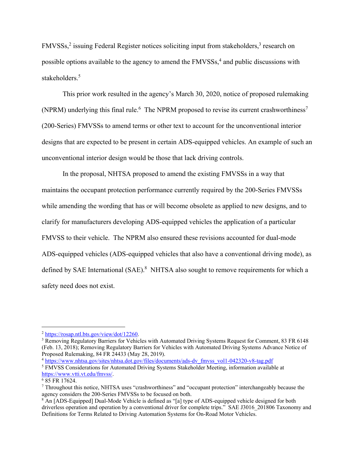FMVSSs,<sup>2</sup> issuing Federal Register notices soliciting input from stakeholders,<sup>3</sup> research on possible options available to the agency to amend the FMVSSs,<sup>4</sup> and public discussions with stakeholders.<sup>5</sup>

 This prior work resulted in the agency's March 30, 2020, notice of proposed rulemaking (NPRM) underlying this final rule.<sup>6</sup> The NPRM proposed to revise its current crashworthiness<sup>7</sup> (200-Series) FMVSSs to amend terms or other text to account for the unconventional interior designs that are expected to be present in certain ADS-equipped vehicles. An example of such an unconventional interior design would be those that lack driving controls.

 In the proposal, NHTSA proposed to amend the existing FMVSSs in a way that maintains the occupant protection performance currently required by the 200-Series FMVSSs while amending the wording that has or will become obsolete as applied to new designs, and to clarify for manufacturers developing ADS-equipped vehicles the application of a particular FMVSS to their vehicle. The NPRM also ensured these revisions accounted for dual-mode ADS-equipped vehicles (ADS-equipped vehicles that also have a conventional driving mode), as defined by SAE International (SAE).<sup>8</sup> NHTSA also sought to remove requirements for which a safety need does not exist.

<sup>4</sup> https://www.nhtsa.gov/sites/nhtsa.dot.gov/files/documents/ads-dv\_fmvss\_vol1-042320-v8-tag.pdf

<sup>2</sup> https://rosap.ntl.bts.gov/view/dot/12260. 3

<sup>&</sup>lt;sup>3</sup> Removing Regulatory Barriers for Vehicles with Automated Driving Systems Request for Comment, 83 FR 6148 (Feb. 13, 2018); Removing Regulatory Barriers for Vehicles with Automated Driving Systems Advance Notice of Proposed Rulemaking, 84 FR 24433 (May 28, 2019).

<sup>&</sup>lt;sup>5</sup> FMVSS Considerations for Automated Driving Systems Stakeholder Meeting, information available at https://www.vtti.vt.edu/fmvss/. 6

 $685$  FR 17624.

<sup>&</sup>lt;sup>7</sup> Throughout this notice, NHTSA uses "crashworthiness" and "occupant protection" interchangeably because the agency considers the 200-Series FMVSSs to be focused on both.

<sup>&</sup>lt;sup>8</sup> An [ADS-Equipped] Dual-Mode Vehicle is defined as "[a] type of ADS-equipped vehicle designed for both driverless operation and operation by a conventional driver for complete trips." SAE J3016 201806 Taxonomy and Definitions for Terms Related to Driving Automation Systems for On-Road Motor Vehicles.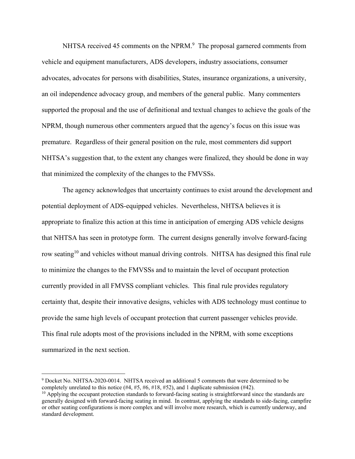NHTSA received 45 comments on the NPRM.<sup>9</sup> The proposal garnered comments from vehicle and equipment manufacturers, ADS developers, industry associations, consumer advocates, advocates for persons with disabilities, States, insurance organizations, a university, an oil independence advocacy group, and members of the general public. Many commenters supported the proposal and the use of definitional and textual changes to achieve the goals of the NPRM, though numerous other commenters argued that the agency's focus on this issue was premature. Regardless of their general position on the rule, most commenters did support NHTSA's suggestion that, to the extent any changes were finalized, they should be done in way that minimized the complexity of the changes to the FMVSSs.

 The agency acknowledges that uncertainty continues to exist around the development and potential deployment of ADS-equipped vehicles. Nevertheless, NHTSA believes it is appropriate to finalize this action at this time in anticipation of emerging ADS vehicle designs that NHTSA has seen in prototype form. The current designs generally involve forward-facing row seating<sup>10</sup> and vehicles without manual driving controls. NHTSA has designed this final rule to minimize the changes to the FMVSSs and to maintain the level of occupant protection currently provided in all FMVSS compliant vehicles. This final rule provides regulatory certainty that, despite their innovative designs, vehicles with ADS technology must continue to provide the same high levels of occupant protection that current passenger vehicles provide. This final rule adopts most of the provisions included in the NPRM, with some exceptions summarized in the next section.

<sup>&</sup>lt;sup>9</sup> Docket No. NHTSA-2020-0014. NHTSA received an additional 5 comments that were determined to be completely unrelated to this notice (#4, #5, #6, #18, #52), and 1 duplicate submission (#42).

 $10$  Applying the occupant protection standards to forward-facing seating is straightforward since the standards are generally designed with forward-facing seating in mind. In contrast, applying the standards to side-facing, campfire or other seating configurations is more complex and will involve more research, which is currently underway, and standard development.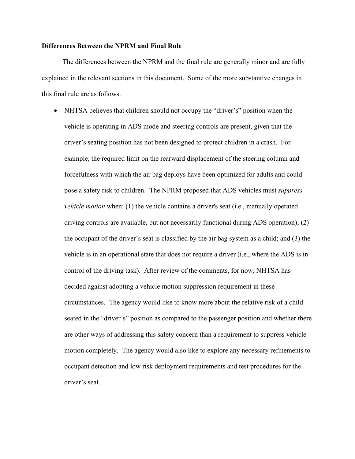#### **Differences Between the NPRM and Final Rule**

 The differences between the NPRM and the final rule are generally minor and are fully explained in the relevant sections in this document. Some of the more substantive changes in this final rule are as follows.

• NHTSA believes that children should not occupy the "driver's" position when the vehicle is operating in ADS mode and steering controls are present, given that the driver's seating position has not been designed to protect children in a crash. For example, the required limit on the rearward displacement of the steering column and forcefulness with which the air bag deploys have been optimized for adults and could pose a safety risk to children. The NPRM proposed that ADS vehicles must *suppress vehicle motion* when: (1) the vehicle contains a driver's seat (i.e., manually operated driving controls are available, but not necessarily functional during ADS operation); (2) the occupant of the driver's seat is classified by the air bag system as a child; and (3) the vehicle is in an operational state that does not require a driver (i.e., where the ADS is in control of the driving task). After review of the comments, for now, NHTSA has decided against adopting a vehicle motion suppression requirement in these circumstances. The agency would like to know more about the relative risk of a child seated in the "driver's" position as compared to the passenger position and whether there are other ways of addressing this safety concern than a requirement to suppress vehicle motion completely. The agency would also like to explore any necessary refinements to occupant detection and low risk deployment requirements and test procedures for the driver's seat.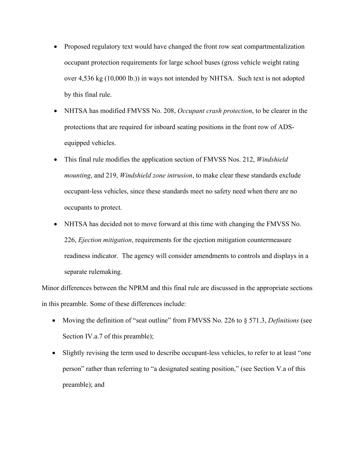- Proposed regulatory text would have changed the front row seat compartmentalization occupant protection requirements for large school buses (gross vehicle weight rating over 4,536 kg (10,000 lb.)) in ways not intended by NHTSA. Such text is not adopted by this final rule.
- NHTSA has modified FMVSS No. 208, *Occupant crash protection*, to be clearer in the protections that are required for inboard seating positions in the front row of ADSequipped vehicles.
- This final rule modifies the application section of FMVSS Nos. 212, *Windshield mounting*, and 219, *Windshield zone intrusion*, to make clear these standards exclude occupant-less vehicles, since these standards meet no safety need when there are no occupants to protect.
- NHTSA has decided not to move forward at this time with changing the FMVSS No. 226, *Ejection mitigation*, requirements for the ejection mitigation countermeasure readiness indicator. The agency will consider amendments to controls and displays in a separate rulemaking.

Minor differences between the NPRM and this final rule are discussed in the appropriate sections in this preamble. Some of these differences include:

- Moving the definition of "seat outline" from FMVSS No. 226 to § 571.3, *Definitions* (see Section IV.a.7 of this preamble);
- Slightly revising the term used to describe occupant-less vehicles, to refer to at least "one" person" rather than referring to "a designated seating position," (see Section V.a of this preamble); and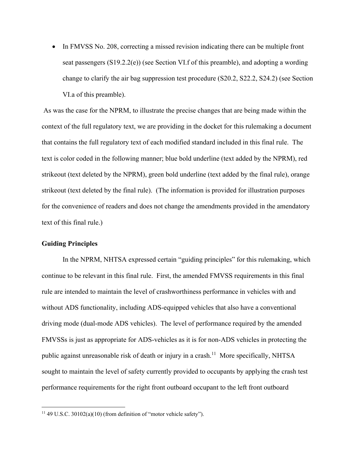• In FMVSS No. 208, correcting a missed revision indicating there can be multiple front seat passengers (S19.2.2(e)) (see Section VI.f of this preamble), and adopting a wording change to clarify the air bag suppression test procedure (S20.2, S22.2, S24.2) (see Section VI.a of this preamble).

 As was the case for the NPRM, to illustrate the precise changes that are being made within the context of the full regulatory text, we are providing in the docket for this rulemaking a document that contains the full regulatory text of each modified standard included in this final rule. The text is color coded in the following manner; blue bold underline (text added by the NPRM), red strikeout (text deleted by the NPRM), green bold underline (text added by the final rule), orange strikeout (text deleted by the final rule). (The information is provided for illustration purposes for the convenience of readers and does not change the amendments provided in the amendatory text of this final rule.)

#### **Guiding Principles**

 In the NPRM, NHTSA expressed certain "guiding principles" for this rulemaking, which continue to be relevant in this final rule. First, the amended FMVSS requirements in this final rule are intended to maintain the level of crashworthiness performance in vehicles with and without ADS functionality, including ADS-equipped vehicles that also have a conventional driving mode (dual-mode ADS vehicles). The level of performance required by the amended FMVSSs is just as appropriate for ADS-vehicles as it is for non-ADS vehicles in protecting the public against unreasonable risk of death or injury in a crash.<sup>11</sup> More specifically, NHTSA sought to maintain the level of safety currently provided to occupants by applying the crash test performance requirements for the right front outboard occupant to the left front outboard

 $11$  49 U.S.C. 30102(a)(10) (from definition of "motor vehicle safety").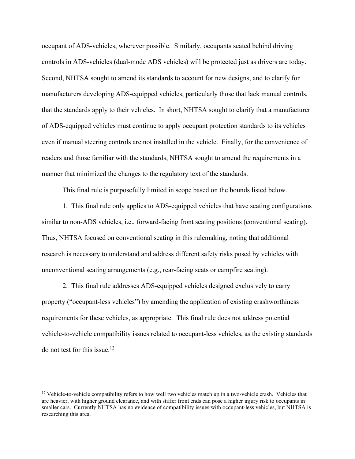occupant of ADS-vehicles, wherever possible. Similarly, occupants seated behind driving controls in ADS-vehicles (dual-mode ADS vehicles) will be protected just as drivers are today. Second, NHTSA sought to amend its standards to account for new designs, and to clarify for manufacturers developing ADS-equipped vehicles, particularly those that lack manual controls, that the standards apply to their vehicles. In short, NHTSA sought to clarify that a manufacturer of ADS-equipped vehicles must continue to apply occupant protection standards to its vehicles even if manual steering controls are not installed in the vehicle. Finally, for the convenience of readers and those familiar with the standards, NHTSA sought to amend the requirements in a manner that minimized the changes to the regulatory text of the standards.

This final rule is purposefully limited in scope based on the bounds listed below.

 1. This final rule only applies to ADS-equipped vehicles that have seating configurations similar to non-ADS vehicles, i.e., forward-facing front seating positions (conventional seating). Thus, NHTSA focused on conventional seating in this rulemaking, noting that additional research is necessary to understand and address different safety risks posed by vehicles with unconventional seating arrangements (e.g., rear-facing seats or campfire seating).

 2. This final rule addresses ADS-equipped vehicles designed exclusively to carry property ("occupant-less vehicles") by amending the application of existing crashworthiness requirements for these vehicles, as appropriate. This final rule does not address potential vehicle-to-vehicle compatibility issues related to occupant-less vehicles, as the existing standards do not test for this issue.<sup>12</sup>

<sup>&</sup>lt;sup>12</sup> Vehicle-to-vehicle compatibility refers to how well two vehicles match up in a two-vehicle crash. Vehicles that are heavier, with higher ground clearance, and with stiffer front ends can pose a higher injury risk to occupants in smaller cars. Currently NHTSA has no evidence of compatibility issues with occupant-less vehicles, but NHTSA is researching this area.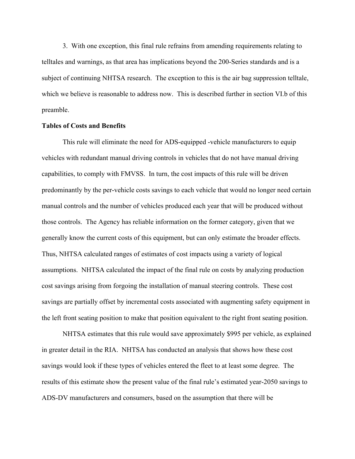3. With one exception, this final rule refrains from amending requirements relating to telltales and warnings, as that area has implications beyond the 200-Series standards and is a subject of continuing NHTSA research. The exception to this is the air bag suppression telltale, which we believe is reasonable to address now. This is described further in section VI.b of this preamble.

#### **Tables of Costs and Benefits**

This rule will eliminate the need for ADS-equipped -vehicle manufacturers to equip vehicles with redundant manual driving controls in vehicles that do not have manual driving capabilities, to comply with FMVSS. In turn, the cost impacts of this rule will be driven predominantly by the per-vehicle costs savings to each vehicle that would no longer need certain manual controls and the number of vehicles produced each year that will be produced without those controls. The Agency has reliable information on the former category, given that we generally know the current costs of this equipment, but can only estimate the broader effects. Thus, NHTSA calculated ranges of estimates of cost impacts using a variety of logical assumptions. NHTSA calculated the impact of the final rule on costs by analyzing production cost savings arising from forgoing the installation of manual steering controls. These cost savings are partially offset by incremental costs associated with augmenting safety equipment in the left front seating position to make that position equivalent to the right front seating position.

NHTSA estimates that this rule would save approximately \$995 per vehicle, as explained in greater detail in the RIA. NHTSA has conducted an analysis that shows how these cost savings would look if these types of vehicles entered the fleet to at least some degree. The results of this estimate show the present value of the final rule's estimated year-2050 savings to ADS-DV manufacturers and consumers, based on the assumption that there will be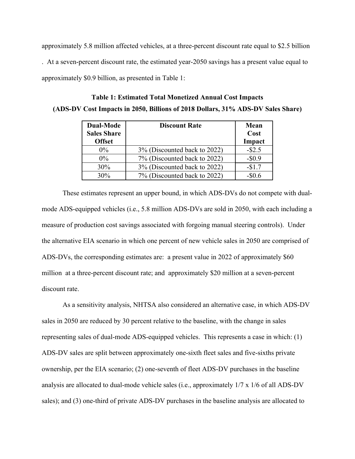approximately 5.8 million affected vehicles, at a three-percent discount rate equal to \$2.5 billion . At a seven-percent discount rate, the estimated year-2050 savings has a present value equal to approximately \$0.9 billion, as presented in Table 1:

| <b>Dual-Mode</b><br><b>Sales Share</b><br><b>Offset</b> | <b>Discount Rate</b>         | Mean<br>Cost<br>Impact |
|---------------------------------------------------------|------------------------------|------------------------|
| $0\%$                                                   | 3% (Discounted back to 2022) | $-$ \$2.5              |
| $0\%$                                                   | 7% (Discounted back to 2022) | $-$ \$0.9              |
| 30%                                                     | 3% (Discounted back to 2022) | $-$1.7$                |
| 30%                                                     | 7% (Discounted back to 2022) |                        |

**Table 1: Estimated Total Monetized Annual Cost Impacts (ADS-DV Cost Impacts in 2050, Billions of 2018 Dollars, 31% ADS-DV Sales Share)** 

These estimates represent an upper bound, in which ADS-DVs do not compete with dualmode ADS-equipped vehicles (i.e., 5.8 million ADS-DVs are sold in 2050, with each including a measure of production cost savings associated with forgoing manual steering controls). Under the alternative EIA scenario in which one percent of new vehicle sales in 2050 are comprised of ADS-DVs, the corresponding estimates are: a present value in 2022 of approximately \$60 million at a three-percent discount rate; and approximately \$20 million at a seven-percent discount rate.

As a sensitivity analysis, NHTSA also considered an alternative case, in which ADS-DV sales in 2050 are reduced by 30 percent relative to the baseline, with the change in sales representing sales of dual-mode ADS-equipped vehicles. This represents a case in which: (1) ADS-DV sales are split between approximately one-sixth fleet sales and five-sixths private ownership, per the EIA scenario; (2) one-seventh of fleet ADS-DV purchases in the baseline analysis are allocated to dual-mode vehicle sales (i.e., approximately 1/7 x 1/6 of all ADS-DV sales); and (3) one-third of private ADS-DV purchases in the baseline analysis are allocated to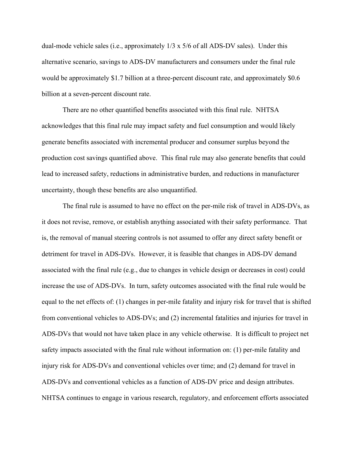dual-mode vehicle sales (i.e., approximately 1/3 x 5/6 of all ADS-DV sales). Under this alternative scenario, savings to ADS-DV manufacturers and consumers under the final rule would be approximately \$1.7 billion at a three-percent discount rate, and approximately \$0.6 billion at a seven-percent discount rate.

There are no other quantified benefits associated with this final rule. NHTSA acknowledges that this final rule may impact safety and fuel consumption and would likely generate benefits associated with incremental producer and consumer surplus beyond the production cost savings quantified above. This final rule may also generate benefits that could lead to increased safety, reductions in administrative burden, and reductions in manufacturer uncertainty, though these benefits are also unquantified.

The final rule is assumed to have no effect on the per-mile risk of travel in ADS-DVs, as it does not revise, remove, or establish anything associated with their safety performance. That is, the removal of manual steering controls is not assumed to offer any direct safety benefit or detriment for travel in ADS-DVs. However, it is feasible that changes in ADS-DV demand associated with the final rule (e.g., due to changes in vehicle design or decreases in cost) could increase the use of ADS-DVs. In turn, safety outcomes associated with the final rule would be equal to the net effects of: (1) changes in per-mile fatality and injury risk for travel that is shifted from conventional vehicles to ADS-DVs; and (2) incremental fatalities and injuries for travel in ADS-DVs that would not have taken place in any vehicle otherwise. It is difficult to project net safety impacts associated with the final rule without information on: (1) per-mile fatality and injury risk for ADS-DVs and conventional vehicles over time; and (2) demand for travel in ADS-DVs and conventional vehicles as a function of ADS-DV price and design attributes. NHTSA continues to engage in various research, regulatory, and enforcement efforts associated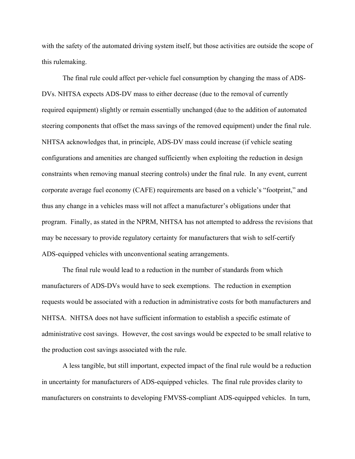with the safety of the automated driving system itself, but those activities are outside the scope of this rulemaking.

The final rule could affect per-vehicle fuel consumption by changing the mass of ADS-DVs. NHTSA expects ADS-DV mass to either decrease (due to the removal of currently required equipment) slightly or remain essentially unchanged (due to the addition of automated steering components that offset the mass savings of the removed equipment) under the final rule. NHTSA acknowledges that, in principle, ADS-DV mass could increase (if vehicle seating configurations and amenities are changed sufficiently when exploiting the reduction in design constraints when removing manual steering controls) under the final rule. In any event, current corporate average fuel economy (CAFE) requirements are based on a vehicle's "footprint," and thus any change in a vehicles mass will not affect a manufacturer's obligations under that program. Finally, as stated in the NPRM, NHTSA has not attempted to address the revisions that may be necessary to provide regulatory certainty for manufacturers that wish to self-certify ADS-equipped vehicles with unconventional seating arrangements.

The final rule would lead to a reduction in the number of standards from which manufacturers of ADS-DVs would have to seek exemptions. The reduction in exemption requests would be associated with a reduction in administrative costs for both manufacturers and NHTSA. NHTSA does not have sufficient information to establish a specific estimate of administrative cost savings. However, the cost savings would be expected to be small relative to the production cost savings associated with the rule.

A less tangible, but still important, expected impact of the final rule would be a reduction in uncertainty for manufacturers of ADS-equipped vehicles. The final rule provides clarity to manufacturers on constraints to developing FMVSS-compliant ADS-equipped vehicles. In turn,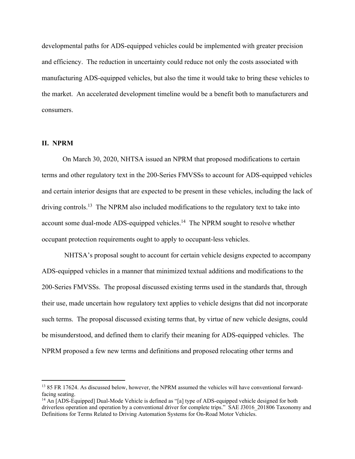developmental paths for ADS-equipped vehicles could be implemented with greater precision and efficiency. The reduction in uncertainty could reduce not only the costs associated with manufacturing ADS-equipped vehicles, but also the time it would take to bring these vehicles to the market. An accelerated development timeline would be a benefit both to manufacturers and consumers.

# **II. NPRM**

 On March 30, 2020, NHTSA issued an NPRM that proposed modifications to certain terms and other regulatory text in the 200-Series FMVSSs to account for ADS-equipped vehicles and certain interior designs that are expected to be present in these vehicles, including the lack of driving controls.<sup>13</sup> The NPRM also included modifications to the regulatory text to take into account some dual-mode ADS-equipped vehicles.<sup>14</sup> The NPRM sought to resolve whether occupant protection requirements ought to apply to occupant-less vehicles.

 NHTSA's proposal sought to account for certain vehicle designs expected to accompany ADS-equipped vehicles in a manner that minimized textual additions and modifications to the 200-Series FMVSSs. The proposal discussed existing terms used in the standards that, through their use, made uncertain how regulatory text applies to vehicle designs that did not incorporate such terms. The proposal discussed existing terms that, by virtue of new vehicle designs, could be misunderstood, and defined them to clarify their meaning for ADS-equipped vehicles. The NPRM proposed a few new terms and definitions and proposed relocating other terms and

<sup>&</sup>lt;sup>13</sup> 85 FR 17624. As discussed below, however, the NPRM assumed the vehicles will have conventional forwardfacing seating.

<sup>&</sup>lt;sup>14</sup> An [ADS-Equipped] Dual-Mode Vehicle is defined as "[a] type of ADS-equipped vehicle designed for both driverless operation and operation by a conventional driver for complete trips." SAE J3016 201806 Taxonomy and Definitions for Terms Related to Driving Automation Systems for On-Road Motor Vehicles.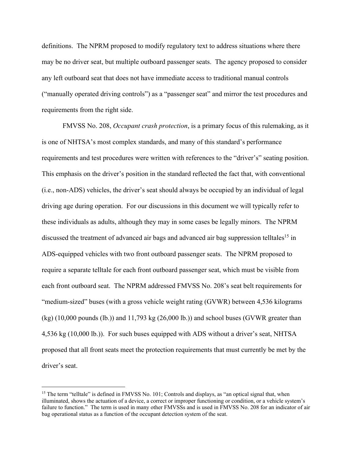definitions. The NPRM proposed to modify regulatory text to address situations where there may be no driver seat, but multiple outboard passenger seats. The agency proposed to consider any left outboard seat that does not have immediate access to traditional manual controls ("manually operated driving controls") as a "passenger seat" and mirror the test procedures and requirements from the right side.

 FMVSS No. 208, *Occupant crash protection*, is a primary focus of this rulemaking, as it is one of NHTSA's most complex standards, and many of this standard's performance requirements and test procedures were written with references to the "driver's" seating position. This emphasis on the driver's position in the standard reflected the fact that, with conventional (i.e., non-ADS) vehicles, the driver's seat should always be occupied by an individual of legal driving age during operation. For our discussions in this document we will typically refer to these individuals as adults, although they may in some cases be legally minors. The NPRM discussed the treatment of advanced air bags and advanced air bag suppression telltales<sup>15</sup> in ADS-equipped vehicles with two front outboard passenger seats. The NPRM proposed to require a separate telltale for each front outboard passenger seat, which must be visible from each front outboard seat. The NPRM addressed FMVSS No. 208's seat belt requirements for "medium-sized" buses (with a gross vehicle weight rating (GVWR) between 4,536 kilograms  $(kg)$  (10,000 pounds (lb.)) and 11,793 kg (26,000 lb.)) and school buses (GVWR greater than 4,536 kg (10,000 lb.)). For such buses equipped with ADS without a driver's seat, NHTSA proposed that all front seats meet the protection requirements that must currently be met by the driver's seat.

<sup>&</sup>lt;sup>15</sup> The term "telltale" is defined in FMVSS No. 101; Controls and displays, as "an optical signal that, when illuminated, shows the actuation of a device, a correct or improper functioning or condition, or a vehicle system's failure to function." The term is used in many other FMVSSs and is used in FMVSS No. 208 for an indicator of air bag operational status as a function of the occupant detection system of the seat.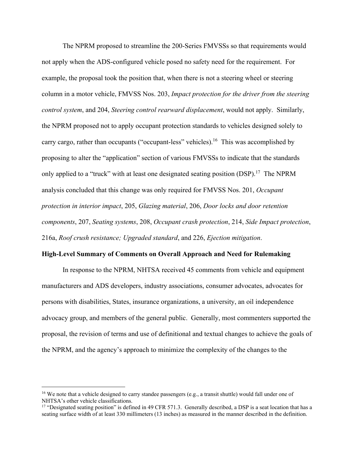The NPRM proposed to streamline the 200-Series FMVSSs so that requirements would not apply when the ADS-configured vehicle posed no safety need for the requirement. For example, the proposal took the position that, when there is not a steering wheel or steering column in a motor vehicle, FMVSS Nos. 203, *Impact protection for the driver from the steering control system*, and 204, *Steering control rearward displacement*, would not apply. Similarly, the NPRM proposed not to apply occupant protection standards to vehicles designed solely to carry cargo, rather than occupants ("occupant-less" vehicles).<sup>16</sup> This was accomplished by proposing to alter the "application" section of various FMVSSs to indicate that the standards only applied to a "truck" with at least one designated seating position (DSP).<sup>17</sup> The NPRM analysis concluded that this change was only required for FMVSS Nos. 201, *Occupant protection in interior impact*, 205, *Glazing material*, 206, *Door locks and door retention components*, 207, *Seating systems*, 208, *Occupant crash protection*, 214, *Side Impact protection*, 216a, *Roof crush resistance; Upgraded standard*, and 226, *Ejection mitigation*.

#### **High-Level Summary of Comments on Overall Approach and Need for Rulemaking**

 In response to the NPRM, NHTSA received 45 comments from vehicle and equipment manufacturers and ADS developers, industry associations, consumer advocates, advocates for persons with disabilities, States, insurance organizations, a university, an oil independence advocacy group, and members of the general public. Generally, most commenters supported the proposal, the revision of terms and use of definitional and textual changes to achieve the goals of the NPRM, and the agency's approach to minimize the complexity of the changes to the

<sup>&</sup>lt;sup>16</sup> We note that a vehicle designed to carry standee passengers (e.g., a transit shuttle) would fall under one of NHTSA's other vehicle classifications.

<sup>&</sup>lt;sup>17</sup> "Designated seating position" is defined in 49 CFR 571.3. Generally described, a DSP is a seat location that has a seating surface width of at least 330 millimeters (13 inches) as measured in the manner described in the definition.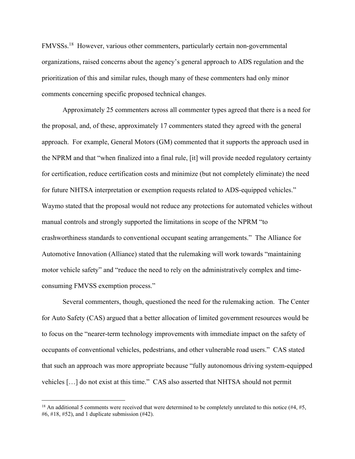FMVSSs.18 However, various other commenters, particularly certain non-governmental organizations, raised concerns about the agency's general approach to ADS regulation and the prioritization of this and similar rules, though many of these commenters had only minor comments concerning specific proposed technical changes.

 Approximately 25 commenters across all commenter types agreed that there is a need for the proposal, and, of these, approximately 17 commenters stated they agreed with the general approach. For example, General Motors (GM) commented that it supports the approach used in the NPRM and that "when finalized into a final rule, [it] will provide needed regulatory certainty for certification, reduce certification costs and minimize (but not completely eliminate) the need for future NHTSA interpretation or exemption requests related to ADS-equipped vehicles." Waymo stated that the proposal would not reduce any protections for automated vehicles without manual controls and strongly supported the limitations in scope of the NPRM "to crashworthiness standards to conventional occupant seating arrangements." The Alliance for Automotive Innovation (Alliance) stated that the rulemaking will work towards "maintaining motor vehicle safety" and "reduce the need to rely on the administratively complex and timeconsuming FMVSS exemption process."

 Several commenters, though, questioned the need for the rulemaking action. The Center for Auto Safety (CAS) argued that a better allocation of limited government resources would be to focus on the "nearer-term technology improvements with immediate impact on the safety of occupants of conventional vehicles, pedestrians, and other vulnerable road users." CAS stated that such an approach was more appropriate because "fully autonomous driving system-equipped vehicles […] do not exist at this time." CAS also asserted that NHTSA should not permit

<sup>&</sup>lt;sup>18</sup> An additional 5 comments were received that were determined to be completely unrelated to this notice  $(\#4, \#5,$ #6, #18, #52), and 1 duplicate submission  $(#42)$ .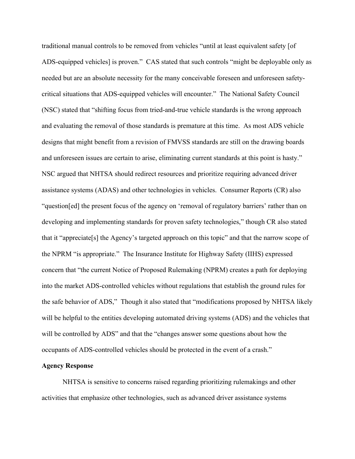traditional manual controls to be removed from vehicles "until at least equivalent safety [of ADS-equipped vehicles] is proven." CAS stated that such controls "might be deployable only as needed but are an absolute necessity for the many conceivable foreseen and unforeseen safetycritical situations that ADS-equipped vehicles will encounter." The National Safety Council (NSC) stated that "shifting focus from tried-and-true vehicle standards is the wrong approach and evaluating the removal of those standards is premature at this time. As most ADS vehicle designs that might benefit from a revision of FMVSS standards are still on the drawing boards and unforeseen issues are certain to arise, eliminating current standards at this point is hasty." NSC argued that NHTSA should redirect resources and prioritize requiring advanced driver assistance systems (ADAS) and other technologies in vehicles. Consumer Reports (CR) also "question[ed] the present focus of the agency on 'removal of regulatory barriers' rather than on developing and implementing standards for proven safety technologies," though CR also stated that it "appreciate[s] the Agency's targeted approach on this topic" and that the narrow scope of the NPRM "is appropriate." The Insurance Institute for Highway Safety (IIHS) expressed concern that "the current Notice of Proposed Rulemaking (NPRM) creates a path for deploying into the market ADS-controlled vehicles without regulations that establish the ground rules for the safe behavior of ADS," Though it also stated that "modifications proposed by NHTSA likely will be helpful to the entities developing automated driving systems (ADS) and the vehicles that will be controlled by ADS" and that the "changes answer some questions about how the occupants of ADS-controlled vehicles should be protected in the event of a crash."

#### **Agency Response**

 NHTSA is sensitive to concerns raised regarding prioritizing rulemakings and other activities that emphasize other technologies, such as advanced driver assistance systems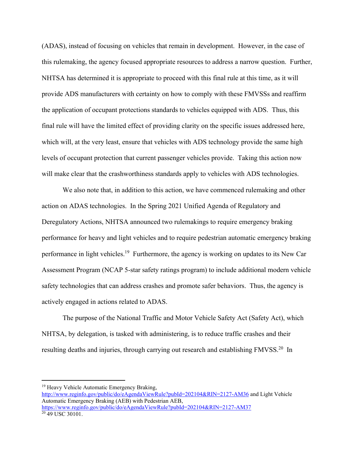(ADAS), instead of focusing on vehicles that remain in development. However, in the case of this rulemaking, the agency focused appropriate resources to address a narrow question. Further, NHTSA has determined it is appropriate to proceed with this final rule at this time, as it will provide ADS manufacturers with certainty on how to comply with these FMVSSs and reaffirm the application of occupant protections standards to vehicles equipped with ADS. Thus, this final rule will have the limited effect of providing clarity on the specific issues addressed here, which will, at the very least, ensure that vehicles with ADS technology provide the same high levels of occupant protection that current passenger vehicles provide. Taking this action now will make clear that the crashworthiness standards apply to vehicles with ADS technologies.

 We also note that, in addition to this action, we have commenced rulemaking and other action on ADAS technologies. In the Spring 2021 Unified Agenda of Regulatory and Deregulatory Actions, NHTSA announced two rulemakings to require emergency braking performance for heavy and light vehicles and to require pedestrian automatic emergency braking performance in light vehicles.19 Furthermore, the agency is working on updates to its New Car Assessment Program (NCAP 5-star safety ratings program) to include additional modern vehicle safety technologies that can address crashes and promote safer behaviors. Thus, the agency is actively engaged in actions related to ADAS.

The purpose of the National Traffic and Motor Vehicle Safety Act (Safety Act), which NHTSA, by delegation, is tasked with administering, is to reduce traffic crashes and their resulting deaths and injuries, through carrying out research and establishing FMVSS.<sup>20</sup> In

<sup>&</sup>lt;sup>19</sup> Heavy Vehicle Automatic Emergency Braking, http://www.reginfo.gov/public/do/eAgendaViewRule?pubId=202104&RIN=2127-AM36 and Light Vehicle Automatic Emergency Braking (AEB) with Pedestrian AEB, https://www.reginfo.gov/public/do/eAgendaViewRule?pubId=202104&RIN=2127-AM37  $20\overline{49}$  USC 30101.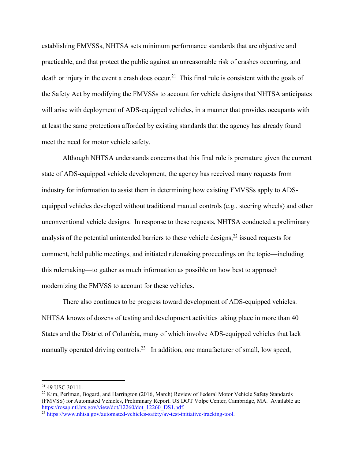establishing FMVSSs, NHTSA sets minimum performance standards that are objective and practicable, and that protect the public against an unreasonable risk of crashes occurring, and death or injury in the event a crash does occur.<sup>21</sup> This final rule is consistent with the goals of the Safety Act by modifying the FMVSSs to account for vehicle designs that NHTSA anticipates will arise with deployment of ADS-equipped vehicles, in a manner that provides occupants with at least the same protections afforded by existing standards that the agency has already found meet the need for motor vehicle safety.

Although NHTSA understands concerns that this final rule is premature given the current state of ADS-equipped vehicle development, the agency has received many requests from industry for information to assist them in determining how existing FMVSSs apply to ADSequipped vehicles developed without traditional manual controls (e.g., steering wheels) and other unconventional vehicle designs. In response to these requests, NHTSA conducted a preliminary analysis of the potential unintended barriers to these vehicle designs,  $2^2$  issued requests for comment, held public meetings, and initiated rulemaking proceedings on the topic—including this rulemaking—to gather as much information as possible on how best to approach modernizing the FMVSS to account for these vehicles.

There also continues to be progress toward development of ADS-equipped vehicles. NHTSA knows of dozens of testing and development activities taking place in more than 40 States and the District of Columbia, many of which involve ADS-equipped vehicles that lack manually operated driving controls.<sup>23</sup> In addition, one manufacturer of small, low speed,

<sup>21 49</sup> USC 30111.

<sup>22</sup> Kim, Perlman, Bogard, and Harrington (2016, March) Review of Federal Motor Vehicle Safety Standards (FMVSS) for Automated Vehicles, Preliminary Report. US DOT Volpe Center, Cambridge, MA. Available at: https://rosap.ntl.bts.gov/view/dot/12260/dot\_12260\_DS1.pdf.<br><sup>23</sup> https://www.nhtsa.gov/automated-vehicles-safety/av-test-initiative-tracking-tool.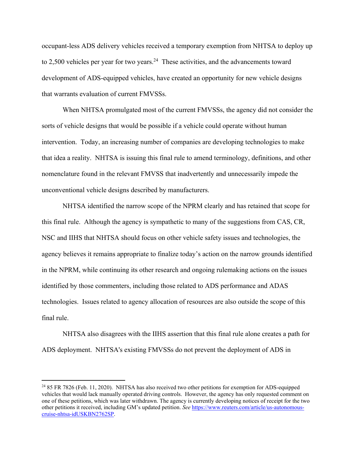occupant-less ADS delivery vehicles received a temporary exemption from NHTSA to deploy up to 2,500 vehicles per year for two years.<sup>24</sup> These activities, and the advancements toward development of ADS-equipped vehicles, have created an opportunity for new vehicle designs that warrants evaluation of current FMVSSs.

 When NHTSA promulgated most of the current FMVSSs, the agency did not consider the sorts of vehicle designs that would be possible if a vehicle could operate without human intervention. Today, an increasing number of companies are developing technologies to make that idea a reality. NHTSA is issuing this final rule to amend terminology, definitions, and other nomenclature found in the relevant FMVSS that inadvertently and unnecessarily impede the unconventional vehicle designs described by manufacturers.

 NHTSA identified the narrow scope of the NPRM clearly and has retained that scope for this final rule. Although the agency is sympathetic to many of the suggestions from CAS, CR, NSC and IIHS that NHTSA should focus on other vehicle safety issues and technologies, the agency believes it remains appropriate to finalize today's action on the narrow grounds identified in the NPRM, while continuing its other research and ongoing rulemaking actions on the issues identified by those commenters, including those related to ADS performance and ADAS technologies. Issues related to agency allocation of resources are also outside the scope of this final rule.

NHTSA also disagrees with the IIHS assertion that this final rule alone creates a path for ADS deployment. NHTSA's existing FMVSSs do not prevent the deployment of ADS in

<sup>&</sup>lt;sup>24</sup> 85 FR 7826 (Feb. 11, 2020). NHTSA has also received two other petitions for exemption for ADS-equipped vehicles that would lack manually operated driving controls. However, the agency has only requested comment on one of these petitions, which was later withdrawn. The agency is currently developing notices of receipt for the two other petitions it received, including GM's updated petition. *See* https://www.reuters.com/article/us-autonomouscruise-nhtsa-idUSKBN2762SP.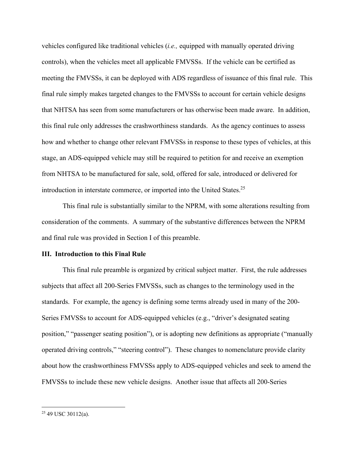vehicles configured like traditional vehicles (*i.e.,* equipped with manually operated driving controls), when the vehicles meet all applicable FMVSSs. If the vehicle can be certified as meeting the FMVSSs, it can be deployed with ADS regardless of issuance of this final rule. This final rule simply makes targeted changes to the FMVSSs to account for certain vehicle designs that NHTSA has seen from some manufacturers or has otherwise been made aware. In addition, this final rule only addresses the crashworthiness standards. As the agency continues to assess how and whether to change other relevant FMVSSs in response to these types of vehicles, at this stage, an ADS-equipped vehicle may still be required to petition for and receive an exemption from NHTSA to be manufactured for sale, sold, offered for sale, introduced or delivered for introduction in interstate commerce, or imported into the United States.25

This final rule is substantially similar to the NPRM, with some alterations resulting from consideration of the comments. A summary of the substantive differences between the NPRM and final rule was provided in Section I of this preamble.

#### **III. Introduction to this Final Rule**

 This final rule preamble is organized by critical subject matter. First, the rule addresses subjects that affect all 200-Series FMVSSs, such as changes to the terminology used in the standards. For example, the agency is defining some terms already used in many of the 200- Series FMVSSs to account for ADS-equipped vehicles (e.g., "driver's designated seating position," "passenger seating position"), or is adopting new definitions as appropriate ("manually operated driving controls," "steering control"). These changes to nomenclature provide clarity about how the crashworthiness FMVSSs apply to ADS-equipped vehicles and seek to amend the FMVSSs to include these new vehicle designs. Another issue that affects all 200-Series

<sup>25 49</sup> USC 30112(a).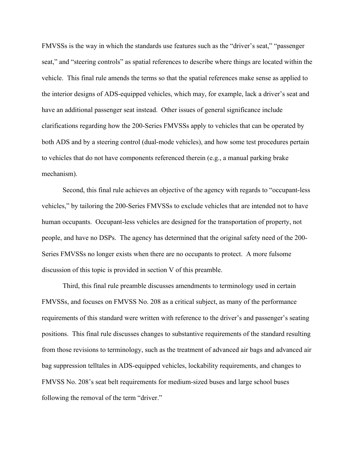FMVSSs is the way in which the standards use features such as the "driver's seat," "passenger seat," and "steering controls" as spatial references to describe where things are located within the vehicle. This final rule amends the terms so that the spatial references make sense as applied to the interior designs of ADS-equipped vehicles, which may, for example, lack a driver's seat and have an additional passenger seat instead. Other issues of general significance include clarifications regarding how the 200-Series FMVSSs apply to vehicles that can be operated by both ADS and by a steering control (dual-mode vehicles), and how some test procedures pertain to vehicles that do not have components referenced therein (e.g., a manual parking brake mechanism).

 Second, this final rule achieves an objective of the agency with regards to "occupant-less vehicles," by tailoring the 200-Series FMVSSs to exclude vehicles that are intended not to have human occupants. Occupant-less vehicles are designed for the transportation of property, not people, and have no DSPs. The agency has determined that the original safety need of the 200- Series FMVSSs no longer exists when there are no occupants to protect. A more fulsome discussion of this topic is provided in section V of this preamble.

 Third, this final rule preamble discusses amendments to terminology used in certain FMVSSs, and focuses on FMVSS No. 208 as a critical subject, as many of the performance requirements of this standard were written with reference to the driver's and passenger's seating positions. This final rule discusses changes to substantive requirements of the standard resulting from those revisions to terminology, such as the treatment of advanced air bags and advanced air bag suppression telltales in ADS-equipped vehicles, lockability requirements, and changes to FMVSS No. 208's seat belt requirements for medium-sized buses and large school buses following the removal of the term "driver."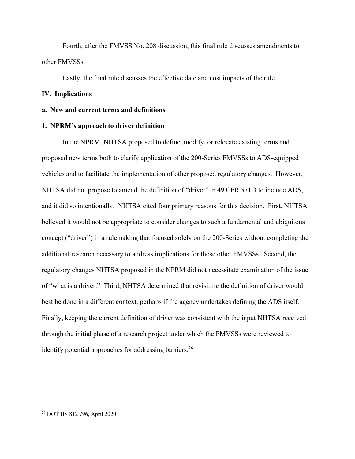Fourth, after the FMVSS No. 208 discussion, this final rule discusses amendments to other FMVSSs.

Lastly, the final rule discusses the effective date and cost impacts of the rule.

# **IV. Implications**

#### **a. New and current terms and definitions**

#### **1. NPRM's approach to driver definition**

In the NPRM, NHTSA proposed to define, modify, or relocate existing terms and proposed new terms both to clarify application of the 200-Series FMVSSs to ADS-equipped vehicles and to facilitate the implementation of other proposed regulatory changes. However, NHTSA did not propose to amend the definition of "driver" in 49 CFR 571.3 to include ADS, and it did so intentionally. NHTSA cited four primary reasons for this decision. First, NHTSA believed it would not be appropriate to consider changes to such a fundamental and ubiquitous concept ("driver") in a rulemaking that focused solely on the 200-Series without completing the additional research necessary to address implications for those other FMVSSs. Second, the regulatory changes NHTSA proposed in the NPRM did not necessitate examination of the issue of "what is a driver." Third, NHTSA determined that revisiting the definition of driver would best be done in a different context, perhaps if the agency undertakes defining the ADS itself. Finally, keeping the current definition of driver was consistent with the input NHTSA received through the initial phase of a research project under which the FMVSSs were reviewed to identify potential approaches for addressing barriers.<sup>26</sup>

<sup>26</sup> DOT HS 812 796, April 2020.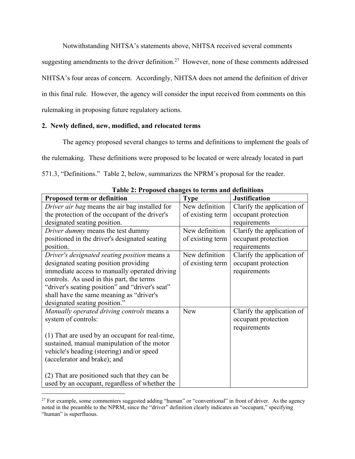Notwithstanding NHTSA's statements above, NHTSA received several comments

suggesting amendments to the driver definition.<sup>27</sup> However, none of these comments addressed NHTSA's four areas of concern. Accordingly, NHTSA does not amend the definition of driver in this final rule. However, the agency will consider the input received from comments on this rulemaking in proposing future regulatory actions.

# **2. Newly defined, new, modified, and relocated terms**

The agency proposed several changes to terms and definitions to implement the goals of the rulemaking. These definitions were proposed to be located or were already located in part 571.3, "Definitions." Table 2, below, summarizes the NPRM's proposal for the reader.

| Table 2. I reposed enanges to terms and deminitons |                  |                            |
|----------------------------------------------------|------------------|----------------------------|
| Proposed term or definition                        | <b>Type</b>      | <b>Justification</b>       |
| Driver air bag means the air bag installed for     | New definition   | Clarify the application of |
| the protection of the occupant of the driver's     | of existing term | occupant protection        |
| designated seating position.                       |                  | requirements               |
| Driver dummy means the test dummy                  | New definition   | Clarify the application of |
| positioned in the driver's designated seating      | of existing term | occupant protection        |
| position.                                          |                  | requirements               |
| Driver's designated seating position means a       | New definition   | Clarify the application of |
| designated seating position providing              | of existing term | occupant protection        |
| immediate access to manually operated driving      |                  | requirements               |
| controls. As used in this part, the terms          |                  |                            |
| "driver's seating position" and "driver's seat"    |                  |                            |
| shall have the same meaning as "driver's           |                  |                            |
| designated seating position."                      |                  |                            |
| Manually operated driving controls means a         | <b>New</b>       | Clarify the application of |
| system of controls:                                |                  | occupant protection        |
|                                                    |                  | requirements               |
| (1) That are used by an occupant for real-time,    |                  |                            |
| sustained, manual manipulation of the motor        |                  |                            |
| vehicle's heading (steering) and/or speed          |                  |                            |
| (accelerator and brake); and                       |                  |                            |
|                                                    |                  |                            |
| (2) That are positioned such that they can be      |                  |                            |
| used by an occupant, regardless of whether the     |                  |                            |

**Table 2: Proposed changes to terms and definitions** 

<sup>&</sup>lt;sup>27</sup> For example, some commenters suggested adding "human" or "conventional" in front of driver. As the agency noted in the preamble to the NPRM, since the "driver" definition clearly indicates an "occupant," specifying "human" is superfluous.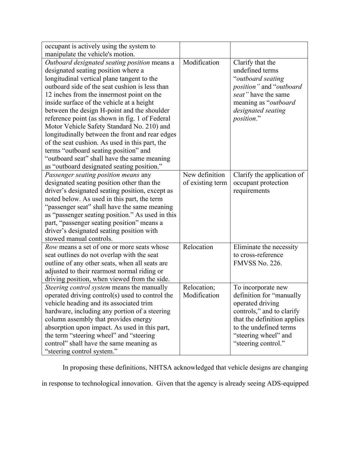| occupant is actively using the system to         |                  |                             |
|--------------------------------------------------|------------------|-----------------------------|
| manipulate the vehicle's motion.                 |                  |                             |
| Outboard designated seating position means a     | Modification     | Clarify that the            |
| designated seating position where a              |                  | undefined terms             |
| longitudinal vertical plane tangent to the       |                  | "outboard seating           |
| outboard side of the seat cushion is less than   |                  | position" and "outboard     |
| 12 inches from the innermost point on the        |                  | seat" have the same         |
| inside surface of the vehicle at a height        |                  | meaning as "outboard        |
| between the design H-point and the shoulder      |                  | designated seating          |
| reference point (as shown in fig. 1 of Federal   |                  | position."                  |
| Motor Vehicle Safety Standard No. 210) and       |                  |                             |
| longitudinally between the front and rear edges  |                  |                             |
| of the seat cushion. As used in this part, the   |                  |                             |
| terms "outboard seating position" and            |                  |                             |
| "outboard seat" shall have the same meaning      |                  |                             |
| as "outboard designated seating position."       |                  |                             |
| Passenger seating position means any             | New definition   | Clarify the application of  |
| designated seating position other than the       | of existing term | occupant protection         |
| driver's designated seating position, except as  |                  | requirements                |
| noted below. As used in this part, the term      |                  |                             |
| "passenger seat" shall have the same meaning     |                  |                             |
| as "passenger seating position." As used in this |                  |                             |
| part, "passenger seating position" means a       |                  |                             |
| driver's designated seating position with        |                  |                             |
| stowed manual controls.                          |                  |                             |
| Row means a set of one or more seats whose       | Relocation       | Eliminate the necessity     |
| seat outlines do not overlap with the seat       |                  | to cross-reference          |
| outline of any other seats, when all seats are   |                  | <b>FMVSS No. 226.</b>       |
| adjusted to their rearmost normal riding or      |                  |                             |
| driving position, when viewed from the side.     |                  |                             |
| Steering control system means the manually       | Relocation;      | To incorporate new          |
| operated driving control(s) used to control the  | Modification     | definition for "manually    |
| vehicle heading and its associated trim          |                  | operated driving            |
| hardware, including any portion of a steering    |                  | controls," and to clarify   |
| column assembly that provides energy             |                  | that the definition applies |
| absorption upon impact. As used in this part,    |                  | to the undefined terms      |
| the term "steering wheel" and "steering          |                  | "steering wheel" and        |
| control" shall have the same meaning as          |                  | "steering control."         |
| "steering control system."                       |                  |                             |

 In proposing these definitions, NHTSA acknowledged that vehicle designs are changing in response to technological innovation. Given that the agency is already seeing ADS-equipped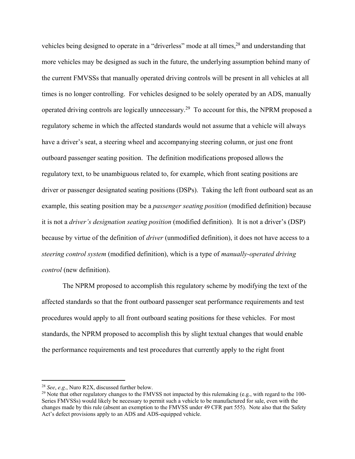vehicles being designed to operate in a "driverless" mode at all times,<sup>28</sup> and understanding that more vehicles may be designed as such in the future, the underlying assumption behind many of the current FMVSSs that manually operated driving controls will be present in all vehicles at all times is no longer controlling. For vehicles designed to be solely operated by an ADS, manually operated driving controls are logically unnecessary.29 To account for this, the NPRM proposed a regulatory scheme in which the affected standards would not assume that a vehicle will always have a driver's seat, a steering wheel and accompanying steering column, or just one front outboard passenger seating position. The definition modifications proposed allows the regulatory text, to be unambiguous related to, for example, which front seating positions are driver or passenger designated seating positions (DSPs). Taking the left front outboard seat as an example, this seating position may be a *passenger seating position* (modified definition) because it is not a *driver's designation seating position* (modified definition). It is not a driver's (DSP) because by virtue of the definition of *driver* (unmodified definition), it does not have access to a *steering control system* (modified definition), which is a type of *manually-operated driving control* (new definition).

 The NPRM proposed to accomplish this regulatory scheme by modifying the text of the affected standards so that the front outboard passenger seat performance requirements and test procedures would apply to all front outboard seating positions for these vehicles. For most standards, the NPRM proposed to accomplish this by slight textual changes that would enable the performance requirements and test procedures that currently apply to the right front

<sup>&</sup>lt;sup>28</sup> *See*, *e.g.*, Nuro R2X, discussed further below.<br><sup>29</sup> Note that other regulatory changes to the FMVSS not impacted by this rulemaking (e.g., with regard to the 100-Series FMVSSs) would likely be necessary to permit such a vehicle to be manufactured for sale, even with the changes made by this rule (absent an exemption to the FMVSS under 49 CFR part 555). Note also that the Safety Act's defect provisions apply to an ADS and ADS-equipped vehicle.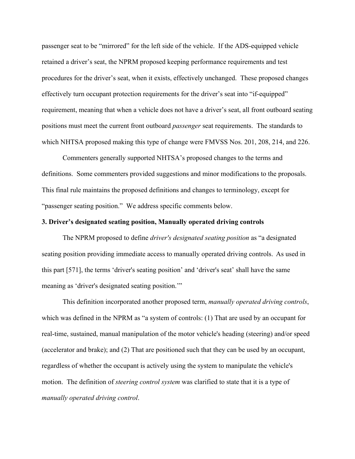passenger seat to be "mirrored" for the left side of the vehicle. If the ADS-equipped vehicle retained a driver's seat, the NPRM proposed keeping performance requirements and test procedures for the driver's seat, when it exists, effectively unchanged. These proposed changes effectively turn occupant protection requirements for the driver's seat into "if-equipped" requirement, meaning that when a vehicle does not have a driver's seat, all front outboard seating positions must meet the current front outboard *passenger* seat requirements. The standards to which NHTSA proposed making this type of change were FMVSS Nos. 201, 208, 214, and 226.

 Commenters generally supported NHTSA's proposed changes to the terms and definitions. Some commenters provided suggestions and minor modifications to the proposals. This final rule maintains the proposed definitions and changes to terminology, except for "passenger seating position." We address specific comments below.

#### **3. Driver's designated seating position, Manually operated driving controls**

The NPRM proposed to define *driver's designated seating position* as "a designated seating position providing immediate access to manually operated driving controls. As used in this part [571], the terms 'driver's seating position' and 'driver's seat' shall have the same meaning as 'driver's designated seating position."

 This definition incorporated another proposed term, *manually operated driving controls*, which was defined in the NPRM as "a system of controls: (1) That are used by an occupant for real-time, sustained, manual manipulation of the motor vehicle's heading (steering) and/or speed (accelerator and brake); and (2) That are positioned such that they can be used by an occupant, regardless of whether the occupant is actively using the system to manipulate the vehicle's motion. The definition of *steering control system* was clarified to state that it is a type of *manually operated driving control*.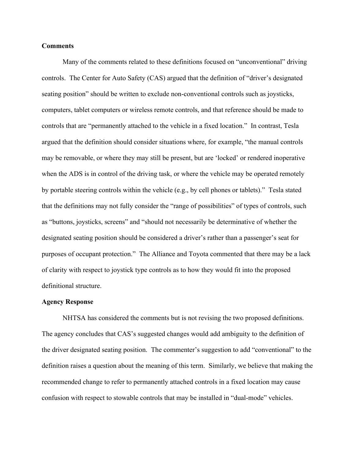#### **Comments**

 Many of the comments related to these definitions focused on "unconventional" driving controls. The Center for Auto Safety (CAS) argued that the definition of "driver's designated seating position" should be written to exclude non-conventional controls such as joysticks, computers, tablet computers or wireless remote controls, and that reference should be made to controls that are "permanently attached to the vehicle in a fixed location." In contrast, Tesla argued that the definition should consider situations where, for example, "the manual controls may be removable, or where they may still be present, but are 'locked' or rendered inoperative when the ADS is in control of the driving task, or where the vehicle may be operated remotely by portable steering controls within the vehicle (e.g., by cell phones or tablets)." Tesla stated that the definitions may not fully consider the "range of possibilities" of types of controls, such as "buttons, joysticks, screens" and "should not necessarily be determinative of whether the designated seating position should be considered a driver's rather than a passenger's seat for purposes of occupant protection." The Alliance and Toyota commented that there may be a lack of clarity with respect to joystick type controls as to how they would fit into the proposed definitional structure.

#### **Agency Response**

 NHTSA has considered the comments but is not revising the two proposed definitions. The agency concludes that CAS's suggested changes would add ambiguity to the definition of the driver designated seating position. The commenter's suggestion to add "conventional" to the definition raises a question about the meaning of this term. Similarly, we believe that making the recommended change to refer to permanently attached controls in a fixed location may cause confusion with respect to stowable controls that may be installed in "dual-mode" vehicles.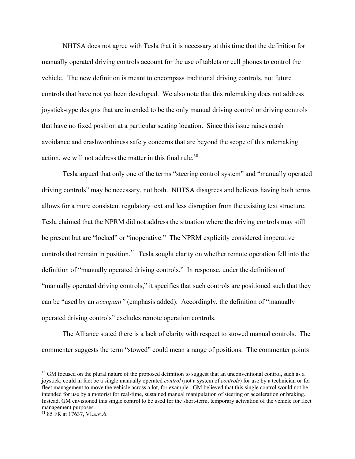NHTSA does not agree with Tesla that it is necessary at this time that the definition for manually operated driving controls account for the use of tablets or cell phones to control the vehicle. The new definition is meant to encompass traditional driving controls, not future controls that have not yet been developed. We also note that this rulemaking does not address joystick-type designs that are intended to be the only manual driving control or driving controls that have no fixed position at a particular seating location. Since this issue raises crash avoidance and crashworthiness safety concerns that are beyond the scope of this rulemaking action, we will not address the matter in this final rule.<sup>30</sup>

 Tesla argued that only one of the terms "steering control system" and "manually operated driving controls" may be necessary, not both. NHTSA disagrees and believes having both terms allows for a more consistent regulatory text and less disruption from the existing text structure. Tesla claimed that the NPRM did not address the situation where the driving controls may still be present but are "locked" or "inoperative." The NPRM explicitly considered inoperative controls that remain in position.<sup>31</sup> Tesla sought clarity on whether remote operation fell into the definition of "manually operated driving controls." In response, under the definition of "manually operated driving controls," it specifies that such controls are positioned such that they can be "used by an *occupant"* (emphasis added). Accordingly, the definition of "manually operated driving controls" excludes remote operation controls.

 The Alliance stated there is a lack of clarity with respect to stowed manual controls. The commenter suggests the term "stowed" could mean a range of positions. The commenter points

<sup>&</sup>lt;sup>30</sup> GM focused on the plural nature of the proposed definition to suggest that an unconventional control, such as a joystick, could in fact be a single manually operated *control* (not a system of *controls*) for use by a technician or for fleet management to move the vehicle across a lot, for example. GM believed that this single control would not be intended for use by a motorist for real-time, sustained manual manipulation of steering or acceleration or braking. Instead, GM envisioned this single control to be used for the short-term, temporary activation of the vehicle for fleet management purposes.

<sup>31 85</sup> FR at 17637, VI.a.vi.6.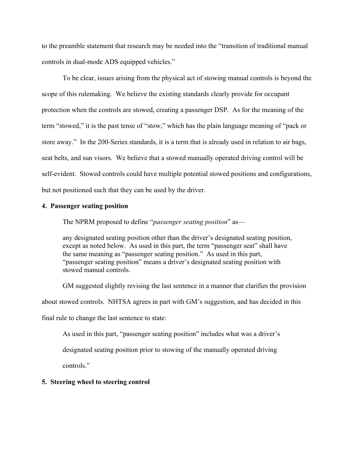to the preamble statement that research may be needed into the "transition of traditional manual controls in dual-mode ADS equipped vehicles."

 To be clear, issues arising from the physical act of stowing manual controls is beyond the scope of this rulemaking. We believe the existing standards clearly provide for occupant protection when the controls are stowed, creating a passenger DSP. As for the meaning of the term "stowed," it is the past tense of "stow," which has the plain language meaning of "pack or store away." In the 200-Series standards, it is a term that is already used in relation to air bags, seat belts, and sun visors. We believe that a stowed manually operated driving control will be self-evident. Stowed controls could have multiple potential stowed positions and configurations, but not positioned such that they can be used by the driver.

### **4. Passenger seating position**

The NPRM proposed to define "*passenger seating position*" as—

any designated seating position other than the driver's designated seating position, except as noted below. As used in this part, the term "passenger seat" shall have the same meaning as "passenger seating position." As used in this part, "passenger seating position" means a driver's designated seating position with stowed manual controls.

 GM suggested slightly revising the last sentence in a manner that clarifies the provision about stowed controls. NHTSA agrees in part with GM's suggestion, and has decided in this final rule to change the last sentence to state:

As used in this part, "passenger seating position" includes what was a driver's

designated seating position prior to stowing of the manually operated driving

controls."

#### **5. Steering wheel to steering control**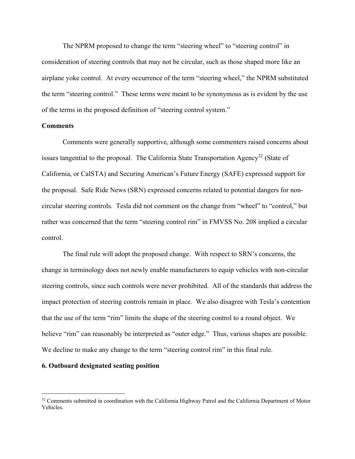The NPRM proposed to change the term "steering wheel" to "steering control" in consideration of steering controls that may not be circular, such as those shaped more like an airplane yoke control. At every occurrence of the term "steering wheel," the NPRM substituted the term "steering control." These terms were meant to be synonymous as is evident by the use of the terms in the proposed definition of "steering control system."

#### **Comments**

 Comments were generally supportive, although some commenters raised concerns about issues tangential to the proposal. The California State Transportation Agency<sup>32</sup> (State of California, or CalSTA) and Securing American's Future Energy (SAFE) expressed support for the proposal. Safe Ride News (SRN) expressed concerns related to potential dangers for noncircular steering controls. Tesla did not comment on the change from "wheel" to "control," but rather was concerned that the term "steering control rim" in FMVSS No. 208 implied a circular control.

 The final rule will adopt the proposed change. With respect to SRN's concerns, the change in terminology does not newly enable manufacturers to equip vehicles with non-circular steering controls, since such controls were never prohibited. All of the standards that address the impact protection of steering controls remain in place. We also disagree with Tesla's contention that the use of the term "rim" limits the shape of the steering control to a round object. We believe "rim" can reasonably be interpreted as "outer edge." Thus, various shapes are possible. We decline to make any change to the term "steering control rim" in this final rule.

# **6. Outboard designated seating position**

<sup>&</sup>lt;sup>32</sup> Comments submitted in coordination with the California Highway Patrol and the California Department of Motor Vehicles.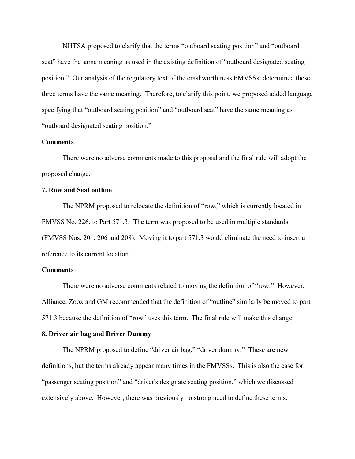NHTSA proposed to clarify that the terms "outboard seating position" and "outboard seat" have the same meaning as used in the existing definition of "outboard designated seating position." Our analysis of the regulatory text of the crashworthiness FMVSSs, determined these three terms have the same meaning. Therefore, to clarify this point, we proposed added language specifying that "outboard seating position" and "outboard seat" have the same meaning as "outboard designated seating position."

### **Comments**

 There were no adverse comments made to this proposal and the final rule will adopt the proposed change.

# **7. Row and Seat outline**

The NPRM proposed to relocate the definition of "row," which is currently located in FMVSS No. 226, to Part 571.3. The term was proposed to be used in multiple standards (FMVSS Nos. 201, 206 and 208). Moving it to part 571.3 would eliminate the need to insert a reference to its current location.

### **Comments**

 There were no adverse comments related to moving the definition of "row." However, Alliance, Zoox and GM recommended that the definition of "outline" similarly be moved to part 571.3 because the definition of "row" uses this term. The final rule will make this change.

#### **8. Driver air bag and Driver Dummy**

 The NPRM proposed to define "driver air bag," "driver dummy." These are new definitions, but the terms already appear many times in the FMVSSs. This is also the case for "passenger seating position" and "driver's designate seating position," which we discussed extensively above. However, there was previously no strong need to define these terms.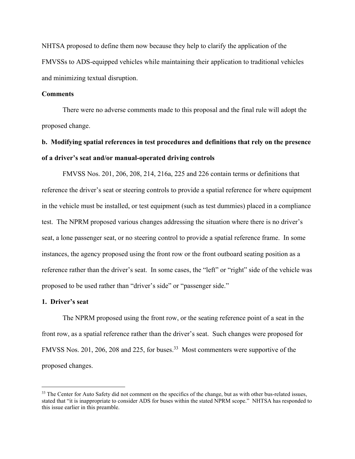NHTSA proposed to define them now because they help to clarify the application of the FMVSSs to ADS-equipped vehicles while maintaining their application to traditional vehicles and minimizing textual disruption.

#### **Comments**

There were no adverse comments made to this proposal and the final rule will adopt the proposed change.

# **b. Modifying spatial references in test procedures and definitions that rely on the presence of a driver's seat and/or manual-operated driving controls**

 FMVSS Nos. 201, 206, 208, 214, 216a, 225 and 226 contain terms or definitions that reference the driver's seat or steering controls to provide a spatial reference for where equipment in the vehicle must be installed, or test equipment (such as test dummies) placed in a compliance test. The NPRM proposed various changes addressing the situation where there is no driver's seat, a lone passenger seat, or no steering control to provide a spatial reference frame. In some instances, the agency proposed using the front row or the front outboard seating position as a reference rather than the driver's seat. In some cases, the "left" or "right" side of the vehicle was proposed to be used rather than "driver's side" or "passenger side."

#### **1. Driver's seat**

 The NPRM proposed using the front row, or the seating reference point of a seat in the front row, as a spatial reference rather than the driver's seat. Such changes were proposed for FMVSS Nos. 201, 206, 208 and 225, for buses.<sup>33</sup> Most commenters were supportive of the proposed changes.

<sup>&</sup>lt;sup>33</sup> The Center for Auto Safety did not comment on the specifics of the change, but as with other bus-related issues, stated that "it is inappropriate to consider ADS for buses within the stated NPRM scope." NHTSA has responded to this issue earlier in this preamble.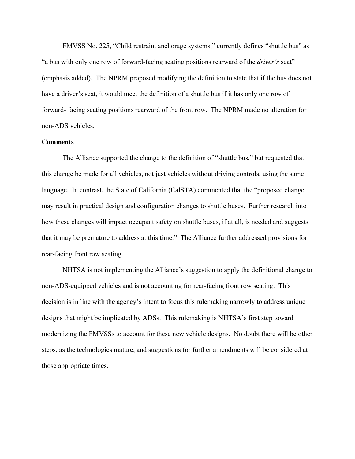FMVSS No. 225, "Child restraint anchorage systems," currently defines "shuttle bus" as "a bus with only one row of forward-facing seating positions rearward of the *driver's* seat" (emphasis added). The NPRM proposed modifying the definition to state that if the bus does not have a driver's seat, it would meet the definition of a shuttle bus if it has only one row of forward- facing seating positions rearward of the front row. The NPRM made no alteration for non-ADS vehicles.

## **Comments**

The Alliance supported the change to the definition of "shuttle bus," but requested that this change be made for all vehicles, not just vehicles without driving controls, using the same language. In contrast, the State of California (CalSTA) commented that the "proposed change may result in practical design and configuration changes to shuttle buses. Further research into how these changes will impact occupant safety on shuttle buses, if at all, is needed and suggests that it may be premature to address at this time." The Alliance further addressed provisions for rear-facing front row seating.

 NHTSA is not implementing the Alliance's suggestion to apply the definitional change to non-ADS-equipped vehicles and is not accounting for rear-facing front row seating. This decision is in line with the agency's intent to focus this rulemaking narrowly to address unique designs that might be implicated by ADSs. This rulemaking is NHTSA's first step toward modernizing the FMVSSs to account for these new vehicle designs. No doubt there will be other steps, as the technologies mature, and suggestions for further amendments will be considered at those appropriate times.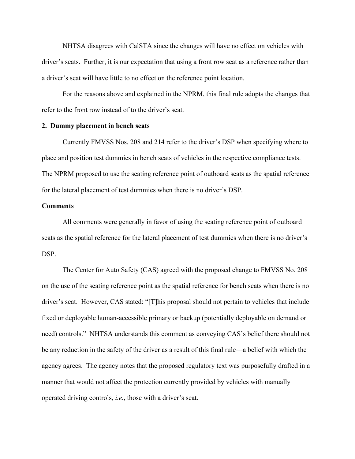NHTSA disagrees with CalSTA since the changes will have no effect on vehicles with driver's seats. Further, it is our expectation that using a front row seat as a reference rather than a driver's seat will have little to no effect on the reference point location.

 For the reasons above and explained in the NPRM, this final rule adopts the changes that refer to the front row instead of to the driver's seat.

## **2. Dummy placement in bench seats**

 Currently FMVSS Nos. 208 and 214 refer to the driver's DSP when specifying where to place and position test dummies in bench seats of vehicles in the respective compliance tests. The NPRM proposed to use the seating reference point of outboard seats as the spatial reference for the lateral placement of test dummies when there is no driver's DSP.

## **Comments**

All comments were generally in favor of using the seating reference point of outboard seats as the spatial reference for the lateral placement of test dummies when there is no driver's DSP.

 The Center for Auto Safety (CAS) agreed with the proposed change to FMVSS No. 208 on the use of the seating reference point as the spatial reference for bench seats when there is no driver's seat. However, CAS stated: "[T]his proposal should not pertain to vehicles that include fixed or deployable human-accessible primary or backup (potentially deployable on demand or need) controls." NHTSA understands this comment as conveying CAS's belief there should not be any reduction in the safety of the driver as a result of this final rule—a belief with which the agency agrees. The agency notes that the proposed regulatory text was purposefully drafted in a manner that would not affect the protection currently provided by vehicles with manually operated driving controls, *i.e.*, those with a driver's seat.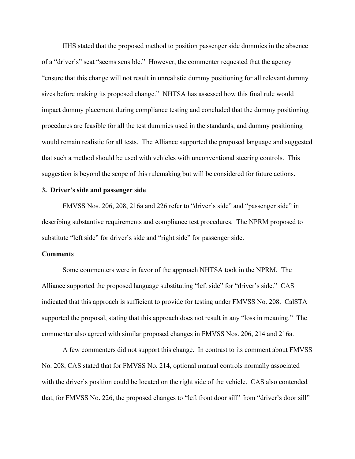IIHS stated that the proposed method to position passenger side dummies in the absence of a "driver's" seat "seems sensible." However, the commenter requested that the agency "ensure that this change will not result in unrealistic dummy positioning for all relevant dummy sizes before making its proposed change." NHTSA has assessed how this final rule would impact dummy placement during compliance testing and concluded that the dummy positioning procedures are feasible for all the test dummies used in the standards, and dummy positioning would remain realistic for all tests. The Alliance supported the proposed language and suggested that such a method should be used with vehicles with unconventional steering controls. This suggestion is beyond the scope of this rulemaking but will be considered for future actions.

## **3. Driver's side and passenger side**

 FMVSS Nos. 206, 208, 216a and 226 refer to "driver's side" and "passenger side" in describing substantive requirements and compliance test procedures. The NPRM proposed to substitute "left side" for driver's side and "right side" for passenger side.

### **Comments**

 Some commenters were in favor of the approach NHTSA took in the NPRM. The Alliance supported the proposed language substituting "left side" for "driver's side." CAS indicated that this approach is sufficient to provide for testing under FMVSS No. 208. CalSTA supported the proposal, stating that this approach does not result in any "loss in meaning." The commenter also agreed with similar proposed changes in FMVSS Nos. 206, 214 and 216a.

 A few commenters did not support this change. In contrast to its comment about FMVSS No. 208, CAS stated that for FMVSS No. 214, optional manual controls normally associated with the driver's position could be located on the right side of the vehicle. CAS also contended that, for FMVSS No. 226, the proposed changes to "left front door sill" from "driver's door sill"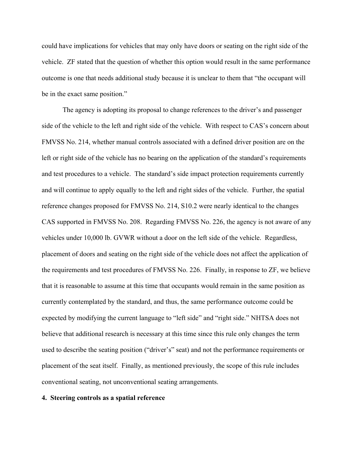could have implications for vehicles that may only have doors or seating on the right side of the vehicle. ZF stated that the question of whether this option would result in the same performance outcome is one that needs additional study because it is unclear to them that "the occupant will be in the exact same position."

 The agency is adopting its proposal to change references to the driver's and passenger side of the vehicle to the left and right side of the vehicle. With respect to CAS's concern about FMVSS No. 214, whether manual controls associated with a defined driver position are on the left or right side of the vehicle has no bearing on the application of the standard's requirements and test procedures to a vehicle. The standard's side impact protection requirements currently and will continue to apply equally to the left and right sides of the vehicle. Further, the spatial reference changes proposed for FMVSS No. 214, S10.2 were nearly identical to the changes CAS supported in FMVSS No. 208. Regarding FMVSS No. 226, the agency is not aware of any vehicles under 10,000 lb. GVWR without a door on the left side of the vehicle. Regardless, placement of doors and seating on the right side of the vehicle does not affect the application of the requirements and test procedures of FMVSS No. 226. Finally, in response to ZF, we believe that it is reasonable to assume at this time that occupants would remain in the same position as currently contemplated by the standard, and thus, the same performance outcome could be expected by modifying the current language to "left side" and "right side." NHTSA does not believe that additional research is necessary at this time since this rule only changes the term used to describe the seating position ("driver's" seat) and not the performance requirements or placement of the seat itself. Finally, as mentioned previously, the scope of this rule includes conventional seating, not unconventional seating arrangements.

#### **4. Steering controls as a spatial reference**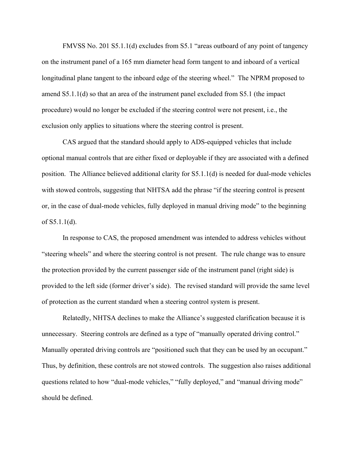FMVSS No. 201 S5.1.1(d) excludes from S5.1 "areas outboard of any point of tangency on the instrument panel of a 165 mm diameter head form tangent to and inboard of a vertical longitudinal plane tangent to the inboard edge of the steering wheel." The NPRM proposed to amend S5.1.1(d) so that an area of the instrument panel excluded from S5.1 (the impact procedure) would no longer be excluded if the steering control were not present, i.e., the exclusion only applies to situations where the steering control is present.

 CAS argued that the standard should apply to ADS-equipped vehicles that include optional manual controls that are either fixed or deployable if they are associated with a defined position. The Alliance believed additional clarity for S5.1.1(d) is needed for dual-mode vehicles with stowed controls, suggesting that NHTSA add the phrase "if the steering control is present or, in the case of dual-mode vehicles, fully deployed in manual driving mode" to the beginning of S5.1.1(d).

 In response to CAS, the proposed amendment was intended to address vehicles without "steering wheels" and where the steering control is not present. The rule change was to ensure the protection provided by the current passenger side of the instrument panel (right side) is provided to the left side (former driver's side). The revised standard will provide the same level of protection as the current standard when a steering control system is present.

 Relatedly, NHTSA declines to make the Alliance's suggested clarification because it is unnecessary. Steering controls are defined as a type of "manually operated driving control." Manually operated driving controls are "positioned such that they can be used by an occupant." Thus, by definition, these controls are not stowed controls. The suggestion also raises additional questions related to how "dual-mode vehicles," "fully deployed," and "manual driving mode" should be defined.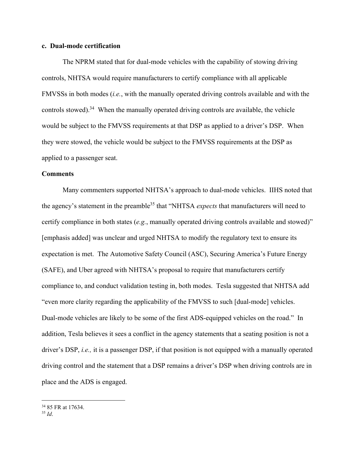## **c. Dual-mode certification**

 The NPRM stated that for dual-mode vehicles with the capability of stowing driving controls, NHTSA would require manufacturers to certify compliance with all applicable FMVSSs in both modes (*i.e.*, with the manually operated driving controls available and with the controls stowed).<sup>34</sup> When the manually operated driving controls are available, the vehicle would be subject to the FMVSS requirements at that DSP as applied to a driver's DSP. When they were stowed, the vehicle would be subject to the FMVSS requirements at the DSP as applied to a passenger seat.

#### **Comments**

 Many commenters supported NHTSA's approach to dual-mode vehicles. IIHS noted that the agency's statement in the preamble<sup>35</sup> that "NHTSA *expects* that manufacturers will need to certify compliance in both states (*e.g.*, manually operated driving controls available and stowed)" [emphasis added] was unclear and urged NHTSA to modify the regulatory text to ensure its expectation is met. The Automotive Safety Council (ASC), Securing America's Future Energy (SAFE), and Uber agreed with NHTSA's proposal to require that manufacturers certify compliance to, and conduct validation testing in, both modes. Tesla suggested that NHTSA add "even more clarity regarding the applicability of the FMVSS to such [dual-mode] vehicles. Dual-mode vehicles are likely to be some of the first ADS-equipped vehicles on the road." In addition, Tesla believes it sees a conflict in the agency statements that a seating position is not a driver's DSP, *i.e.,* it is a passenger DSP, if that position is not equipped with a manually operated driving control and the statement that a DSP remains a driver's DSP when driving controls are in place and the ADS is engaged.

<sup>&</sup>lt;sup>34</sup> 85 FR at 17634.

<sup>35</sup> *Id*.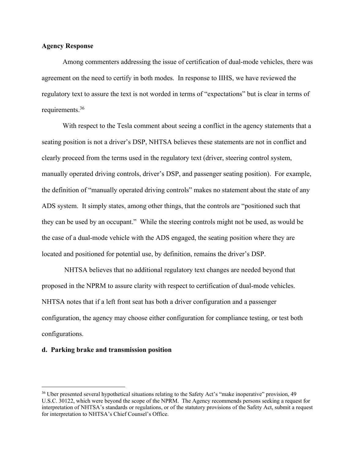## **Agency Response**

 Among commenters addressing the issue of certification of dual-mode vehicles, there was agreement on the need to certify in both modes. In response to IIHS, we have reviewed the regulatory text to assure the text is not worded in terms of "expectations" but is clear in terms of requirements.<sup>36</sup>

 With respect to the Tesla comment about seeing a conflict in the agency statements that a seating position is not a driver's DSP, NHTSA believes these statements are not in conflict and clearly proceed from the terms used in the regulatory text (driver, steering control system, manually operated driving controls, driver's DSP, and passenger seating position). For example, the definition of "manually operated driving controls" makes no statement about the state of any ADS system. It simply states, among other things, that the controls are "positioned such that they can be used by an occupant." While the steering controls might not be used, as would be the case of a dual-mode vehicle with the ADS engaged, the seating position where they are located and positioned for potential use, by definition, remains the driver's DSP.

 NHTSA believes that no additional regulatory text changes are needed beyond that proposed in the NPRM to assure clarity with respect to certification of dual-mode vehicles. NHTSA notes that if a left front seat has both a driver configuration and a passenger configuration, the agency may choose either configuration for compliance testing, or test both configurations.

### **d. Parking brake and transmission position**

<sup>36</sup> Uber presented several hypothetical situations relating to the Safety Act's "make inoperative" provision, 49 U.S.C. 30122, which were beyond the scope of the NPRM. The Agency recommends persons seeking a request for interpretation of NHTSA's standards or regulations, or of the statutory provisions of the Safety Act, submit a request for interpretation to NHTSA's Chief Counsel's Office.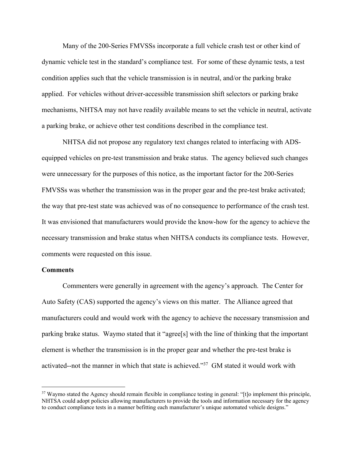Many of the 200-Series FMVSSs incorporate a full vehicle crash test or other kind of dynamic vehicle test in the standard's compliance test. For some of these dynamic tests, a test condition applies such that the vehicle transmission is in neutral, and/or the parking brake applied. For vehicles without driver-accessible transmission shift selectors or parking brake mechanisms, NHTSA may not have readily available means to set the vehicle in neutral, activate a parking brake, or achieve other test conditions described in the compliance test.

 NHTSA did not propose any regulatory text changes related to interfacing with ADSequipped vehicles on pre-test transmission and brake status. The agency believed such changes were unnecessary for the purposes of this notice, as the important factor for the 200-Series FMVSSs was whether the transmission was in the proper gear and the pre-test brake activated; the way that pre-test state was achieved was of no consequence to performance of the crash test. It was envisioned that manufacturers would provide the know-how for the agency to achieve the necessary transmission and brake status when NHTSA conducts its compliance tests. However, comments were requested on this issue.

### **Comments**

Commenters were generally in agreement with the agency's approach. The Center for Auto Safety (CAS) supported the agency's views on this matter. The Alliance agreed that manufacturers could and would work with the agency to achieve the necessary transmission and parking brake status. Waymo stated that it "agree[s] with the line of thinking that the important element is whether the transmission is in the proper gear and whether the pre-test brake is activated--not the manner in which that state is achieved."37 GM stated it would work with

<sup>&</sup>lt;sup>37</sup> Waymo stated the Agency should remain flexible in compliance testing in general: "[t]o implement this principle, NHTSA could adopt policies allowing manufacturers to provide the tools and information necessary for the agency to conduct compliance tests in a manner befitting each manufacturer's unique automated vehicle designs."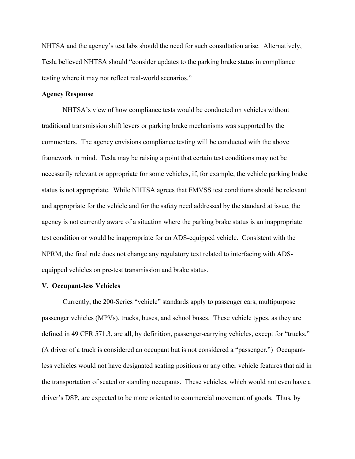NHTSA and the agency's test labs should the need for such consultation arise. Alternatively, Tesla believed NHTSA should "consider updates to the parking brake status in compliance testing where it may not reflect real-world scenarios."

## **Agency Response**

 NHTSA's view of how compliance tests would be conducted on vehicles without traditional transmission shift levers or parking brake mechanisms was supported by the commenters. The agency envisions compliance testing will be conducted with the above framework in mind. Tesla may be raising a point that certain test conditions may not be necessarily relevant or appropriate for some vehicles, if, for example, the vehicle parking brake status is not appropriate. While NHTSA agrees that FMVSS test conditions should be relevant and appropriate for the vehicle and for the safety need addressed by the standard at issue, the agency is not currently aware of a situation where the parking brake status is an inappropriate test condition or would be inappropriate for an ADS-equipped vehicle. Consistent with the NPRM, the final rule does not change any regulatory text related to interfacing with ADSequipped vehicles on pre-test transmission and brake status.

#### **V. Occupant-less Vehicles**

 Currently, the 200-Series "vehicle" standards apply to passenger cars, multipurpose passenger vehicles (MPVs), trucks, buses, and school buses. These vehicle types, as they are defined in 49 CFR 571.3, are all, by definition, passenger-carrying vehicles, except for "trucks." (A driver of a truck is considered an occupant but is not considered a "passenger.") Occupantless vehicles would not have designated seating positions or any other vehicle features that aid in the transportation of seated or standing occupants. These vehicles, which would not even have a driver's DSP, are expected to be more oriented to commercial movement of goods. Thus, by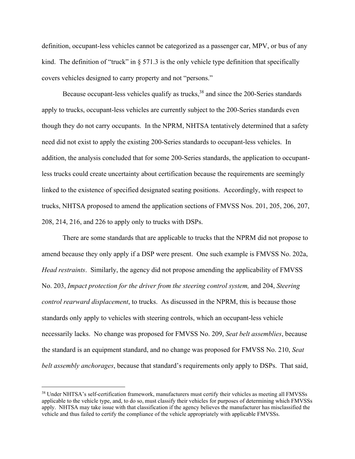definition, occupant-less vehicles cannot be categorized as a passenger car, MPV, or bus of any kind. The definition of "truck" in  $\S 571.3$  is the only vehicle type definition that specifically covers vehicles designed to carry property and not "persons."

Because occupant-less vehicles qualify as trucks,  $38$  and since the 200-Series standards apply to trucks, occupant-less vehicles are currently subject to the 200-Series standards even though they do not carry occupants. In the NPRM, NHTSA tentatively determined that a safety need did not exist to apply the existing 200-Series standards to occupant-less vehicles. In addition, the analysis concluded that for some 200-Series standards, the application to occupantless trucks could create uncertainty about certification because the requirements are seemingly linked to the existence of specified designated seating positions. Accordingly, with respect to trucks, NHTSA proposed to amend the application sections of FMVSS Nos. 201, 205, 206, 207, 208, 214, 216, and 226 to apply only to trucks with DSPs.

 There are some standards that are applicable to trucks that the NPRM did not propose to amend because they only apply if a DSP were present. One such example is FMVSS No. 202a, *Head restraints*. Similarly, the agency did not propose amending the applicability of FMVSS No. 203, *Impact protection for the driver from the steering control system,* and 204, *Steering control rearward displacement*, to trucks. As discussed in the NPRM, this is because those standards only apply to vehicles with steering controls, which an occupant-less vehicle necessarily lacks. No change was proposed for FMVSS No. 209, *Seat belt assemblies*, because the standard is an equipment standard, and no change was proposed for FMVSS No. 210, *Seat belt assembly anchorages*, because that standard's requirements only apply to DSPs. That said,

<sup>&</sup>lt;sup>38</sup> Under NHTSA's self-certification framework, manufacturers must certify their vehicles as meeting all FMVSSs applicable to the vehicle type, and, to do so, must classify their vehicles for purposes of determining which FMVSSs apply. NHTSA may take issue with that classification if the agency believes the manufacturer has misclassified the vehicle and thus failed to certify the compliance of the vehicle appropriately with applicable FMVSSs.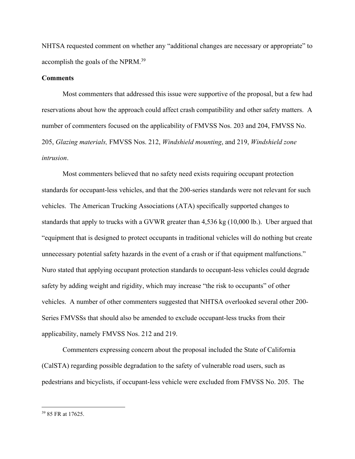NHTSA requested comment on whether any "additional changes are necessary or appropriate" to accomplish the goals of the NPRM.39

## **Comments**

 Most commenters that addressed this issue were supportive of the proposal, but a few had reservations about how the approach could affect crash compatibility and other safety matters. A number of commenters focused on the applicability of FMVSS Nos. 203 and 204, FMVSS No. 205, *Glazing materials,* FMVSS Nos. 212, *Windshield mounting*, and 219, *Windshield zone intrusion*.

 Most commenters believed that no safety need exists requiring occupant protection standards for occupant-less vehicles, and that the 200-series standards were not relevant for such vehicles. The American Trucking Associations (ATA) specifically supported changes to standards that apply to trucks with a GVWR greater than 4,536 kg (10,000 lb.). Uber argued that "equipment that is designed to protect occupants in traditional vehicles will do nothing but create unnecessary potential safety hazards in the event of a crash or if that equipment malfunctions." Nuro stated that applying occupant protection standards to occupant-less vehicles could degrade safety by adding weight and rigidity, which may increase "the risk to occupants" of other vehicles. A number of other commenters suggested that NHTSA overlooked several other 200- Series FMVSSs that should also be amended to exclude occupant-less trucks from their applicability, namely FMVSS Nos. 212 and 219.

 Commenters expressing concern about the proposal included the State of California (CalSTA) regarding possible degradation to the safety of vulnerable road users, such as pedestrians and bicyclists, if occupant-less vehicle were excluded from FMVSS No. 205. The

<sup>39 85</sup> FR at 17625.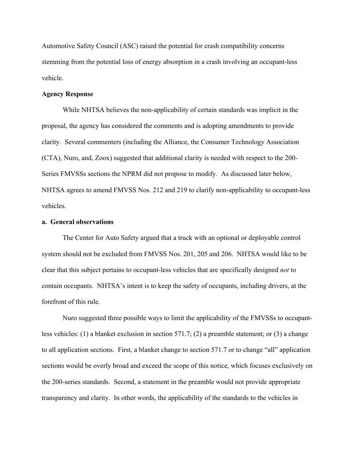Automotive Safety Council (ASC) raised the potential for crash compatibility concerns stemming from the potential loss of energy absorption in a crash involving an occupant-less vehicle.

#### **Agency Response**

 While NHTSA believes the non-applicability of certain standards was implicit in the proposal, the agency has considered the comments and is adopting amendments to provide clarity. Several commenters (including the Alliance, the Consumer Technology Association (CTA), Nuro, and, Zoox) suggested that additional clarity is needed with respect to the 200- Series FMVSSs sections the NPRM did not propose to modify. As discussed later below, NHTSA agrees to amend FMVSS Nos. 212 and 219 to clarify non-applicability to occupant-less vehicles.

## **a. General observations**

 The Center for Auto Safety argued that a truck with an optional or deployable control system should not be excluded from FMVSS Nos. 201, 205 and 206. NHTSA would like to be clear that this subject pertains to occupant-less vehicles that are specifically designed *not* to contain occupants. NHTSA's intent is to keep the safety of occupants, including drivers, at the forefront of this rule.

 Nuro suggested three possible ways to limit the applicability of the FMVSSs to occupantless vehicles: (1) a blanket exclusion in section 571.7; (2) a preamble statement; or (3) a change to all application sections. First, a blanket change to section 571.7 or to change "all" application sections would be overly broad and exceed the scope of this notice, which focuses exclusively on the 200-series standards. Second, a statement in the preamble would not provide appropriate transparency and clarity. In other words, the applicability of the standards to the vehicles in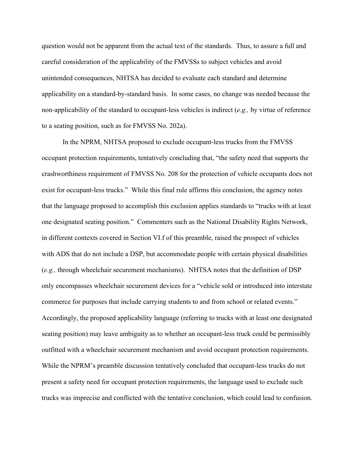question would not be apparent from the actual text of the standards. Thus, to assure a full and careful consideration of the applicability of the FMVSSs to subject vehicles and avoid unintended consequences, NHTSA has decided to evaluate each standard and determine applicability on a standard-by-standard basis. In some cases, no change was needed because the non-applicability of the standard to occupant-less vehicles is indirect (*e.g.,* by virtue of reference to a seating position, such as for FMVSS No. 202a).

In the NPRM, NHTSA proposed to exclude occupant-less trucks from the FMVSS occupant protection requirements, tentatively concluding that, "the safety need that supports the crashworthiness requirement of FMVSS No. 208 for the protection of vehicle occupants does not exist for occupant-less trucks." While this final rule affirms this conclusion, the agency notes that the language proposed to accomplish this exclusion applies standards to "trucks with at least one designated seating position." Commenters such as the National Disability Rights Network, in different contexts covered in Section VI.f of this preamble, raised the prospect of vehicles with ADS that do not include a DSP, but accommodate people with certain physical disabilities (*e.g.,* through wheelchair securement mechanisms). NHTSA notes that the definition of DSP only encompasses wheelchair securement devices for a "vehicle sold or introduced into interstate commerce for purposes that include carrying students to and from school or related events." Accordingly, the proposed applicability language (referring to trucks with at least one designated seating position) may leave ambiguity as to whether an occupant-less truck could be permissibly outfitted with a wheelchair securement mechanism and avoid occupant protection requirements. While the NPRM's preamble discussion tentatively concluded that occupant-less trucks do not present a safety need for occupant protection requirements, the language used to exclude such trucks was imprecise and conflicted with the tentative conclusion, which could lead to confusion.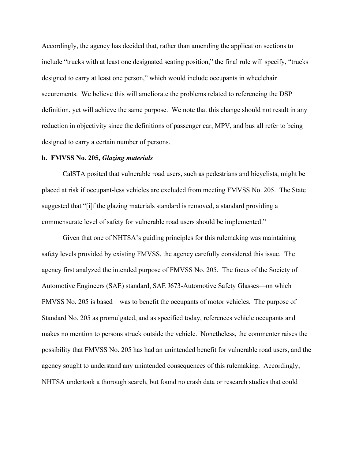Accordingly, the agency has decided that, rather than amending the application sections to include "trucks with at least one designated seating position," the final rule will specify, "trucks designed to carry at least one person," which would include occupants in wheelchair securements. We believe this will ameliorate the problems related to referencing the DSP definition, yet will achieve the same purpose. We note that this change should not result in any reduction in objectivity since the definitions of passenger car, MPV, and bus all refer to being designed to carry a certain number of persons.

#### **b. FMVSS No. 205,** *Glazing materials*

 CalSTA posited that vulnerable road users, such as pedestrians and bicyclists, might be placed at risk if occupant-less vehicles are excluded from meeting FMVSS No. 205. The State suggested that "[i]f the glazing materials standard is removed, a standard providing a commensurate level of safety for vulnerable road users should be implemented."

 Given that one of NHTSA's guiding principles for this rulemaking was maintaining safety levels provided by existing FMVSS, the agency carefully considered this issue. The agency first analyzed the intended purpose of FMVSS No. 205. The focus of the Society of Automotive Engineers (SAE) standard, SAE J673-Automotive Safety Glasses—on which FMVSS No. 205 is based—was to benefit the occupants of motor vehicles. The purpose of Standard No. 205 as promulgated, and as specified today, references vehicle occupants and makes no mention to persons struck outside the vehicle. Nonetheless, the commenter raises the possibility that FMVSS No. 205 has had an unintended benefit for vulnerable road users, and the agency sought to understand any unintended consequences of this rulemaking. Accordingly, NHTSA undertook a thorough search, but found no crash data or research studies that could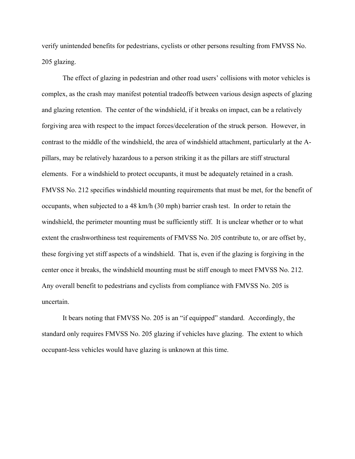verify unintended benefits for pedestrians, cyclists or other persons resulting from FMVSS No. 205 glazing.

 The effect of glazing in pedestrian and other road users' collisions with motor vehicles is complex, as the crash may manifest potential tradeoffs between various design aspects of glazing and glazing retention. The center of the windshield, if it breaks on impact, can be a relatively forgiving area with respect to the impact forces/deceleration of the struck person. However, in contrast to the middle of the windshield, the area of windshield attachment, particularly at the Apillars, may be relatively hazardous to a person striking it as the pillars are stiff structural elements. For a windshield to protect occupants, it must be adequately retained in a crash. FMVSS No. 212 specifies windshield mounting requirements that must be met, for the benefit of occupants, when subjected to a 48 km/h (30 mph) barrier crash test. In order to retain the windshield, the perimeter mounting must be sufficiently stiff. It is unclear whether or to what extent the crashworthiness test requirements of FMVSS No. 205 contribute to, or are offset by, these forgiving yet stiff aspects of a windshield. That is, even if the glazing is forgiving in the center once it breaks, the windshield mounting must be stiff enough to meet FMVSS No. 212. Any overall benefit to pedestrians and cyclists from compliance with FMVSS No. 205 is uncertain.

 It bears noting that FMVSS No. 205 is an "if equipped" standard. Accordingly, the standard only requires FMVSS No. 205 glazing if vehicles have glazing. The extent to which occupant-less vehicles would have glazing is unknown at this time.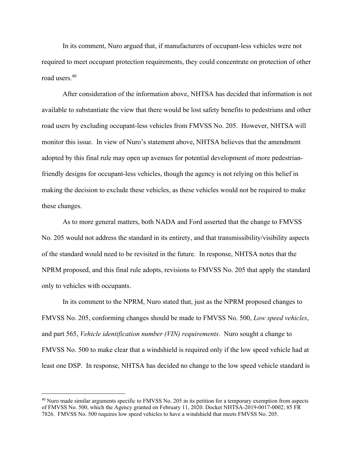In its comment, Nuro argued that, if manufacturers of occupant-less vehicles were not required to meet occupant protection requirements, they could concentrate on protection of other road users.40

 After consideration of the information above, NHTSA has decided that information is not available to substantiate the view that there would be lost safety benefits to pedestrians and other road users by excluding occupant-less vehicles from FMVSS No. 205. However, NHTSA will monitor this issue. In view of Nuro's statement above, NHTSA believes that the amendment adopted by this final rule may open up avenues for potential development of more pedestrianfriendly designs for occupant-less vehicles, though the agency is not relying on this belief in making the decision to exclude these vehicles, as these vehicles would not be required to make these changes.

 As to more general matters, both NADA and Ford asserted that the change to FMVSS No. 205 would not address the standard in its entirety, and that transmissibility/visibility aspects of the standard would need to be revisited in the future. In response, NHTSA notes that the NPRM proposed, and this final rule adopts, revisions to FMVSS No. 205 that apply the standard only to vehicles with occupants.

 In its comment to the NPRM, Nuro stated that, just as the NPRM proposed changes to FMVSS No. 205, conforming changes should be made to FMVSS No. 500, *Low speed vehicles*, and part 565, *Vehicle identification number (VIN) requirements*. Nuro sought a change to FMVSS No. 500 to make clear that a windshield is required only if the low speed vehicle had at least one DSP. In response, NHTSA has decided no change to the low speed vehicle standard is

<sup>&</sup>lt;sup>40</sup> Nuro made similar arguments specific to FMVSS No. 205 in its petition for a temporary exemption from aspects of FMVSS No. 500, which the Agency granted on February 11, 2020. Docket NHTSA-2019-0017-0002; 85 FR 7826. FMVSS No. 500 requires low speed vehicles to have a windshield that meets FMVSS No. 205.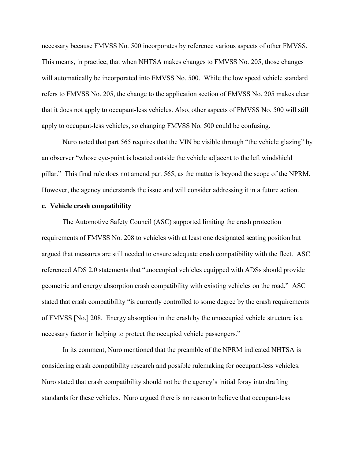necessary because FMVSS No. 500 incorporates by reference various aspects of other FMVSS. This means, in practice, that when NHTSA makes changes to FMVSS No. 205, those changes will automatically be incorporated into FMVSS No. 500. While the low speed vehicle standard refers to FMVSS No. 205, the change to the application section of FMVSS No. 205 makes clear that it does not apply to occupant-less vehicles. Also, other aspects of FMVSS No. 500 will still apply to occupant-less vehicles, so changing FMVSS No. 500 could be confusing.

 Nuro noted that part 565 requires that the VIN be visible through "the vehicle glazing" by an observer "whose eye-point is located outside the vehicle adjacent to the left windshield pillar." This final rule does not amend part 565, as the matter is beyond the scope of the NPRM. However, the agency understands the issue and will consider addressing it in a future action.

## **c. Vehicle crash compatibility**

 The Automotive Safety Council (ASC) supported limiting the crash protection requirements of FMVSS No. 208 to vehicles with at least one designated seating position but argued that measures are still needed to ensure adequate crash compatibility with the fleet. ASC referenced ADS 2.0 statements that "unoccupied vehicles equipped with ADSs should provide geometric and energy absorption crash compatibility with existing vehicles on the road." ASC stated that crash compatibility "is currently controlled to some degree by the crash requirements of FMVSS [No.] 208. Energy absorption in the crash by the unoccupied vehicle structure is a necessary factor in helping to protect the occupied vehicle passengers."

 In its comment, Nuro mentioned that the preamble of the NPRM indicated NHTSA is considering crash compatibility research and possible rulemaking for occupant-less vehicles. Nuro stated that crash compatibility should not be the agency's initial foray into drafting standards for these vehicles. Nuro argued there is no reason to believe that occupant-less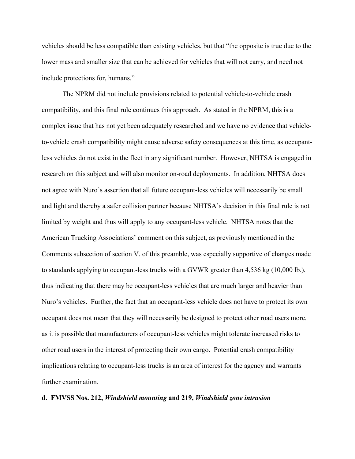vehicles should be less compatible than existing vehicles, but that "the opposite is true due to the lower mass and smaller size that can be achieved for vehicles that will not carry, and need not include protections for, humans."

 The NPRM did not include provisions related to potential vehicle-to-vehicle crash compatibility, and this final rule continues this approach. As stated in the NPRM, this is a complex issue that has not yet been adequately researched and we have no evidence that vehicleto-vehicle crash compatibility might cause adverse safety consequences at this time, as occupantless vehicles do not exist in the fleet in any significant number. However, NHTSA is engaged in research on this subject and will also monitor on-road deployments. In addition, NHTSA does not agree with Nuro's assertion that all future occupant-less vehicles will necessarily be small and light and thereby a safer collision partner because NHTSA's decision in this final rule is not limited by weight and thus will apply to any occupant-less vehicle. NHTSA notes that the American Trucking Associations' comment on this subject, as previously mentioned in the Comments subsection of section V. of this preamble, was especially supportive of changes made to standards applying to occupant-less trucks with a GVWR greater than 4,536 kg (10,000 lb.), thus indicating that there may be occupant-less vehicles that are much larger and heavier than Nuro's vehicles. Further, the fact that an occupant-less vehicle does not have to protect its own occupant does not mean that they will necessarily be designed to protect other road users more, as it is possible that manufacturers of occupant-less vehicles might tolerate increased risks to other road users in the interest of protecting their own cargo. Potential crash compatibility implications relating to occupant-less trucks is an area of interest for the agency and warrants further examination.

### **d. FMVSS Nos. 212,** *Windshield mounting* **and 219,** *Windshield zone intrusion*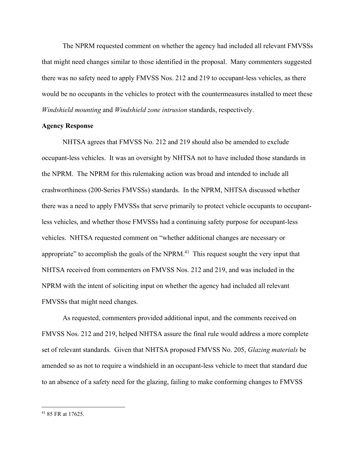The NPRM requested comment on whether the agency had included all relevant FMVSSs that might need changes similar to those identified in the proposal. Many commenters suggested there was no safety need to apply FMVSS Nos. 212 and 219 to occupant-less vehicles, as there would be no occupants in the vehicles to protect with the countermeasures installed to meet these *Windshield mounting* and *Windshield zone intrusion* standards, respectively.

## **Agency Response**

 NHTSA agrees that FMVSS No. 212 and 219 should also be amended to exclude occupant-less vehicles. It was an oversight by NHTSA not to have included those standards in the NPRM. The NPRM for this rulemaking action was broad and intended to include all crashworthiness (200-Series FMVSSs) standards. In the NPRM, NHTSA discussed whether there was a need to apply FMVSSs that serve primarily to protect vehicle occupants to occupantless vehicles, and whether those FMVSSs had a continuing safety purpose for occupant-less vehicles. NHTSA requested comment on "whether additional changes are necessary or appropriate" to accomplish the goals of the NPRM. $41$  This request sought the very input that NHTSA received from commenters on FMVSS Nos. 212 and 219, and was included in the NPRM with the intent of soliciting input on whether the agency had included all relevant FMVSSs that might need changes.

 As requested, commenters provided additional input, and the comments received on FMVSS Nos. 212 and 219, helped NHTSA assure the final rule would address a more complete set of relevant standards. Given that NHTSA proposed FMVSS No. 205, *Glazing materials* be amended so as not to require a windshield in an occupant-less vehicle to meet that standard due to an absence of a safety need for the glazing, failing to make conforming changes to FMVSS

<sup>41 85</sup> FR at 17625.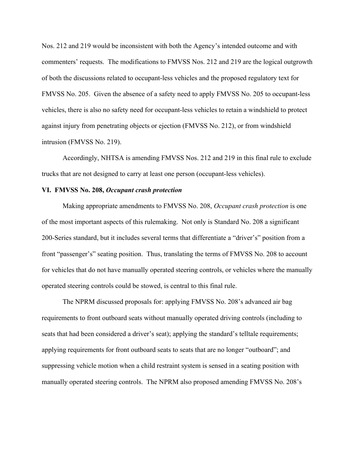Nos. 212 and 219 would be inconsistent with both the Agency's intended outcome and with commenters' requests. The modifications to FMVSS Nos. 212 and 219 are the logical outgrowth of both the discussions related to occupant-less vehicles and the proposed regulatory text for FMVSS No. 205. Given the absence of a safety need to apply FMVSS No. 205 to occupant-less vehicles, there is also no safety need for occupant-less vehicles to retain a windshield to protect against injury from penetrating objects or ejection (FMVSS No. 212), or from windshield intrusion (FMVSS No. 219).

 Accordingly, NHTSA is amending FMVSS Nos. 212 and 219 in this final rule to exclude trucks that are not designed to carry at least one person (occupant-less vehicles).

## **VI. FMVSS No. 208,** *Occupant crash protection*

 Making appropriate amendments to FMVSS No. 208, *Occupant crash protection* is one of the most important aspects of this rulemaking. Not only is Standard No. 208 a significant 200-Series standard, but it includes several terms that differentiate a "driver's" position from a front "passenger's" seating position. Thus, translating the terms of FMVSS No. 208 to account for vehicles that do not have manually operated steering controls, or vehicles where the manually operated steering controls could be stowed, is central to this final rule.

 The NPRM discussed proposals for: applying FMVSS No. 208's advanced air bag requirements to front outboard seats without manually operated driving controls (including to seats that had been considered a driver's seat); applying the standard's telltale requirements; applying requirements for front outboard seats to seats that are no longer "outboard"; and suppressing vehicle motion when a child restraint system is sensed in a seating position with manually operated steering controls. The NPRM also proposed amending FMVSS No. 208's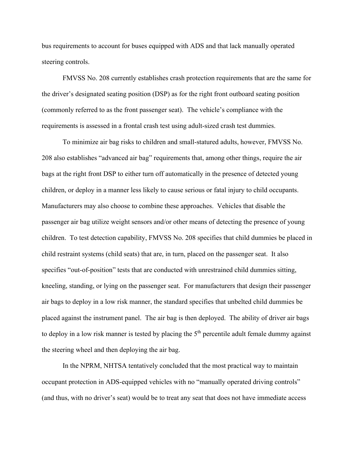bus requirements to account for buses equipped with ADS and that lack manually operated steering controls.

 FMVSS No. 208 currently establishes crash protection requirements that are the same for the driver's designated seating position (DSP) as for the right front outboard seating position (commonly referred to as the front passenger seat). The vehicle's compliance with the requirements is assessed in a frontal crash test using adult-sized crash test dummies.

 To minimize air bag risks to children and small-statured adults, however, FMVSS No. 208 also establishes "advanced air bag" requirements that, among other things, require the air bags at the right front DSP to either turn off automatically in the presence of detected young children, or deploy in a manner less likely to cause serious or fatal injury to child occupants. Manufacturers may also choose to combine these approaches. Vehicles that disable the passenger air bag utilize weight sensors and/or other means of detecting the presence of young children. To test detection capability, FMVSS No. 208 specifies that child dummies be placed in child restraint systems (child seats) that are, in turn, placed on the passenger seat. It also specifies "out-of-position" tests that are conducted with unrestrained child dummies sitting, kneeling, standing, or lying on the passenger seat. For manufacturers that design their passenger air bags to deploy in a low risk manner, the standard specifies that unbelted child dummies be placed against the instrument panel. The air bag is then deployed. The ability of driver air bags to deploy in a low risk manner is tested by placing the  $5<sup>th</sup>$  percentile adult female dummy against the steering wheel and then deploying the air bag.

 In the NPRM, NHTSA tentatively concluded that the most practical way to maintain occupant protection in ADS-equipped vehicles with no "manually operated driving controls" (and thus, with no driver's seat) would be to treat any seat that does not have immediate access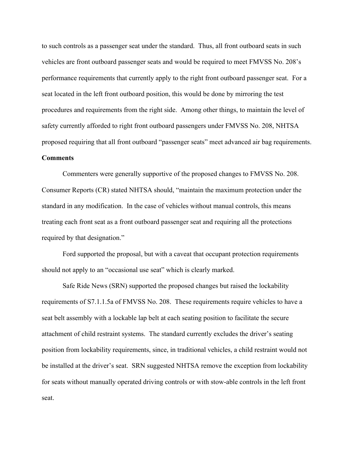to such controls as a passenger seat under the standard. Thus, all front outboard seats in such vehicles are front outboard passenger seats and would be required to meet FMVSS No. 208's performance requirements that currently apply to the right front outboard passenger seat. For a seat located in the left front outboard position, this would be done by mirroring the test procedures and requirements from the right side. Among other things, to maintain the level of safety currently afforded to right front outboard passengers under FMVSS No. 208, NHTSA proposed requiring that all front outboard "passenger seats" meet advanced air bag requirements.

# **Comments**

 Commenters were generally supportive of the proposed changes to FMVSS No. 208. Consumer Reports (CR) stated NHTSA should, "maintain the maximum protection under the standard in any modification. In the case of vehicles without manual controls, this means treating each front seat as a front outboard passenger seat and requiring all the protections required by that designation."

 Ford supported the proposal, but with a caveat that occupant protection requirements should not apply to an "occasional use seat" which is clearly marked.

 Safe Ride News (SRN) supported the proposed changes but raised the lockability requirements of S7.1.1.5a of FMVSS No. 208. These requirements require vehicles to have a seat belt assembly with a lockable lap belt at each seating position to facilitate the secure attachment of child restraint systems. The standard currently excludes the driver's seating position from lockability requirements, since, in traditional vehicles, a child restraint would not be installed at the driver's seat. SRN suggested NHTSA remove the exception from lockability for seats without manually operated driving controls or with stow-able controls in the left front seat.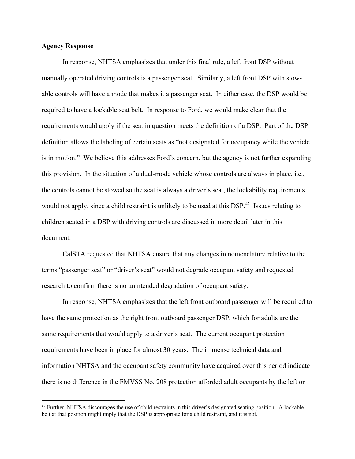## **Agency Response**

 In response, NHTSA emphasizes that under this final rule, a left front DSP without manually operated driving controls is a passenger seat. Similarly, a left front DSP with stowable controls will have a mode that makes it a passenger seat. In either case, the DSP would be required to have a lockable seat belt. In response to Ford, we would make clear that the requirements would apply if the seat in question meets the definition of a DSP. Part of the DSP definition allows the labeling of certain seats as "not designated for occupancy while the vehicle is in motion." We believe this addresses Ford's concern, but the agency is not further expanding this provision. In the situation of a dual-mode vehicle whose controls are always in place, i.e., the controls cannot be stowed so the seat is always a driver's seat, the lockability requirements would not apply, since a child restraint is unlikely to be used at this DSP.<sup>42</sup> Issues relating to children seated in a DSP with driving controls are discussed in more detail later in this document.

 CalSTA requested that NHTSA ensure that any changes in nomenclature relative to the terms "passenger seat" or "driver's seat" would not degrade occupant safety and requested research to confirm there is no unintended degradation of occupant safety.

In response, NHTSA emphasizes that the left front outboard passenger will be required to have the same protection as the right front outboard passenger DSP, which for adults are the same requirements that would apply to a driver's seat. The current occupant protection requirements have been in place for almost 30 years. The immense technical data and information NHTSA and the occupant safety community have acquired over this period indicate there is no difference in the FMVSS No. 208 protection afforded adult occupants by the left or

 $42$  Further, NHTSA discourages the use of child restraints in this driver's designated seating position. A lockable belt at that position might imply that the DSP is appropriate for a child restraint, and it is not.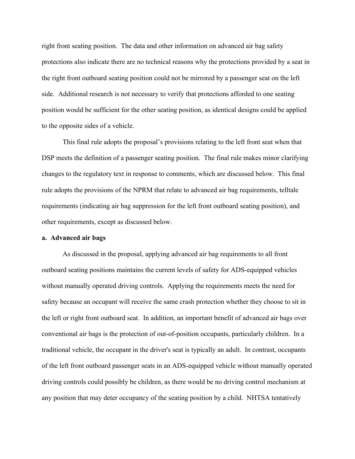right front seating position. The data and other information on advanced air bag safety protections also indicate there are no technical reasons why the protections provided by a seat in the right front outboard seating position could not be mirrored by a passenger seat on the left side. Additional research is not necessary to verify that protections afforded to one seating position would be sufficient for the other seating position, as identical designs could be applied to the opposite sides of a vehicle.

 This final rule adopts the proposal's provisions relating to the left front seat when that DSP meets the definition of a passenger seating position. The final rule makes minor clarifying changes to the regulatory text in response to comments, which are discussed below. This final rule adopts the provisions of the NPRM that relate to advanced air bag requirements, telltale requirements (indicating air bag suppression for the left front outboard seating position), and other requirements, except as discussed below.

#### **a. Advanced air bags**

 As discussed in the proposal, applying advanced air bag requirements to all front outboard seating positions maintains the current levels of safety for ADS-equipped vehicles without manually operated driving controls. Applying the requirements meets the need for safety because an occupant will receive the same crash protection whether they choose to sit in the left or right front outboard seat. In addition, an important benefit of advanced air bags over conventional air bags is the protection of out-of-position occupants, particularly children. In a traditional vehicle, the occupant in the driver's seat is typically an adult. In contrast, occupants of the left front outboard passenger seats in an ADS-equipped vehicle without manually operated driving controls could possibly be children, as there would be no driving control mechanism at any position that may deter occupancy of the seating position by a child. NHTSA tentatively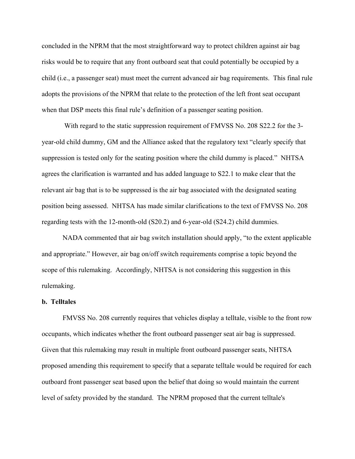concluded in the NPRM that the most straightforward way to protect children against air bag risks would be to require that any front outboard seat that could potentially be occupied by a child (i.e., a passenger seat) must meet the current advanced air bag requirements. This final rule adopts the provisions of the NPRM that relate to the protection of the left front seat occupant when that DSP meets this final rule's definition of a passenger seating position.

 With regard to the static suppression requirement of FMVSS No. 208 S22.2 for the 3 year-old child dummy, GM and the Alliance asked that the regulatory text "clearly specify that suppression is tested only for the seating position where the child dummy is placed." NHTSA agrees the clarification is warranted and has added language to S22.1 to make clear that the relevant air bag that is to be suppressed is the air bag associated with the designated seating position being assessed. NHTSA has made similar clarifications to the text of FMVSS No. 208 regarding tests with the 12-month-old (S20.2) and 6-year-old (S24.2) child dummies.

 NADA commented that air bag switch installation should apply, "to the extent applicable and appropriate." However, air bag on/off switch requirements comprise a topic beyond the scope of this rulemaking. Accordingly, NHTSA is not considering this suggestion in this rulemaking.

## **b. Telltales**

 FMVSS No. 208 currently requires that vehicles display a telltale, visible to the front row occupants, which indicates whether the front outboard passenger seat air bag is suppressed. Given that this rulemaking may result in multiple front outboard passenger seats, NHTSA proposed amending this requirement to specify that a separate telltale would be required for each outboard front passenger seat based upon the belief that doing so would maintain the current level of safety provided by the standard. The NPRM proposed that the current telltale's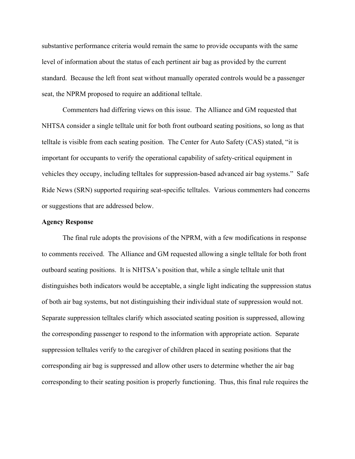substantive performance criteria would remain the same to provide occupants with the same level of information about the status of each pertinent air bag as provided by the current standard. Because the left front seat without manually operated controls would be a passenger seat, the NPRM proposed to require an additional telltale.

 Commenters had differing views on this issue. The Alliance and GM requested that NHTSA consider a single telltale unit for both front outboard seating positions, so long as that telltale is visible from each seating position. The Center for Auto Safety (CAS) stated, "it is important for occupants to verify the operational capability of safety-critical equipment in vehicles they occupy, including telltales for suppression-based advanced air bag systems." Safe Ride News (SRN) supported requiring seat-specific telltales. Various commenters had concerns or suggestions that are addressed below.

## **Agency Response**

 The final rule adopts the provisions of the NPRM, with a few modifications in response to comments received. The Alliance and GM requested allowing a single telltale for both front outboard seating positions. It is NHTSA's position that, while a single telltale unit that distinguishes both indicators would be acceptable, a single light indicating the suppression status of both air bag systems, but not distinguishing their individual state of suppression would not. Separate suppression telltales clarify which associated seating position is suppressed, allowing the corresponding passenger to respond to the information with appropriate action. Separate suppression telltales verify to the caregiver of children placed in seating positions that the corresponding air bag is suppressed and allow other users to determine whether the air bag corresponding to their seating position is properly functioning. Thus, this final rule requires the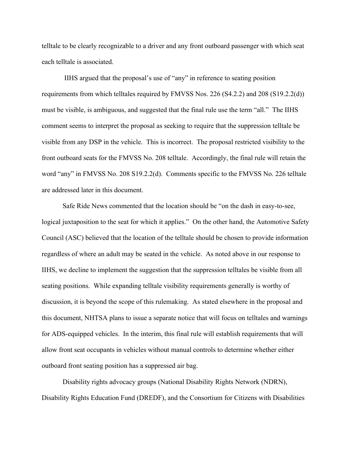telltale to be clearly recognizable to a driver and any front outboard passenger with which seat each telltale is associated.

 IIHS argued that the proposal's use of "any" in reference to seating position requirements from which telltales required by FMVSS Nos. 226 (S4.2.2) and 208 (S19.2.2(d)) must be visible, is ambiguous, and suggested that the final rule use the term "all." The IIHS comment seems to interpret the proposal as seeking to require that the suppression telltale be visible from any DSP in the vehicle. This is incorrect. The proposal restricted visibility to the front outboard seats for the FMVSS No. 208 telltale. Accordingly, the final rule will retain the word "any" in FMVSS No. 208 S19.2.2(d). Comments specific to the FMVSS No. 226 telltale are addressed later in this document.

 Safe Ride News commented that the location should be "on the dash in easy-to-see, logical juxtaposition to the seat for which it applies." On the other hand, the Automotive Safety Council (ASC) believed that the location of the telltale should be chosen to provide information regardless of where an adult may be seated in the vehicle. As noted above in our response to IIHS, we decline to implement the suggestion that the suppression telltales be visible from all seating positions. While expanding telltale visibility requirements generally is worthy of discussion, it is beyond the scope of this rulemaking. As stated elsewhere in the proposal and this document, NHTSA plans to issue a separate notice that will focus on telltales and warnings for ADS-equipped vehicles. In the interim, this final rule will establish requirements that will allow front seat occupants in vehicles without manual controls to determine whether either outboard front seating position has a suppressed air bag.

 Disability rights advocacy groups (National Disability Rights Network (NDRN), Disability Rights Education Fund (DREDF), and the Consortium for Citizens with Disabilities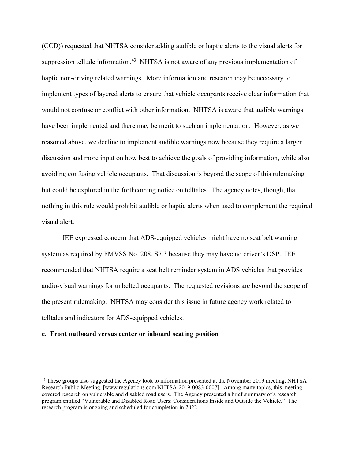(CCD)) requested that NHTSA consider adding audible or haptic alerts to the visual alerts for suppression telltale information.<sup>43</sup> NHTSA is not aware of any previous implementation of haptic non-driving related warnings. More information and research may be necessary to implement types of layered alerts to ensure that vehicle occupants receive clear information that would not confuse or conflict with other information. NHTSA is aware that audible warnings have been implemented and there may be merit to such an implementation. However, as we reasoned above, we decline to implement audible warnings now because they require a larger discussion and more input on how best to achieve the goals of providing information, while also avoiding confusing vehicle occupants. That discussion is beyond the scope of this rulemaking but could be explored in the forthcoming notice on telltales. The agency notes, though, that nothing in this rule would prohibit audible or haptic alerts when used to complement the required visual alert.

 IEE expressed concern that ADS-equipped vehicles might have no seat belt warning system as required by FMVSS No. 208, S7.3 because they may have no driver's DSP. IEE recommended that NHTSA require a seat belt reminder system in ADS vehicles that provides audio-visual warnings for unbelted occupants. The requested revisions are beyond the scope of the present rulemaking. NHTSA may consider this issue in future agency work related to telltales and indicators for ADS-equipped vehicles.

#### **c. Front outboard versus center or inboard seating position**

<sup>&</sup>lt;sup>43</sup> These groups also suggested the Agency look to information presented at the November 2019 meeting, NHTSA Research Public Meeting, [www.regulations.com NHTSA-2019-0083-0007]. Among many topics, this meeting covered research on vulnerable and disabled road users. The Agency presented a brief summary of a research program entitled "Vulnerable and Disabled Road Users: Considerations Inside and Outside the Vehicle." The research program is ongoing and scheduled for completion in 2022.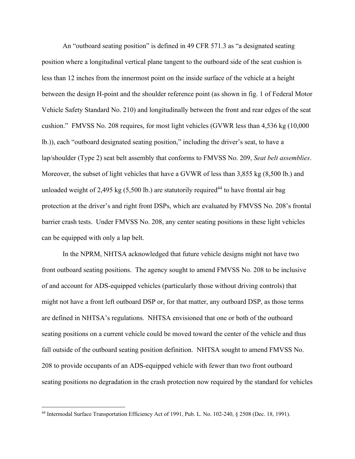An "outboard seating position" is defined in 49 CFR 571.3 as "a designated seating position where a longitudinal vertical plane tangent to the outboard side of the seat cushion is less than 12 inches from the innermost point on the inside surface of the vehicle at a height between the design H-point and the shoulder reference point (as shown in fig. 1 of Federal Motor Vehicle Safety Standard No. 210) and longitudinally between the front and rear edges of the seat cushion." FMVSS No. 208 requires, for most light vehicles (GVWR less than 4,536 kg (10,000 lb.)), each "outboard designated seating position," including the driver's seat, to have a lap/shoulder (Type 2) seat belt assembly that conforms to FMVSS No. 209, *Seat belt assemblies*. Moreover, the subset of light vehicles that have a GVWR of less than 3,855 kg (8,500 lb.) and unloaded weight of 2,495 kg  $(5,500 \text{ lb.})$  are statutorily required<sup>44</sup> to have frontal air bag protection at the driver's and right front DSPs, which are evaluated by FMVSS No. 208's frontal barrier crash tests. Under FMVSS No. 208, any center seating positions in these light vehicles can be equipped with only a lap belt.

 In the NPRM, NHTSA acknowledged that future vehicle designs might not have two front outboard seating positions. The agency sought to amend FMVSS No. 208 to be inclusive of and account for ADS-equipped vehicles (particularly those without driving controls) that might not have a front left outboard DSP or, for that matter, any outboard DSP, as those terms are defined in NHTSA's regulations. NHTSA envisioned that one or both of the outboard seating positions on a current vehicle could be moved toward the center of the vehicle and thus fall outside of the outboard seating position definition. NHTSA sought to amend FMVSS No. 208 to provide occupants of an ADS-equipped vehicle with fewer than two front outboard seating positions no degradation in the crash protection now required by the standard for vehicles

<sup>44</sup> Intermodal Surface Transportation Efficiency Act of 1991, Pub. L. No. 102-240, § 2508 (Dec. 18, 1991).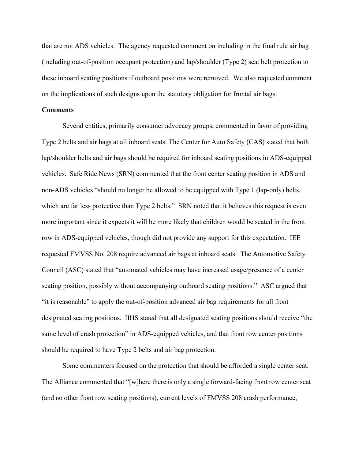that are not ADS vehicles. The agency requested comment on including in the final rule air bag (including out-of-position occupant protection) and lap/shoulder (Type 2) seat belt protection to these inboard seating positions if outboard positions were removed. We also requested comment on the implications of such designs upon the statutory obligation for frontal air bags.

### **Comments**

 Several entities, primarily consumer advocacy groups, commented in favor of providing Type 2 belts and air bags at all inboard seats. The Center for Auto Safety (CAS) stated that both lap/shoulder belts and air bags should be required for inboard seating positions in ADS-equipped vehicles. Safe Ride News (SRN) commented that the front center seating position in ADS and non-ADS vehicles "should no longer be allowed to be equipped with Type 1 (lap-only) belts, which are far less protective than Type 2 belts." SRN noted that it believes this request is even more important since it expects it will be more likely that children would be seated in the front row in ADS-equipped vehicles, though did not provide any support for this expectation. IEE requested FMVSS No. 208 require advanced air bags at inboard seats. The Automotive Safety Council (ASC) stated that "automated vehicles may have increased usage/presence of a center seating position, possibly without accompanying outboard seating positions." ASC argued that "it is reasonable" to apply the out-of-position advanced air bag requirements for all front designated seating positions. IIHS stated that all designated seating positions should receive "the same level of crash protection" in ADS-equipped vehicles, and that front row center positions should be required to have Type 2 belts and air bag protection.

 Some commenters focused on the protection that should be afforded a single center seat. The Alliance commented that "[w]here there is only a single forward-facing front row center seat (and no other front row seating positions), current levels of FMVSS 208 crash performance,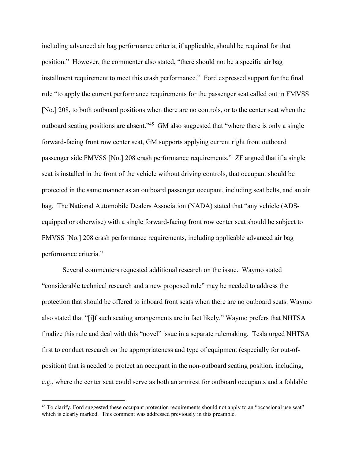including advanced air bag performance criteria, if applicable, should be required for that position." However, the commenter also stated, "there should not be a specific air bag installment requirement to meet this crash performance." Ford expressed support for the final rule "to apply the current performance requirements for the passenger seat called out in FMVSS [No.] 208, to both outboard positions when there are no controls, or to the center seat when the outboard seating positions are absent."45 GM also suggested that "where there is only a single forward-facing front row center seat, GM supports applying current right front outboard passenger side FMVSS [No.] 208 crash performance requirements." ZF argued that if a single seat is installed in the front of the vehicle without driving controls, that occupant should be protected in the same manner as an outboard passenger occupant, including seat belts, and an air bag. The National Automobile Dealers Association (NADA) stated that "any vehicle (ADSequipped or otherwise) with a single forward-facing front row center seat should be subject to FMVSS [No.] 208 crash performance requirements, including applicable advanced air bag performance criteria."

 Several commenters requested additional research on the issue. Waymo stated "considerable technical research and a new proposed rule" may be needed to address the protection that should be offered to inboard front seats when there are no outboard seats. Waymo also stated that "[i]f such seating arrangements are in fact likely," Waymo prefers that NHTSA finalize this rule and deal with this "novel" issue in a separate rulemaking. Tesla urged NHTSA first to conduct research on the appropriateness and type of equipment (especially for out-ofposition) that is needed to protect an occupant in the non-outboard seating position, including, e.g., where the center seat could serve as both an armrest for outboard occupants and a foldable

<sup>&</sup>lt;sup>45</sup> To clarify, Ford suggested these occupant protection requirements should not apply to an "occasional use seat" which is clearly marked. This comment was addressed previously in this preamble.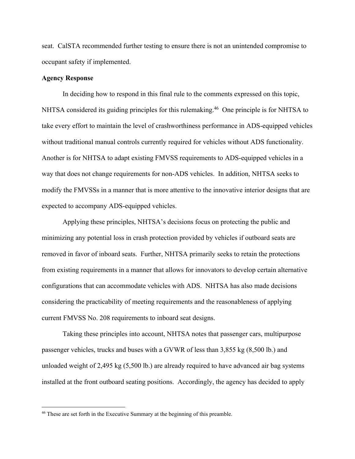seat. CalSTA recommended further testing to ensure there is not an unintended compromise to occupant safety if implemented.

## **Agency Response**

 In deciding how to respond in this final rule to the comments expressed on this topic, NHTSA considered its guiding principles for this rulemaking.<sup>46</sup> One principle is for NHTSA to take every effort to maintain the level of crashworthiness performance in ADS-equipped vehicles without traditional manual controls currently required for vehicles without ADS functionality. Another is for NHTSA to adapt existing FMVSS requirements to ADS-equipped vehicles in a way that does not change requirements for non-ADS vehicles. In addition, NHTSA seeks to modify the FMVSSs in a manner that is more attentive to the innovative interior designs that are expected to accompany ADS-equipped vehicles.

 Applying these principles, NHTSA's decisions focus on protecting the public and minimizing any potential loss in crash protection provided by vehicles if outboard seats are removed in favor of inboard seats. Further, NHTSA primarily seeks to retain the protections from existing requirements in a manner that allows for innovators to develop certain alternative configurations that can accommodate vehicles with ADS. NHTSA has also made decisions considering the practicability of meeting requirements and the reasonableness of applying current FMVSS No. 208 requirements to inboard seat designs.

 Taking these principles into account, NHTSA notes that passenger cars, multipurpose passenger vehicles, trucks and buses with a GVWR of less than 3,855 kg (8,500 lb.) and unloaded weight of 2,495 kg (5,500 lb.) are already required to have advanced air bag systems installed at the front outboard seating positions. Accordingly, the agency has decided to apply

<sup>&</sup>lt;sup>46</sup> These are set forth in the Executive Summary at the beginning of this preamble.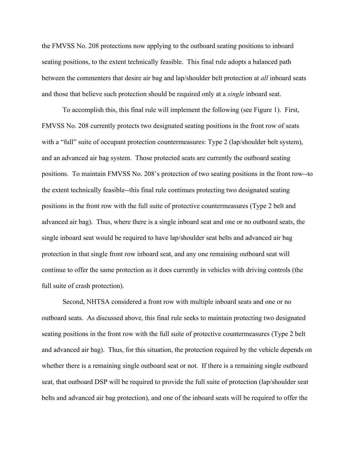the FMVSS No. 208 protections now applying to the outboard seating positions to inboard seating positions, to the extent technically feasible. This final rule adopts a balanced path between the commenters that desire air bag and lap/shoulder belt protection at *all* inboard seats and those that believe such protection should be required only at a *single* inboard seat.

 To accomplish this, this final rule will implement the following (see Figure 1). First, FMVSS No. 208 currently protects two designated seating positions in the front row of seats with a "full" suite of occupant protection countermeasures: Type 2 (lap/shoulder belt system), and an advanced air bag system. Those protected seats are currently the outboard seating positions. To maintain FMVSS No. 208's protection of two seating positions in the front row--to the extent technically feasible--this final rule continues protecting two designated seating positions in the front row with the full suite of protective countermeasures (Type 2 belt and advanced air bag). Thus, where there is a single inboard seat and one or no outboard seats, the single inboard seat would be required to have lap/shoulder seat belts and advanced air bag protection in that single front row inboard seat, and any one remaining outboard seat will continue to offer the same protection as it does currently in vehicles with driving controls (the full suite of crash protection).

 Second, NHTSA considered a front row with multiple inboard seats and one or no outboard seats. As discussed above, this final rule seeks to maintain protecting two designated seating positions in the front row with the full suite of protective countermeasures (Type 2 belt and advanced air bag). Thus, for this situation, the protection required by the vehicle depends on whether there is a remaining single outboard seat or not. If there is a remaining single outboard seat, that outboard DSP will be required to provide the full suite of protection (lap/shoulder seat belts and advanced air bag protection), and one of the inboard seats will be required to offer the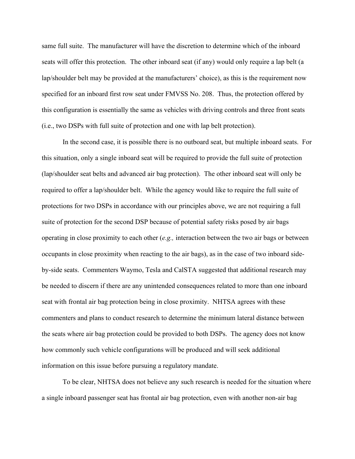same full suite. The manufacturer will have the discretion to determine which of the inboard seats will offer this protection. The other inboard seat (if any) would only require a lap belt (a lap/shoulder belt may be provided at the manufacturers' choice), as this is the requirement now specified for an inboard first row seat under FMVSS No. 208. Thus, the protection offered by this configuration is essentially the same as vehicles with driving controls and three front seats (i.e., two DSPs with full suite of protection and one with lap belt protection).

 In the second case, it is possible there is no outboard seat, but multiple inboard seats. For this situation, only a single inboard seat will be required to provide the full suite of protection (lap/shoulder seat belts and advanced air bag protection). The other inboard seat will only be required to offer a lap/shoulder belt. While the agency would like to require the full suite of protections for two DSPs in accordance with our principles above, we are not requiring a full suite of protection for the second DSP because of potential safety risks posed by air bags operating in close proximity to each other (*e.g.,* interaction between the two air bags or between occupants in close proximity when reacting to the air bags), as in the case of two inboard sideby-side seats. Commenters Waymo, Tesla and CalSTA suggested that additional research may be needed to discern if there are any unintended consequences related to more than one inboard seat with frontal air bag protection being in close proximity. NHTSA agrees with these commenters and plans to conduct research to determine the minimum lateral distance between the seats where air bag protection could be provided to both DSPs. The agency does not know how commonly such vehicle configurations will be produced and will seek additional information on this issue before pursuing a regulatory mandate.

To be clear, NHTSA does not believe any such research is needed for the situation where a single inboard passenger seat has frontal air bag protection, even with another non-air bag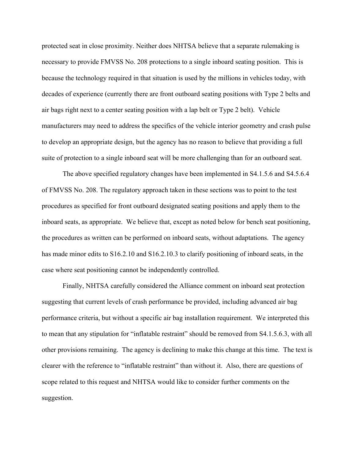protected seat in close proximity. Neither does NHTSA believe that a separate rulemaking is necessary to provide FMVSS No. 208 protections to a single inboard seating position. This is because the technology required in that situation is used by the millions in vehicles today, with decades of experience (currently there are front outboard seating positions with Type 2 belts and air bags right next to a center seating position with a lap belt or Type 2 belt). Vehicle manufacturers may need to address the specifics of the vehicle interior geometry and crash pulse to develop an appropriate design, but the agency has no reason to believe that providing a full suite of protection to a single inboard seat will be more challenging than for an outboard seat.

 The above specified regulatory changes have been implemented in S4.1.5.6 and S4.5.6.4 of FMVSS No. 208. The regulatory approach taken in these sections was to point to the test procedures as specified for front outboard designated seating positions and apply them to the inboard seats, as appropriate. We believe that, except as noted below for bench seat positioning, the procedures as written can be performed on inboard seats, without adaptations. The agency has made minor edits to  $S16.2.10$  and  $S16.2.10.3$  to clarify positioning of inboard seats, in the case where seat positioning cannot be independently controlled.

 Finally, NHTSA carefully considered the Alliance comment on inboard seat protection suggesting that current levels of crash performance be provided, including advanced air bag performance criteria, but without a specific air bag installation requirement. We interpreted this to mean that any stipulation for "inflatable restraint" should be removed from S4.1.5.6.3, with all other provisions remaining. The agency is declining to make this change at this time. The text is clearer with the reference to "inflatable restraint" than without it. Also, there are questions of scope related to this request and NHTSA would like to consider further comments on the suggestion.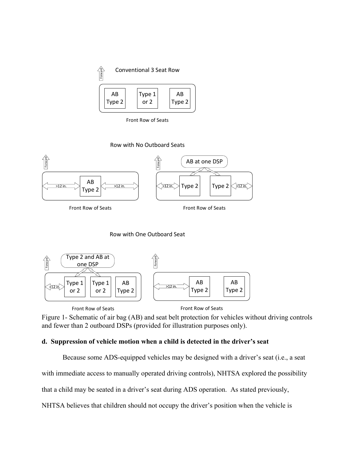

Front Row of Seats





Row with One Outboard Seat



Figure 1- Schematic of air bag (AB) and seat belt protection for vehicles without driving controls and fewer than 2 outboard DSPs (provided for illustration purposes only).

# **d. Suppression of vehicle motion when a child is detected in the driver's seat**

Because some ADS-equipped vehicles may be designed with a driver's seat (i.e., a seat

with immediate access to manually operated driving controls), NHTSA explored the possibility

that a child may be seated in a driver's seat during ADS operation. As stated previously,

NHTSA believes that children should not occupy the driver's position when the vehicle is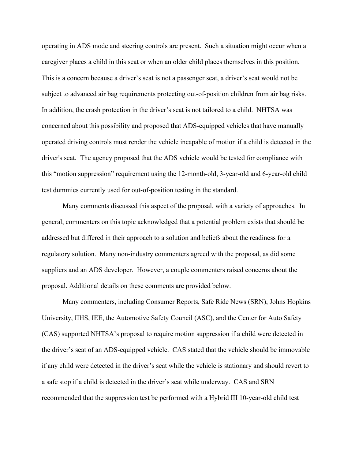operating in ADS mode and steering controls are present. Such a situation might occur when a caregiver places a child in this seat or when an older child places themselves in this position. This is a concern because a driver's seat is not a passenger seat, a driver's seat would not be subject to advanced air bag requirements protecting out-of-position children from air bag risks. In addition, the crash protection in the driver's seat is not tailored to a child. NHTSA was concerned about this possibility and proposed that ADS-equipped vehicles that have manually operated driving controls must render the vehicle incapable of motion if a child is detected in the driver's seat. The agency proposed that the ADS vehicle would be tested for compliance with this "motion suppression" requirement using the 12-month-old, 3-year-old and 6-year-old child test dummies currently used for out-of-position testing in the standard.

 Many comments discussed this aspect of the proposal, with a variety of approaches. In general, commenters on this topic acknowledged that a potential problem exists that should be addressed but differed in their approach to a solution and beliefs about the readiness for a regulatory solution. Many non-industry commenters agreed with the proposal, as did some suppliers and an ADS developer. However, a couple commenters raised concerns about the proposal. Additional details on these comments are provided below.

Many commenters, including Consumer Reports, Safe Ride News (SRN), Johns Hopkins University, IIHS, IEE, the Automotive Safety Council (ASC), and the Center for Auto Safety (CAS) supported NHTSA's proposal to require motion suppression if a child were detected in the driver's seat of an ADS-equipped vehicle. CAS stated that the vehicle should be immovable if any child were detected in the driver's seat while the vehicle is stationary and should revert to a safe stop if a child is detected in the driver's seat while underway. CAS and SRN recommended that the suppression test be performed with a Hybrid III 10-year-old child test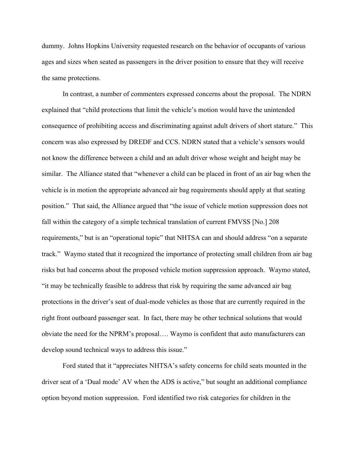dummy. Johns Hopkins University requested research on the behavior of occupants of various ages and sizes when seated as passengers in the driver position to ensure that they will receive the same protections.

 In contrast, a number of commenters expressed concerns about the proposal. The NDRN explained that "child protections that limit the vehicle's motion would have the unintended consequence of prohibiting access and discriminating against adult drivers of short stature." This concern was also expressed by DREDF and CCS. NDRN stated that a vehicle's sensors would not know the difference between a child and an adult driver whose weight and height may be similar. The Alliance stated that "whenever a child can be placed in front of an air bag when the vehicle is in motion the appropriate advanced air bag requirements should apply at that seating position." That said, the Alliance argued that "the issue of vehicle motion suppression does not fall within the category of a simple technical translation of current FMVSS [No.] 208 requirements," but is an "operational topic" that NHTSA can and should address "on a separate track." Waymo stated that it recognized the importance of protecting small children from air bag risks but had concerns about the proposed vehicle motion suppression approach. Waymo stated, "it may be technically feasible to address that risk by requiring the same advanced air bag protections in the driver's seat of dual-mode vehicles as those that are currently required in the right front outboard passenger seat. In fact, there may be other technical solutions that would obviate the need for the NPRM's proposal…. Waymo is confident that auto manufacturers can develop sound technical ways to address this issue."

 Ford stated that it "appreciates NHTSA's safety concerns for child seats mounted in the driver seat of a 'Dual mode' AV when the ADS is active," but sought an additional compliance option beyond motion suppression. Ford identified two risk categories for children in the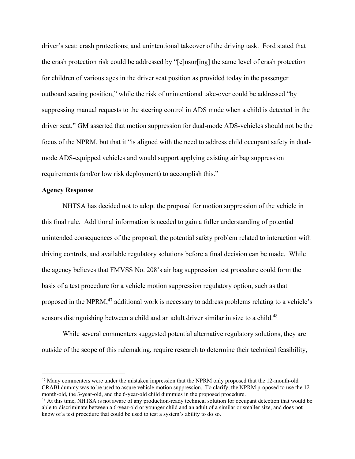driver's seat: crash protections; and unintentional takeover of the driving task. Ford stated that the crash protection risk could be addressed by "[e]nsur[ing] the same level of crash protection for children of various ages in the driver seat position as provided today in the passenger outboard seating position," while the risk of unintentional take-over could be addressed "by suppressing manual requests to the steering control in ADS mode when a child is detected in the driver seat." GM asserted that motion suppression for dual-mode ADS-vehicles should not be the focus of the NPRM, but that it "is aligned with the need to address child occupant safety in dualmode ADS-equipped vehicles and would support applying existing air bag suppression requirements (and/or low risk deployment) to accomplish this."

## **Agency Response**

 NHTSA has decided not to adopt the proposal for motion suppression of the vehicle in this final rule. Additional information is needed to gain a fuller understanding of potential unintended consequences of the proposal, the potential safety problem related to interaction with driving controls, and available regulatory solutions before a final decision can be made. While the agency believes that FMVSS No. 208's air bag suppression test procedure could form the basis of a test procedure for a vehicle motion suppression regulatory option, such as that proposed in the NPRM,<sup>47</sup> additional work is necessary to address problems relating to a vehicle's sensors distinguishing between a child and an adult driver similar in size to a child.<sup>48</sup>

 While several commenters suggested potential alternative regulatory solutions, they are outside of the scope of this rulemaking, require research to determine their technical feasibility,

<sup>&</sup>lt;sup>47</sup> Many commenters were under the mistaken impression that the NPRM only proposed that the 12-month-old CRABI dummy was to be used to assure vehicle motion suppression. To clarify, the NPRM proposed to use the 12 month-old, the 3-year-old, and the 6-year-old child dummies in the proposed procedure.

<sup>&</sup>lt;sup>48</sup> At this time, NHTSA is not aware of any production-ready technical solution for occupant detection that would be able to discriminate between a 6-year-old or younger child and an adult of a similar or smaller size, and does not know of a test procedure that could be used to test a system's ability to do so.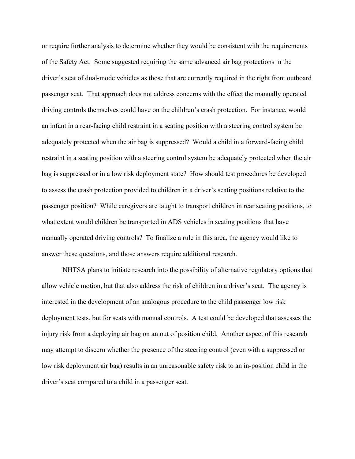or require further analysis to determine whether they would be consistent with the requirements of the Safety Act. Some suggested requiring the same advanced air bag protections in the driver's seat of dual-mode vehicles as those that are currently required in the right front outboard passenger seat. That approach does not address concerns with the effect the manually operated driving controls themselves could have on the children's crash protection. For instance, would an infant in a rear-facing child restraint in a seating position with a steering control system be adequately protected when the air bag is suppressed? Would a child in a forward-facing child restraint in a seating position with a steering control system be adequately protected when the air bag is suppressed or in a low risk deployment state? How should test procedures be developed to assess the crash protection provided to children in a driver's seating positions relative to the passenger position? While caregivers are taught to transport children in rear seating positions, to what extent would children be transported in ADS vehicles in seating positions that have manually operated driving controls? To finalize a rule in this area, the agency would like to answer these questions, and those answers require additional research.

 NHTSA plans to initiate research into the possibility of alternative regulatory options that allow vehicle motion, but that also address the risk of children in a driver's seat. The agency is interested in the development of an analogous procedure to the child passenger low risk deployment tests, but for seats with manual controls. A test could be developed that assesses the injury risk from a deploying air bag on an out of position child. Another aspect of this research may attempt to discern whether the presence of the steering control (even with a suppressed or low risk deployment air bag) results in an unreasonable safety risk to an in-position child in the driver's seat compared to a child in a passenger seat.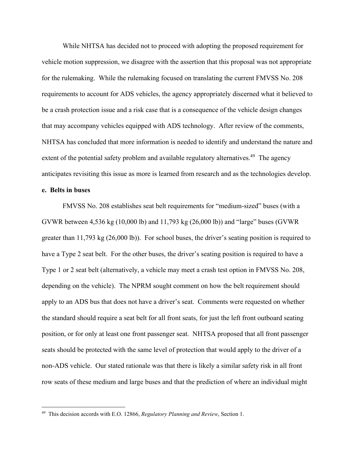While NHTSA has decided not to proceed with adopting the proposed requirement for vehicle motion suppression, we disagree with the assertion that this proposal was not appropriate for the rulemaking. While the rulemaking focused on translating the current FMVSS No. 208 requirements to account for ADS vehicles, the agency appropriately discerned what it believed to be a crash protection issue and a risk case that is a consequence of the vehicle design changes that may accompany vehicles equipped with ADS technology. After review of the comments, NHTSA has concluded that more information is needed to identify and understand the nature and extent of the potential safety problem and available regulatory alternatives.<sup>49</sup> The agency anticipates revisiting this issue as more is learned from research and as the technologies develop.

#### **e. Belts in buses**

 FMVSS No. 208 establishes seat belt requirements for "medium-sized" buses (with a GVWR between 4,536 kg (10,000 lb) and 11,793 kg (26,000 lb)) and "large" buses (GVWR greater than 11,793 kg (26,000 lb)). For school buses, the driver's seating position is required to have a Type 2 seat belt. For the other buses, the driver's seating position is required to have a Type 1 or 2 seat belt (alternatively, a vehicle may meet a crash test option in FMVSS No. 208, depending on the vehicle). The NPRM sought comment on how the belt requirement should apply to an ADS bus that does not have a driver's seat. Comments were requested on whether the standard should require a seat belt for all front seats, for just the left front outboard seating position, or for only at least one front passenger seat. NHTSA proposed that all front passenger seats should be protected with the same level of protection that would apply to the driver of a non-ADS vehicle. Our stated rationale was that there is likely a similar safety risk in all front row seats of these medium and large buses and that the prediction of where an individual might

<sup>49</sup> This decision accords with E.O. 12866, *Regulatory Planning and Review*, Section 1.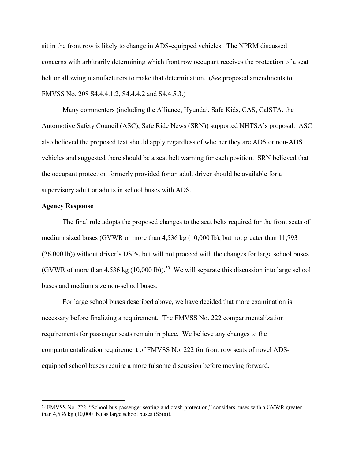sit in the front row is likely to change in ADS-equipped vehicles. The NPRM discussed concerns with arbitrarily determining which front row occupant receives the protection of a seat belt or allowing manufacturers to make that determination. (*See* proposed amendments to FMVSS No. 208 S4.4.4.1.2, S4.4.4.2 and S4.4.5.3.)

 Many commenters (including the Alliance, Hyundai, Safe Kids, CAS, CalSTA, the Automotive Safety Council (ASC), Safe Ride News (SRN)) supported NHTSA's proposal. ASC also believed the proposed text should apply regardless of whether they are ADS or non-ADS vehicles and suggested there should be a seat belt warning for each position. SRN believed that the occupant protection formerly provided for an adult driver should be available for a supervisory adult or adults in school buses with ADS.

## **Agency Response**

 The final rule adopts the proposed changes to the seat belts required for the front seats of medium sized buses (GVWR or more than 4,536 kg (10,000 lb), but not greater than 11,793 (26,000 lb)) without driver's DSPs, but will not proceed with the changes for large school buses (GVWR of more than 4,536 kg  $(10,000 \text{ lb})$ ).<sup>50</sup> We will separate this discussion into large school buses and medium size non-school buses.

 For large school buses described above, we have decided that more examination is necessary before finalizing a requirement. The FMVSS No. 222 compartmentalization requirements for passenger seats remain in place. We believe any changes to the compartmentalization requirement of FMVSS No. 222 for front row seats of novel ADSequipped school buses require a more fulsome discussion before moving forward.

<sup>&</sup>lt;sup>50</sup> FMVSS No. 222, "School bus passenger seating and crash protection," considers buses with a GVWR greater than 4,536 kg (10,000 lb.) as large school buses  $(S5(a))$ .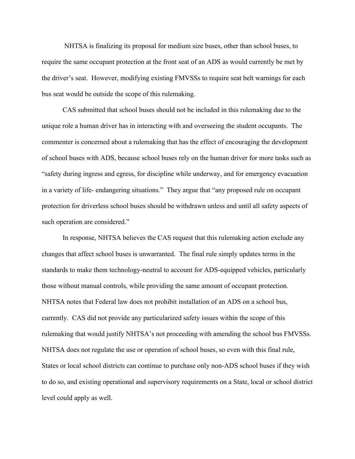NHTSA is finalizing its proposal for medium size buses, other than school buses, to require the same occupant protection at the front seat of an ADS as would currently be met by the driver's seat. However, modifying existing FMVSSs to require seat belt warnings for each bus seat would be outside the scope of this rulemaking.

 CAS submitted that school buses should not be included in this rulemaking due to the unique role a human driver has in interacting with and overseeing the student occupants. The commenter is concerned about a rulemaking that has the effect of encouraging the development of school buses with ADS, because school buses rely on the human driver for more tasks such as "safety during ingress and egress, for discipline while underway, and for emergency evacuation in a variety of life- endangering situations." They argue that "any proposed rule on occupant protection for driverless school buses should be withdrawn unless and until all safety aspects of such operation are considered."

 In response, NHTSA believes the CAS request that this rulemaking action exclude any changes that affect school buses is unwarranted. The final rule simply updates terms in the standards to make them technology-neutral to account for ADS-equipped vehicles, particularly those without manual controls, while providing the same amount of occupant protection. NHTSA notes that Federal law does not prohibit installation of an ADS on a school bus, currently. CAS did not provide any particularized safety issues within the scope of this rulemaking that would justify NHTSA's not proceeding with amending the school bus FMVSSs. NHTSA does not regulate the use or operation of school buses, so even with this final rule, States or local school districts can continue to purchase only non-ADS school buses if they wish to do so, and existing operational and supervisory requirements on a State, local or school district level could apply as well.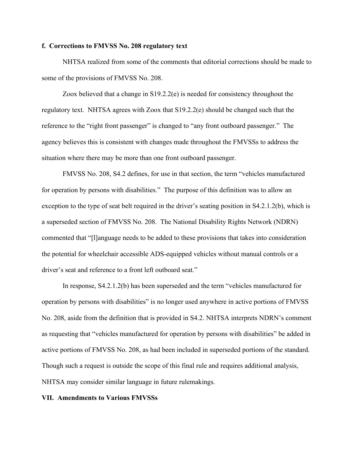## **f. Corrections to FMVSS No. 208 regulatory text**

 NHTSA realized from some of the comments that editorial corrections should be made to some of the provisions of FMVSS No. 208.

 Zoox believed that a change in S19.2.2(e) is needed for consistency throughout the regulatory text. NHTSA agrees with Zoox that S19.2.2(e) should be changed such that the reference to the "right front passenger" is changed to "any front outboard passenger." The agency believes this is consistent with changes made throughout the FMVSSs to address the situation where there may be more than one front outboard passenger.

 FMVSS No. 208, S4.2 defines, for use in that section, the term "vehicles manufactured for operation by persons with disabilities." The purpose of this definition was to allow an exception to the type of seat belt required in the driver's seating position in S4.2.1.2(b), which is a superseded section of FMVSS No. 208. The National Disability Rights Network (NDRN) commented that "[l]anguage needs to be added to these provisions that takes into consideration the potential for wheelchair accessible ADS-equipped vehicles without manual controls or a driver's seat and reference to a front left outboard seat."

 In response, S4.2.1.2(b) has been superseded and the term "vehicles manufactured for operation by persons with disabilities" is no longer used anywhere in active portions of FMVSS No. 208, aside from the definition that is provided in S4.2. NHTSA interprets NDRN's comment as requesting that "vehicles manufactured for operation by persons with disabilities" be added in active portions of FMVSS No. 208, as had been included in superseded portions of the standard. Though such a request is outside the scope of this final rule and requires additional analysis, NHTSA may consider similar language in future rulemakings.

#### **VII. Amendments to Various FMVSSs**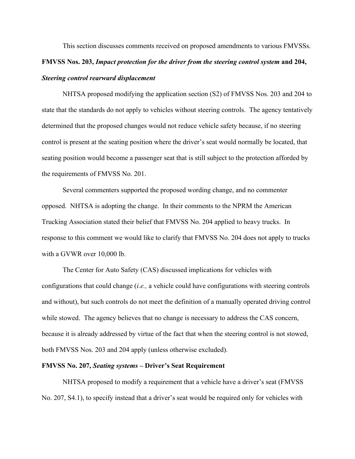This section discusses comments received on proposed amendments to various FMVSSs. **FMVSS Nos. 203,** *Impact protection for the driver from the steering control system* **and 204,**  *Steering control rearward displacement*

NHTSA proposed modifying the application section (S2) of FMVSS Nos. 203 and 204 to state that the standards do not apply to vehicles without steering controls. The agency tentatively determined that the proposed changes would not reduce vehicle safety because, if no steering control is present at the seating position where the driver's seat would normally be located, that seating position would become a passenger seat that is still subject to the protection afforded by the requirements of FMVSS No. 201.

 Several commenters supported the proposed wording change, and no commenter opposed. NHTSA is adopting the change. In their comments to the NPRM the American Trucking Association stated their belief that FMVSS No. 204 applied to heavy trucks. In response to this comment we would like to clarify that FMVSS No. 204 does not apply to trucks with a GVWR over 10,000 lb.

 The Center for Auto Safety (CAS) discussed implications for vehicles with configurations that could change (*i.e.,* a vehicle could have configurations with steering controls and without), but such controls do not meet the definition of a manually operated driving control while stowed. The agency believes that no change is necessary to address the CAS concern, because it is already addressed by virtue of the fact that when the steering control is not stowed, both FMVSS Nos. 203 and 204 apply (unless otherwise excluded).

## **FMVSS No. 207,** *Seating systems* **– Driver's Seat Requirement**

 NHTSA proposed to modify a requirement that a vehicle have a driver's seat (FMVSS No. 207, S4.1), to specify instead that a driver's seat would be required only for vehicles with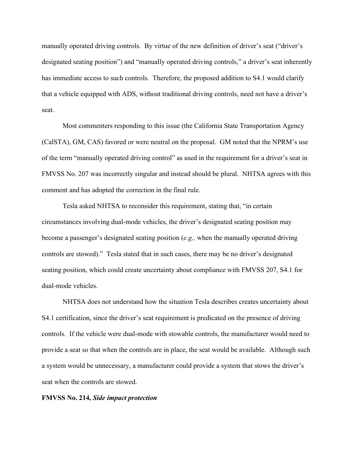manually operated driving controls. By virtue of the new definition of driver's seat ("driver's designated seating position") and "manually operated driving controls," a driver's seat inherently has immediate access to such controls. Therefore, the proposed addition to S4.1 would clarify that a vehicle equipped with ADS, without traditional driving controls, need not have a driver's seat.

 Most commenters responding to this issue (the California State Transportation Agency (CalSTA), GM, CAS) favored or were neutral on the proposal. GM noted that the NPRM's use of the term "manually operated driving control" as used in the requirement for a driver's seat in FMVSS No. 207 was incorrectly singular and instead should be plural. NHTSA agrees with this comment and has adopted the correction in the final rule.

 Tesla asked NHTSA to reconsider this requirement, stating that, "in certain circumstances involving dual-mode vehicles, the driver's designated seating position may become a passenger's designated seating position (*e.g.,* when the manually operated driving controls are stowed)." Tesla stated that in such cases, there may be no driver's designated seating position, which could create uncertainty about compliance with FMVSS 207, S4.1 for dual-mode vehicles.

 NHTSA does not understand how the situation Tesla describes creates uncertainty about S4.1 certification, since the driver's seat requirement is predicated on the presence of driving controls. If the vehicle were dual-mode with stowable controls, the manufacturer would need to provide a seat so that when the controls are in place, the seat would be available. Although such a system would be unnecessary, a manufacturer could provide a system that stows the driver's seat when the controls are stowed.

#### **FMVSS No. 214,** *Side impact protection*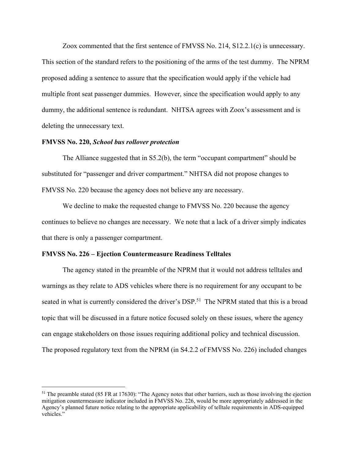Zoox commented that the first sentence of FMVSS No. 214, S12.2.1(c) is unnecessary. This section of the standard refers to the positioning of the arms of the test dummy. The NPRM proposed adding a sentence to assure that the specification would apply if the vehicle had multiple front seat passenger dummies. However, since the specification would apply to any dummy, the additional sentence is redundant. NHTSA agrees with Zoox's assessment and is deleting the unnecessary text.

#### **FMVSS No. 220,** *School bus rollover protection*

 The Alliance suggested that in S5.2(b), the term "occupant compartment" should be substituted for "passenger and driver compartment." NHTSA did not propose changes to FMVSS No. 220 because the agency does not believe any are necessary.

 We decline to make the requested change to FMVSS No. 220 because the agency continues to believe no changes are necessary. We note that a lack of a driver simply indicates that there is only a passenger compartment.

#### **FMVSS No. 226 – Ejection Countermeasure Readiness Telltales**

 The agency stated in the preamble of the NPRM that it would not address telltales and warnings as they relate to ADS vehicles where there is no requirement for any occupant to be seated in what is currently considered the driver's DSP.<sup>51</sup> The NPRM stated that this is a broad topic that will be discussed in a future notice focused solely on these issues, where the agency can engage stakeholders on those issues requiring additional policy and technical discussion. The proposed regulatory text from the NPRM (in S4.2.2 of FMVSS No. 226) included changes

 $<sup>51</sup>$  The preamble stated (85 FR at 17630): "The Agency notes that other barriers, such as those involving the ejection</sup> mitigation countermeasure indicator included in FMVSS No. 226, would be more appropriately addressed in the Agency's planned future notice relating to the appropriate applicability of telltale requirements in ADS-equipped vehicles."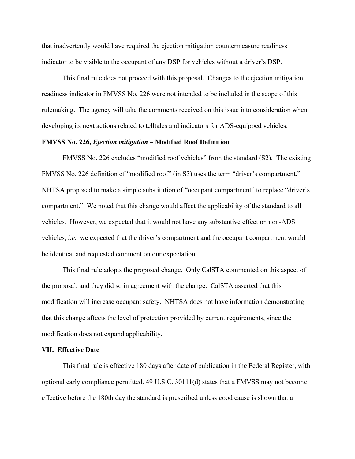that inadvertently would have required the ejection mitigation countermeasure readiness indicator to be visible to the occupant of any DSP for vehicles without a driver's DSP.

 This final rule does not proceed with this proposal. Changes to the ejection mitigation readiness indicator in FMVSS No. 226 were not intended to be included in the scope of this rulemaking. The agency will take the comments received on this issue into consideration when developing its next actions related to telltales and indicators for ADS-equipped vehicles.

#### **FMVSS No. 226,** *Ejection mitigation* **– Modified Roof Definition**

 FMVSS No. 226 excludes "modified roof vehicles" from the standard (S2). The existing FMVSS No. 226 definition of "modified roof" (in S3) uses the term "driver's compartment." NHTSA proposed to make a simple substitution of "occupant compartment" to replace "driver's compartment." We noted that this change would affect the applicability of the standard to all vehicles. However, we expected that it would not have any substantive effect on non-ADS vehicles, *i.e.,* we expected that the driver's compartment and the occupant compartment would be identical and requested comment on our expectation.

 This final rule adopts the proposed change. Only CalSTA commented on this aspect of the proposal, and they did so in agreement with the change. CalSTA asserted that this modification will increase occupant safety. NHTSA does not have information demonstrating that this change affects the level of protection provided by current requirements, since the modification does not expand applicability.

#### **VII. Effective Date**

 This final rule is effective 180 days after date of publication in the Federal Register, with optional early compliance permitted. 49 U.S.C. 30111(d) states that a FMVSS may not become effective before the 180th day the standard is prescribed unless good cause is shown that a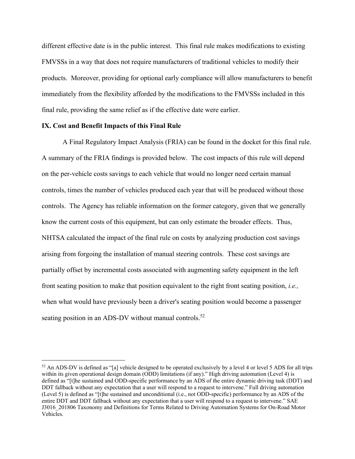different effective date is in the public interest. This final rule makes modifications to existing FMVSSs in a way that does not require manufacturers of traditional vehicles to modify their products. Moreover, providing for optional early compliance will allow manufacturers to benefit immediately from the flexibility afforded by the modifications to the FMVSSs included in this final rule, providing the same relief as if the effective date were earlier.

#### **IX. Cost and Benefit Impacts of this Final Rule**

A Final Regulatory Impact Analysis (FRIA) can be found in the docket for this final rule. A summary of the FRIA findings is provided below. The cost impacts of this rule will depend on the per-vehicle costs savings to each vehicle that would no longer need certain manual controls, times the number of vehicles produced each year that will be produced without those controls. The Agency has reliable information on the former category, given that we generally know the current costs of this equipment, but can only estimate the broader effects. Thus, NHTSA calculated the impact of the final rule on costs by analyzing production cost savings arising from forgoing the installation of manual steering controls. These cost savings are partially offset by incremental costs associated with augmenting safety equipment in the left front seating position to make that position equivalent to the right front seating position, *i.e.,* when what would have previously been a driver's seating position would become a passenger seating position in an ADS-DV without manual controls.<sup>52</sup>

 $52$  An ADS-DV is defined as "[a] vehicle designed to be operated exclusively by a level 4 or level 5 ADS for all trips within its given operational design domain (ODD) limitations (if any)." High driving automation (Level 4) is defined as "[t]he sustained and ODD-specific performance by an ADS of the entire dynamic driving task (DDT) and DDT fallback without any expectation that a user will respond to a request to intervene." Full driving automation (Level 5) is defined as "[t]he sustained and unconditional (i.e., not ODD-specific) performance by an ADS of the entire DDT and DDT fallback without any expectation that a user will respond to a request to intervene." SAE J3016\_201806 Taxonomy and Definitions for Terms Related to Driving Automation Systems for On-Road Motor Vehicles.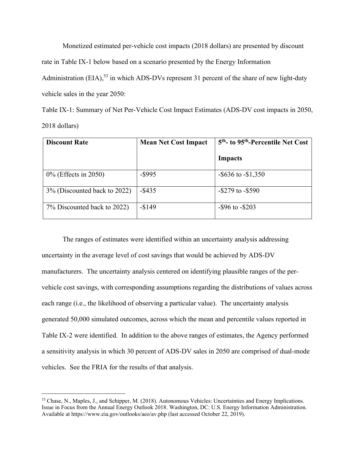Monetized estimated per-vehicle cost impacts (2018 dollars) are presented by discount rate in Table IX-1 below based on a scenario presented by the Energy Information Administration (EIA),<sup>53</sup> in which ADS-DVs represent 31 percent of the share of new light-duty vehicle sales in the year 2050:

Table IX-1: Summary of Net Per-Vehicle Cost Impact Estimates (ADS-DV cost impacts in 2050, 2018 dollars)

| <b>Discount Rate</b>         | <b>Mean Net Cost Impact</b> | 5 <sup>th</sup> - to 95 <sup>th</sup> -Percentile Net Cost |
|------------------------------|-----------------------------|------------------------------------------------------------|
|                              |                             | Impacts                                                    |
| $0\%$ (Effects in 2050)      | $-$ \$995                   | $-$ \$636 to $-$ \$1,350                                   |
| 3% (Discounted back to 2022) | $-$ \$435                   | $-$ \$279 to $-$ \$590                                     |
| 7% Discounted back to 2022)  | $-$149$                     | $-$ \$96 to $-$ \$203                                      |

 The ranges of estimates were identified within an uncertainty analysis addressing uncertainty in the average level of cost savings that would be achieved by ADS-DV manufacturers. The uncertainty analysis centered on identifying plausible ranges of the pervehicle cost savings, with corresponding assumptions regarding the distributions of values across each range (i.e., the likelihood of observing a particular value). The uncertainty analysis generated 50,000 simulated outcomes, across which the mean and percentile values reported in Table IX-2 were identified. In addition to the above ranges of estimates, the Agency performed a sensitivity analysis in which 30 percent of ADS-DV sales in 2050 are comprised of dual-mode vehicles. See the FRIA for the results of that analysis.

<sup>53</sup> Chase, N., Maples, J., and Schipper, M. (2018). Autonomous Vehicles: Uncertainties and Energy Implications. Issue in Focus from the Annual Energy Outlook 2018. Washington, DC: U.S. Energy Information Administration. Available at https://www.eia.gov/outlooks/aeo/av.php (last accessed October 22, 2019).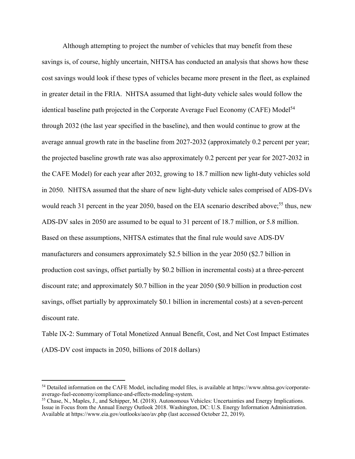Although attempting to project the number of vehicles that may benefit from these savings is, of course, highly uncertain, NHTSA has conducted an analysis that shows how these cost savings would look if these types of vehicles became more present in the fleet, as explained in greater detail in the FRIA. NHTSA assumed that light-duty vehicle sales would follow the identical baseline path projected in the Corporate Average Fuel Economy (CAFE) Model<sup>54</sup> through 2032 (the last year specified in the baseline), and then would continue to grow at the average annual growth rate in the baseline from 2027-2032 (approximately 0.2 percent per year; the projected baseline growth rate was also approximately 0.2 percent per year for 2027-2032 in the CAFE Model) for each year after 2032, growing to 18.7 million new light-duty vehicles sold in 2050. NHTSA assumed that the share of new light-duty vehicle sales comprised of ADS-DVs would reach 31 percent in the year 2050, based on the EIA scenario described above;<sup>55</sup> thus, new ADS-DV sales in 2050 are assumed to be equal to 31 percent of 18.7 million, or 5.8 million. Based on these assumptions, NHTSA estimates that the final rule would save ADS-DV manufacturers and consumers approximately \$2.5 billion in the year 2050 (\$2.7 billion in production cost savings, offset partially by \$0.2 billion in incremental costs) at a three-percent discount rate; and approximately \$0.7 billion in the year 2050 (\$0.9 billion in production cost savings, offset partially by approximately \$0.1 billion in incremental costs) at a seven-percent discount rate.

Table IX-2: Summary of Total Monetized Annual Benefit, Cost, and Net Cost Impact Estimates (ADS-DV cost impacts in 2050, billions of 2018 dollars)

<sup>54</sup> Detailed information on the CAFE Model, including model files, is available at https://www.nhtsa.gov/corporateaverage-fuel-economy/compliance-and-effects-modeling-system.<br><sup>55</sup> Chase, N., Maples, J., and Schipper, M. (2018). Autonomous Vehicles: Uncertainties and Energy Implications.

Issue in Focus from the Annual Energy Outlook 2018. Washington, DC: U.S. Energy Information Administration. Available at https://www.eia.gov/outlooks/aeo/av.php (last accessed October 22, 2019).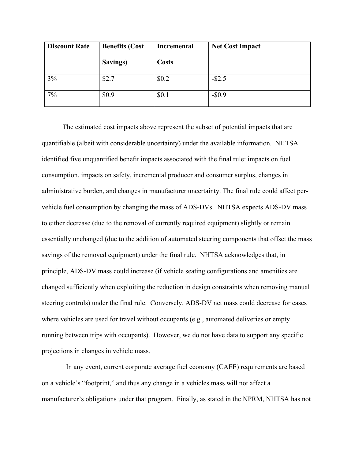| <b>Discount Rate</b> | <b>Benefits (Cost</b> | <b>Incremental</b> | <b>Net Cost Impact</b> |
|----------------------|-----------------------|--------------------|------------------------|
|                      | Savings)              | <b>Costs</b>       |                        |
| 3%                   | \$2.7                 | \$0.2              | $-$ \$2.5              |
| 7%                   | \$0.9                 | \$0.1              | $-$ \$0.9              |

The estimated cost impacts above represent the subset of potential impacts that are quantifiable (albeit with considerable uncertainty) under the available information. NHTSA identified five unquantified benefit impacts associated with the final rule: impacts on fuel consumption, impacts on safety, incremental producer and consumer surplus, changes in administrative burden, and changes in manufacturer uncertainty. The final rule could affect pervehicle fuel consumption by changing the mass of ADS-DVs. NHTSA expects ADS-DV mass to either decrease (due to the removal of currently required equipment) slightly or remain essentially unchanged (due to the addition of automated steering components that offset the mass savings of the removed equipment) under the final rule. NHTSA acknowledges that, in principle, ADS-DV mass could increase (if vehicle seating configurations and amenities are changed sufficiently when exploiting the reduction in design constraints when removing manual steering controls) under the final rule. Conversely, ADS-DV net mass could decrease for cases where vehicles are used for travel without occupants (e.g., automated deliveries or empty running between trips with occupants). However, we do not have data to support any specific projections in changes in vehicle mass.

 In any event, current corporate average fuel economy (CAFE) requirements are based on a vehicle's "footprint," and thus any change in a vehicles mass will not affect a manufacturer's obligations under that program. Finally, as stated in the NPRM, NHTSA has not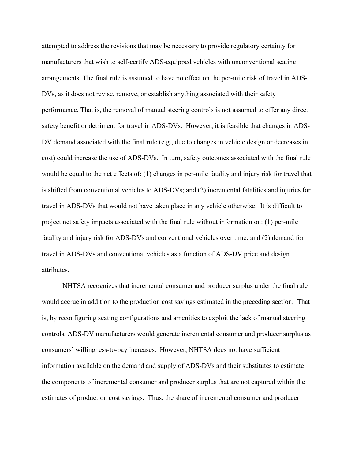attempted to address the revisions that may be necessary to provide regulatory certainty for manufacturers that wish to self-certify ADS-equipped vehicles with unconventional seating arrangements. The final rule is assumed to have no effect on the per-mile risk of travel in ADS-DVs, as it does not revise, remove, or establish anything associated with their safety performance. That is, the removal of manual steering controls is not assumed to offer any direct safety benefit or detriment for travel in ADS-DVs. However, it is feasible that changes in ADS-DV demand associated with the final rule (e.g., due to changes in vehicle design or decreases in cost) could increase the use of ADS-DVs. In turn, safety outcomes associated with the final rule would be equal to the net effects of: (1) changes in per-mile fatality and injury risk for travel that is shifted from conventional vehicles to ADS-DVs; and (2) incremental fatalities and injuries for travel in ADS-DVs that would not have taken place in any vehicle otherwise. It is difficult to project net safety impacts associated with the final rule without information on: (1) per-mile fatality and injury risk for ADS-DVs and conventional vehicles over time; and (2) demand for travel in ADS-DVs and conventional vehicles as a function of ADS-DV price and design attributes.

NHTSA recognizes that incremental consumer and producer surplus under the final rule would accrue in addition to the production cost savings estimated in the preceding section. That is, by reconfiguring seating configurations and amenities to exploit the lack of manual steering controls, ADS-DV manufacturers would generate incremental consumer and producer surplus as consumers' willingness-to-pay increases. However, NHTSA does not have sufficient information available on the demand and supply of ADS-DVs and their substitutes to estimate the components of incremental consumer and producer surplus that are not captured within the estimates of production cost savings. Thus, the share of incremental consumer and producer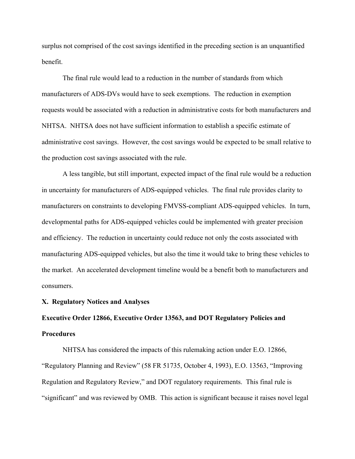surplus not comprised of the cost savings identified in the preceding section is an unquantified benefit.

The final rule would lead to a reduction in the number of standards from which manufacturers of ADS-DVs would have to seek exemptions. The reduction in exemption requests would be associated with a reduction in administrative costs for both manufacturers and NHTSA. NHTSA does not have sufficient information to establish a specific estimate of administrative cost savings. However, the cost savings would be expected to be small relative to the production cost savings associated with the rule.

A less tangible, but still important, expected impact of the final rule would be a reduction in uncertainty for manufacturers of ADS-equipped vehicles. The final rule provides clarity to manufacturers on constraints to developing FMVSS-compliant ADS-equipped vehicles. In turn, developmental paths for ADS-equipped vehicles could be implemented with greater precision and efficiency. The reduction in uncertainty could reduce not only the costs associated with manufacturing ADS-equipped vehicles, but also the time it would take to bring these vehicles to the market. An accelerated development timeline would be a benefit both to manufacturers and consumers.

#### **X. Regulatory Notices and Analyses**

# **Executive Order 12866, Executive Order 13563, and DOT Regulatory Policies and Procedures**

 NHTSA has considered the impacts of this rulemaking action under E.O. 12866, "Regulatory Planning and Review" (58 FR 51735, October 4, 1993), E.O. 13563, "Improving Regulation and Regulatory Review," and DOT regulatory requirements. This final rule is "significant" and was reviewed by OMB. This action is significant because it raises novel legal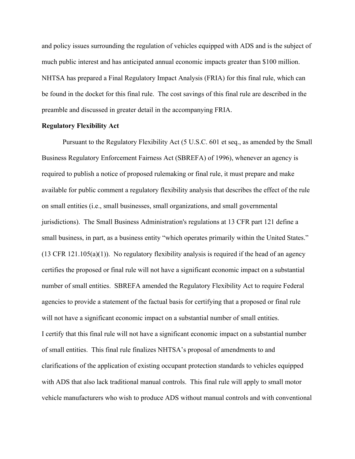and policy issues surrounding the regulation of vehicles equipped with ADS and is the subject of much public interest and has anticipated annual economic impacts greater than \$100 million. NHTSA has prepared a Final Regulatory Impact Analysis (FRIA) for this final rule, which can be found in the docket for this final rule. The cost savings of this final rule are described in the preamble and discussed in greater detail in the accompanying FRIA.

#### **Regulatory Flexibility Act**

 Pursuant to the Regulatory Flexibility Act (5 U.S.C. 601 et seq., as amended by the Small Business Regulatory Enforcement Fairness Act (SBREFA) of 1996), whenever an agency is required to publish a notice of proposed rulemaking or final rule, it must prepare and make available for public comment a regulatory flexibility analysis that describes the effect of the rule on small entities (i.e., small businesses, small organizations, and small governmental jurisdictions). The Small Business Administration's regulations at 13 CFR part 121 define a small business, in part, as a business entity "which operates primarily within the United States."  $(13 \text{ CFR } 121.105(a)(1))$ . No regulatory flexibility analysis is required if the head of an agency certifies the proposed or final rule will not have a significant economic impact on a substantial number of small entities. SBREFA amended the Regulatory Flexibility Act to require Federal agencies to provide a statement of the factual basis for certifying that a proposed or final rule will not have a significant economic impact on a substantial number of small entities. I certify that this final rule will not have a significant economic impact on a substantial number of small entities. This final rule finalizes NHTSA's proposal of amendments to and clarifications of the application of existing occupant protection standards to vehicles equipped with ADS that also lack traditional manual controls. This final rule will apply to small motor vehicle manufacturers who wish to produce ADS without manual controls and with conventional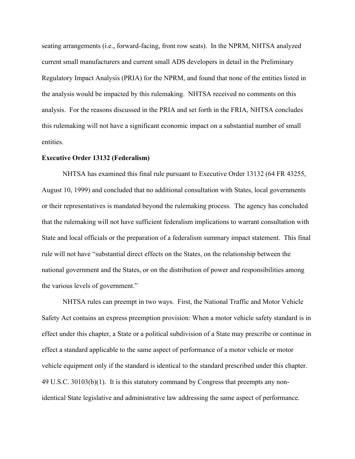seating arrangements (i.e., forward-facing, front row seats). In the NPRM, NHTSA analyzed current small manufacturers and current small ADS developers in detail in the Preliminary Regulatory Impact Analysis (PRIA) for the NPRM, and found that none of the entities listed in the analysis would be impacted by this rulemaking. NHTSA received no comments on this analysis. For the reasons discussed in the PRIA and set forth in the FRIA, NHTSA concludes this rulemaking will not have a significant economic impact on a substantial number of small entities.

#### **Executive Order 13132 (Federalism)**

 NHTSA has examined this final rule pursuant to Executive Order 13132 (64 FR 43255, August 10, 1999) and concluded that no additional consultation with States, local governments or their representatives is mandated beyond the rulemaking process. The agency has concluded that the rulemaking will not have sufficient federalism implications to warrant consultation with State and local officials or the preparation of a federalism summary impact statement. This final rule will not have "substantial direct effects on the States, on the relationship between the national government and the States, or on the distribution of power and responsibilities among the various levels of government."

 NHTSA rules can preempt in two ways. First, the National Traffic and Motor Vehicle Safety Act contains an express preemption provision: When a motor vehicle safety standard is in effect under this chapter, a State or a political subdivision of a State may prescribe or continue in effect a standard applicable to the same aspect of performance of a motor vehicle or motor vehicle equipment only if the standard is identical to the standard prescribed under this chapter. 49 U.S.C. 30103(b)(1). It is this statutory command by Congress that preempts any nonidentical State legislative and administrative law addressing the same aspect of performance.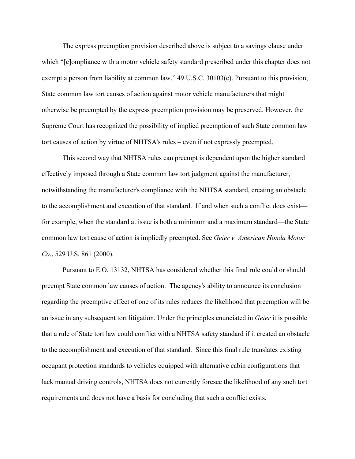The express preemption provision described above is subject to a savings clause under which "[c]ompliance with a motor vehicle safety standard prescribed under this chapter does not exempt a person from liability at common law." 49 U.S.C. 30103(e). Pursuant to this provision, State common law tort causes of action against motor vehicle manufacturers that might otherwise be preempted by the express preemption provision may be preserved. However, the Supreme Court has recognized the possibility of implied preemption of such State common law tort causes of action by virtue of NHTSA's rules – even if not expressly preempted.

 This second way that NHTSA rules can preempt is dependent upon the higher standard effectively imposed through a State common law tort judgment against the manufacturer, notwithstanding the manufacturer's compliance with the NHTSA standard, creating an obstacle to the accomplishment and execution of that standard. If and when such a conflict does exist for example, when the standard at issue is both a minimum and a maximum standard—the State common law tort cause of action is impliedly preempted. See *Geier v. American Honda Motor Co*., 529 U.S. 861 (2000).

 Pursuant to E.O. 13132, NHTSA has considered whether this final rule could or should preempt State common law causes of action. The agency's ability to announce its conclusion regarding the preemptive effect of one of its rules reduces the likelihood that preemption will be an issue in any subsequent tort litigation. Under the principles enunciated in *Geier* it is possible that a rule of State tort law could conflict with a NHTSA safety standard if it created an obstacle to the accomplishment and execution of that standard. Since this final rule translates existing occupant protection standards to vehicles equipped with alternative cabin configurations that lack manual driving controls, NHTSA does not currently foresee the likelihood of any such tort requirements and does not have a basis for concluding that such a conflict exists.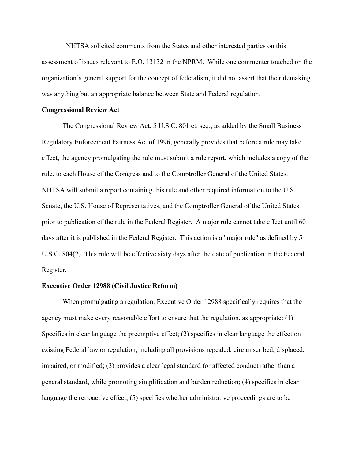NHTSA solicited comments from the States and other interested parties on this assessment of issues relevant to E.O. 13132 in the NPRM. While one commenter touched on the organization's general support for the concept of federalism, it did not assert that the rulemaking was anything but an appropriate balance between State and Federal regulation.

#### **Congressional Review Act**

The Congressional Review Act, 5 U.S.C. 801 et. seq., as added by the Small Business Regulatory Enforcement Fairness Act of 1996, generally provides that before a rule may take effect, the agency promulgating the rule must submit a rule report, which includes a copy of the rule, to each House of the Congress and to the Comptroller General of the United States. NHTSA will submit a report containing this rule and other required information to the U.S. Senate, the U.S. House of Representatives, and the Comptroller General of the United States prior to publication of the rule in the Federal Register. A major rule cannot take effect until 60 days after it is published in the Federal Register. This action is a "major rule" as defined by 5 U.S.C. 804(2). This rule will be effective sixty days after the date of publication in the Federal Register.

#### **Executive Order 12988 (Civil Justice Reform)**

 When promulgating a regulation, Executive Order 12988 specifically requires that the agency must make every reasonable effort to ensure that the regulation, as appropriate: (1) Specifies in clear language the preemptive effect; (2) specifies in clear language the effect on existing Federal law or regulation, including all provisions repealed, circumscribed, displaced, impaired, or modified; (3) provides a clear legal standard for affected conduct rather than a general standard, while promoting simplification and burden reduction; (4) specifies in clear language the retroactive effect; (5) specifies whether administrative proceedings are to be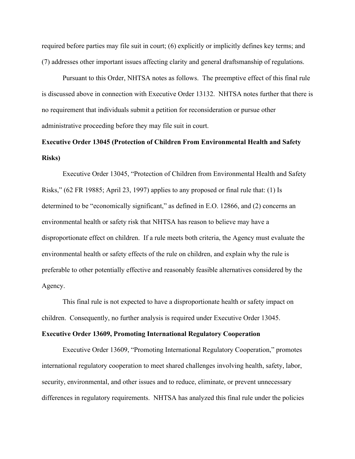required before parties may file suit in court; (6) explicitly or implicitly defines key terms; and (7) addresses other important issues affecting clarity and general draftsmanship of regulations.

 Pursuant to this Order, NHTSA notes as follows. The preemptive effect of this final rule is discussed above in connection with Executive Order 13132. NHTSA notes further that there is no requirement that individuals submit a petition for reconsideration or pursue other administrative proceeding before they may file suit in court.

# **Executive Order 13045 (Protection of Children From Environmental Health and Safety Risks)**

 Executive Order 13045, "Protection of Children from Environmental Health and Safety Risks," (62 FR 19885; April 23, 1997) applies to any proposed or final rule that: (1) Is determined to be "economically significant," as defined in E.O. 12866, and (2) concerns an environmental health or safety risk that NHTSA has reason to believe may have a disproportionate effect on children. If a rule meets both criteria, the Agency must evaluate the environmental health or safety effects of the rule on children, and explain why the rule is preferable to other potentially effective and reasonably feasible alternatives considered by the Agency.

 This final rule is not expected to have a disproportionate health or safety impact on children. Consequently, no further analysis is required under Executive Order 13045.

#### **Executive Order 13609, Promoting International Regulatory Cooperation**

 Executive Order 13609, "Promoting International Regulatory Cooperation," promotes international regulatory cooperation to meet shared challenges involving health, safety, labor, security, environmental, and other issues and to reduce, eliminate, or prevent unnecessary differences in regulatory requirements. NHTSA has analyzed this final rule under the policies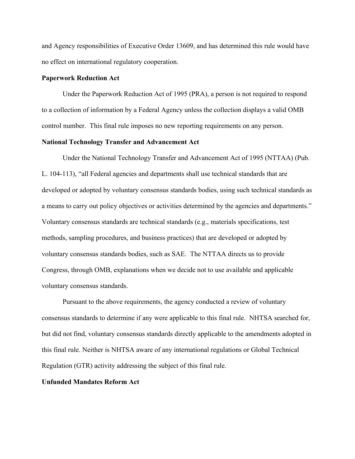and Agency responsibilities of Executive Order 13609, and has determined this rule would have no effect on international regulatory cooperation.

#### **Paperwork Reduction Act**

 Under the Paperwork Reduction Act of 1995 (PRA), a person is not required to respond to a collection of information by a Federal Agency unless the collection displays a valid OMB control number. This final rule imposes no new reporting requirements on any person.

#### **National Technology Transfer and Advancement Act**

 Under the National Technology Transfer and Advancement Act of 1995 (NTTAA) (Pub. L. 104-113), "all Federal agencies and departments shall use technical standards that are developed or adopted by voluntary consensus standards bodies, using such technical standards as a means to carry out policy objectives or activities determined by the agencies and departments." Voluntary consensus standards are technical standards (e.g., materials specifications, test methods, sampling procedures, and business practices) that are developed or adopted by voluntary consensus standards bodies, such as SAE. The NTTAA directs us to provide Congress, through OMB, explanations when we decide not to use available and applicable voluntary consensus standards.

 Pursuant to the above requirements, the agency conducted a review of voluntary consensus standards to determine if any were applicable to this final rule. NHTSA searched for, but did not find, voluntary consensus standards directly applicable to the amendments adopted in this final rule. Neither is NHTSA aware of any international regulations or Global Technical Regulation (GTR) activity addressing the subject of this final rule.

#### **Unfunded Mandates Reform Act**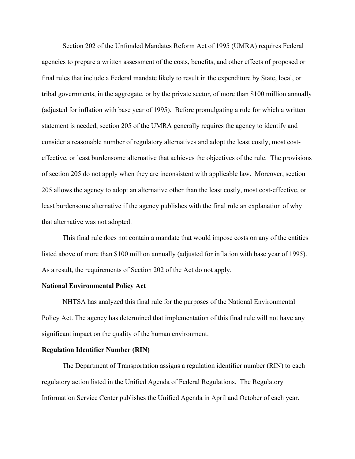Section 202 of the Unfunded Mandates Reform Act of 1995 (UMRA) requires Federal agencies to prepare a written assessment of the costs, benefits, and other effects of proposed or final rules that include a Federal mandate likely to result in the expenditure by State, local, or tribal governments, in the aggregate, or by the private sector, of more than \$100 million annually (adjusted for inflation with base year of 1995). Before promulgating a rule for which a written statement is needed, section 205 of the UMRA generally requires the agency to identify and consider a reasonable number of regulatory alternatives and adopt the least costly, most costeffective, or least burdensome alternative that achieves the objectives of the rule. The provisions of section 205 do not apply when they are inconsistent with applicable law. Moreover, section 205 allows the agency to adopt an alternative other than the least costly, most cost-effective, or least burdensome alternative if the agency publishes with the final rule an explanation of why that alternative was not adopted.

 This final rule does not contain a mandate that would impose costs on any of the entities listed above of more than \$100 million annually (adjusted for inflation with base year of 1995). As a result, the requirements of Section 202 of the Act do not apply.

#### **National Environmental Policy Act**

 NHTSA has analyzed this final rule for the purposes of the National Environmental Policy Act. The agency has determined that implementation of this final rule will not have any significant impact on the quality of the human environment.

#### **Regulation Identifier Number (RIN)**

 The Department of Transportation assigns a regulation identifier number (RIN) to each regulatory action listed in the Unified Agenda of Federal Regulations. The Regulatory Information Service Center publishes the Unified Agenda in April and October of each year.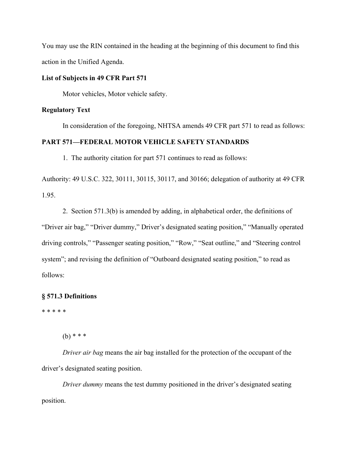You may use the RIN contained in the heading at the beginning of this document to find this action in the Unified Agenda.

## **List of Subjects in 49 CFR Part 571**

Motor vehicles, Motor vehicle safety.

## **Regulatory Text**

In consideration of the foregoing, NHTSA amends 49 CFR part 571 to read as follows:

## **PART 571—FEDERAL MOTOR VEHICLE SAFETY STANDARDS**

1. The authority citation for part 571 continues to read as follows:

Authority: 49 U.S.C. 322, 30111, 30115, 30117, and 30166; delegation of authority at 49 CFR 1.95.

 2. Section 571.3(b) is amended by adding, in alphabetical order, the definitions of "Driver air bag," "Driver dummy," Driver's designated seating position," "Manually operated driving controls," "Passenger seating position," "Row," "Seat outline," and "Steering control system"; and revising the definition of "Outboard designated seating position," to read as follows:

## **§ 571.3 Definitions**

\* \* \* \* \*

(b) \* \* \*

 *Driver air bag* means the air bag installed for the protection of the occupant of the driver's designated seating position.

*Driver dummy* means the test dummy positioned in the driver's designated seating position.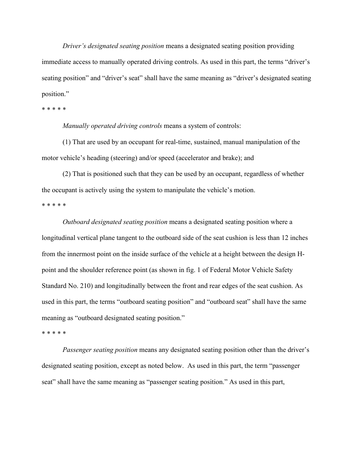*Driver's designated seating position* means a designated seating position providing immediate access to manually operated driving controls. As used in this part, the terms "driver's seating position" and "driver's seat" shall have the same meaning as "driver's designated seating position."

\* \* \* \* \*

 *Manually operated driving controls* means a system of controls:

 (1) That are used by an occupant for real-time, sustained, manual manipulation of the motor vehicle's heading (steering) and/or speed (accelerator and brake); and

 (2) That is positioned such that they can be used by an occupant, regardless of whether the occupant is actively using the system to manipulate the vehicle's motion. \* \* \* \* \*

 *Outboard designated seating position* means a designated seating position where a longitudinal vertical plane tangent to the outboard side of the seat cushion is less than 12 inches from the innermost point on the inside surface of the vehicle at a height between the design Hpoint and the shoulder reference point (as shown in fig. 1 of Federal Motor Vehicle Safety Standard No. 210) and longitudinally between the front and rear edges of the seat cushion. As used in this part, the terms "outboard seating position" and "outboard seat" shall have the same meaning as "outboard designated seating position."

\* \* \* \* \*

 *Passenger seating position* means any designated seating position other than the driver's designated seating position, except as noted below. As used in this part, the term "passenger seat" shall have the same meaning as "passenger seating position." As used in this part,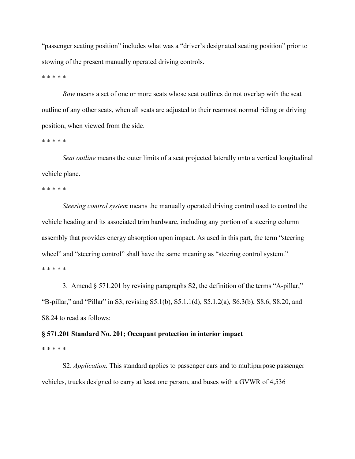"passenger seating position" includes what was a "driver's designated seating position" prior to stowing of the present manually operated driving controls.

\* \* \* \* \*

*Row* means a set of one or more seats whose seat outlines do not overlap with the seat outline of any other seats, when all seats are adjusted to their rearmost normal riding or driving position, when viewed from the side.

\* \* \* \* \*

 *Seat outline* means the outer limits of a seat projected laterally onto a vertical longitudinal vehicle plane.

\* \* \* \* \*

 *Steering control system* means the manually operated driving control used to control the vehicle heading and its associated trim hardware, including any portion of a steering column assembly that provides energy absorption upon impact. As used in this part, the term "steering wheel" and "steering control" shall have the same meaning as "steering control system." \* \* \* \* \*

 3. Amend § 571.201 by revising paragraphs S2, the definition of the terms "A-pillar," "B-pillar," and "Pillar" in S3, revising S5.1(b), S5.1.1(d), S5.1.2(a), S6.3(b), S8.6, S8.20, and S8.24 to read as follows:

#### **§ 571.201 Standard No. 201; Occupant protection in interior impact**

\* \* \* \* \*

 S2. *Application.* This standard applies to passenger cars and to multipurpose passenger vehicles, trucks designed to carry at least one person, and buses with a GVWR of 4,536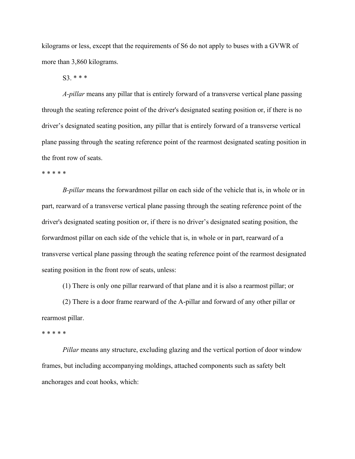kilograms or less, except that the requirements of S6 do not apply to buses with a GVWR of more than 3,860 kilograms.

S3. \* \* \*

 *A-pillar* means any pillar that is entirely forward of a transverse vertical plane passing through the seating reference point of the driver's designated seating position or, if there is no driver's designated seating position, any pillar that is entirely forward of a transverse vertical plane passing through the seating reference point of the rearmost designated seating position in the front row of seats.

\* \* \* \* \*

 *B-pillar* means the forwardmost pillar on each side of the vehicle that is, in whole or in part, rearward of a transverse vertical plane passing through the seating reference point of the driver's designated seating position or, if there is no driver's designated seating position, the forwardmost pillar on each side of the vehicle that is, in whole or in part, rearward of a transverse vertical plane passing through the seating reference point of the rearmost designated seating position in the front row of seats, unless:

(1) There is only one pillar rearward of that plane and it is also a rearmost pillar; or

 (2) There is a door frame rearward of the A-pillar and forward of any other pillar or rearmost pillar.

\* \* \* \* \*

 *Pillar* means any structure, excluding glazing and the vertical portion of door window frames, but including accompanying moldings, attached components such as safety belt anchorages and coat hooks, which: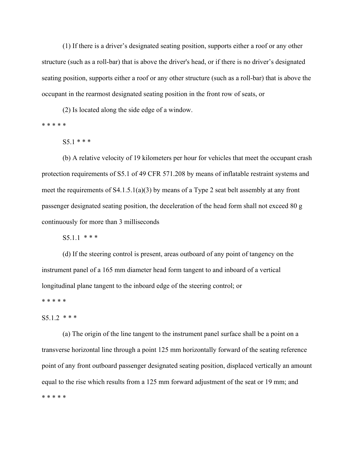(1) If there is a driver's designated seating position, supports either a roof or any other structure (such as a roll-bar) that is above the driver's head, or if there is no driver's designated seating position, supports either a roof or any other structure (such as a roll-bar) that is above the occupant in the rearmost designated seating position in the front row of seats, or

(2) Is located along the side edge of a window.

\* \* \* \* \*

 $S5.1$  \* \* \*

 (b) A relative velocity of 19 kilometers per hour for vehicles that meet the occupant crash protection requirements of S5.1 of 49 CFR 571.208 by means of inflatable restraint systems and meet the requirements of S4.1.5.1(a)(3) by means of a Type 2 seat belt assembly at any front passenger designated seating position, the deceleration of the head form shall not exceed 80 g continuously for more than 3 milliseconds

S5.1.1 \* \* \*

 (d) If the steering control is present, areas outboard of any point of tangency on the instrument panel of a 165 mm diameter head form tangent to and inboard of a vertical longitudinal plane tangent to the inboard edge of the steering control; or

\* \* \* \* \*

#### $S5.1.2$  \* \* \*

 (a) The origin of the line tangent to the instrument panel surface shall be a point on a transverse horizontal line through a point 125 mm horizontally forward of the seating reference point of any front outboard passenger designated seating position, displaced vertically an amount equal to the rise which results from a 125 mm forward adjustment of the seat or 19 mm; and \* \* \* \* \*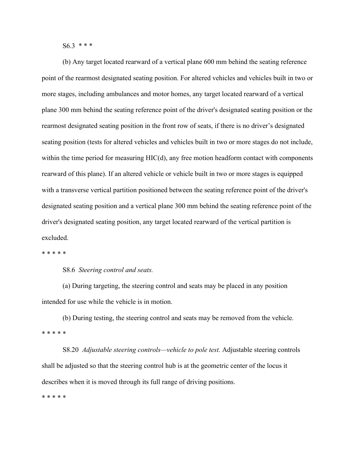$S6.3$  \* \* \*

 (b) Any target located rearward of a vertical plane 600 mm behind the seating reference point of the rearmost designated seating position. For altered vehicles and vehicles built in two or more stages, including ambulances and motor homes, any target located rearward of a vertical plane 300 mm behind the seating reference point of the driver's designated seating position or the rearmost designated seating position in the front row of seats, if there is no driver's designated seating position (tests for altered vehicles and vehicles built in two or more stages do not include, within the time period for measuring  $HIC(d)$ , any free motion headform contact with components rearward of this plane). If an altered vehicle or vehicle built in two or more stages is equipped with a transverse vertical partition positioned between the seating reference point of the driver's designated seating position and a vertical plane 300 mm behind the seating reference point of the driver's designated seating position, any target located rearward of the vertical partition is excluded.

\* \* \* \* \*

S8.6 *Steering control and seats.*

 (a) During targeting, the steering control and seats may be placed in any position intended for use while the vehicle is in motion.

 (b) During testing, the steering control and seats may be removed from the vehicle. \* \* \* \* \*

 S8.20 *Adjustable steering controls—vehicle to pole test.* Adjustable steering controls shall be adjusted so that the steering control hub is at the geometric center of the locus it describes when it is moved through its full range of driving positions.

\* \* \* \* \*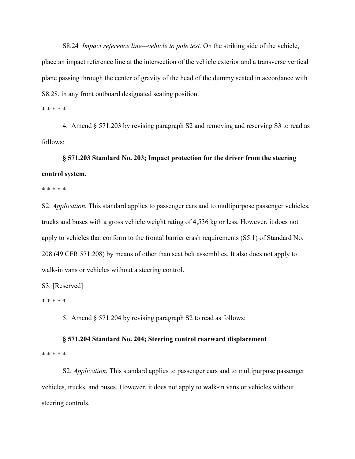S8.24 *Impact reference line—vehicle to pole test.* On the striking side of the vehicle, place an impact reference line at the intersection of the vehicle exterior and a transverse vertical plane passing through the center of gravity of the head of the dummy seated in accordance with S8.28, in any front outboard designated seating position.

\* \* \* \* \*

 4. Amend § 571.203 by revising paragraph S2 and removing and reserving S3 to read as follows:

**§ 571.203 Standard No. 203; Impact protection for the driver from the steering control system.** 

\* \* \* \* \*

S2. *Application.* This standard applies to passenger cars and to multipurpose passenger vehicles, trucks and buses with a gross vehicle weight rating of 4,536 kg or less. However, it does not apply to vehicles that conform to the frontal barrier crash requirements (S5.1) of Standard No. 208 (49 CFR 571.208) by means of other than seat belt assemblies. It also does not apply to walk-in vans or vehicles without a steering control.

S3. [Reserved]

\* \* \* \* \*

5. Amend § 571.204 by revising paragraph S2 to read as follows:

## **§ 571.204 Standard No. 204; Steering control rearward displacement**

\* \* \* \* \*

 S2. *Application.* This standard applies to passenger cars and to multipurpose passenger vehicles, trucks, and buses. However, it does not apply to walk-in vans or vehicles without steering controls.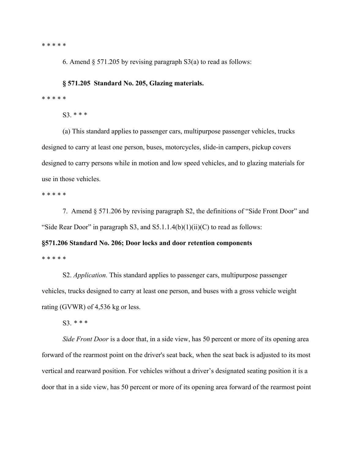\* \* \* \* \*

6. Amend  $\S 571.205$  by revising paragraph S3(a) to read as follows:

**§ 571.205 Standard No. 205, Glazing materials.** 

\* \* \* \* \*

S3. \* \* \*

 (a) This standard applies to passenger cars, multipurpose passenger vehicles, trucks designed to carry at least one person, buses, motorcycles, slide-in campers, pickup covers designed to carry persons while in motion and low speed vehicles, and to glazing materials for use in those vehicles.

\* \* \* \* \*

 7. Amend § 571.206 by revising paragraph S2, the definitions of "Side Front Door" and "Side Rear Door" in paragraph S3, and  $S5.1.1.4(b)(1)(ii)(C)$  to read as follows:

## **§571.206 Standard No. 206; Door locks and door retention components**  \* \* \* \* \*

 S2. *Application.* This standard applies to passenger cars, multipurpose passenger vehicles, trucks designed to carry at least one person, and buses with a gross vehicle weight rating (GVWR) of 4,536 kg or less.

S3. *\* \* \** 

 *Side Front Door* is a door that, in a side view, has 50 percent or more of its opening area forward of the rearmost point on the driver's seat back, when the seat back is adjusted to its most vertical and rearward position. For vehicles without a driver's designated seating position it is a door that in a side view, has 50 percent or more of its opening area forward of the rearmost point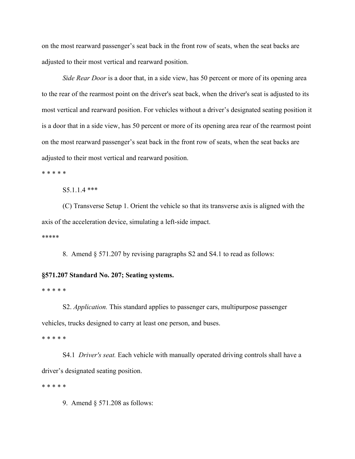on the most rearward passenger's seat back in the front row of seats, when the seat backs are adjusted to their most vertical and rearward position.

 *Side Rear Door* is a door that, in a side view, has 50 percent or more of its opening area to the rear of the rearmost point on the driver's seat back, when the driver's seat is adjusted to its most vertical and rearward position. For vehicles without a driver's designated seating position it is a door that in a side view, has 50 percent or more of its opening area rear of the rearmost point on the most rearward passenger's seat back in the front row of seats, when the seat backs are adjusted to their most vertical and rearward position.

\* \* \* \* \*

S5.1.1.4 \*\*\*

 (C) Transverse Setup 1. Orient the vehicle so that its transverse axis is aligned with the axis of the acceleration device, simulating a left-side impact.

\*\*\*\*\*

8. Amend § 571.207 by revising paragraphs S2 and S4.1 to read as follows:

#### **§571.207 Standard No. 207; Seating systems.**

\* \* \* \* \*

 S2. *Application.* This standard applies to passenger cars, multipurpose passenger vehicles, trucks designed to carry at least one person, and buses.

\* \* \* \* \*

 S4.1 *Driver's seat.* Each vehicle with manually operated driving controls shall have a driver's designated seating position.

\* \* \* \* \*

9. Amend § 571.208 as follows: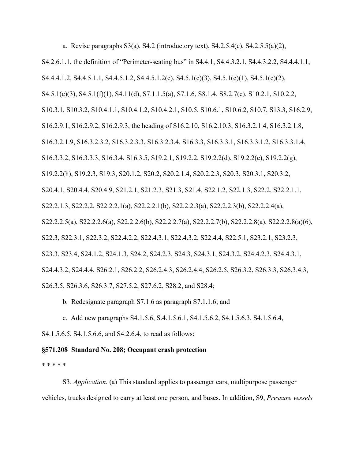a. Revise paragraphs  $S3(a)$ ,  $S4.2$  (introductory text),  $S4.2.5.4(c)$ ,  $S4.2.5.5(a)(2)$ ,

S4.2.6.1.1, the definition of "Perimeter-seating bus" in S4.4.1, S4.4.3.2.1, S4.4.3.2.2, S4.4.4.1.1, S4.4.4.1.2, S4.4.5.1.1, S4.4.5.1.2, S4.4.5.1.2(e), S4.5.1(c)(3), S4.5.1(e)(1), S4.5.1(e)(2), S4.5.1(e)(3), S4.5.1(f)(1), S4.11(d), S7.1.1.5(a), S7.1.6, S8.1.4, S8.2.7(c), S10.2.1, S10.2.2, S10.3.1, S10.3.2, S10.4.1.1, S10.4.1.2, S10.4.2.1, S10.5, S10.6.1, S10.6.2, S10.7, S13.3, S16.2.9, S16.2.9.1, S16.2.9.2, S16.2.9.3, the heading of S16.2.10, S16.2.10.3, S16.3.2.1.4, S16.3.2.1.8, S16.3.2.1.9, S16.3.2.3.2, S16.3.2.3.3, S16.3.2.3.4, S16.3.3, S16.3.3.1, S16.3.3.1.2, S16.3.3.1.4, S16.3.3.2, S16.3.3.3, S16.3.4, S16.3.5, S19.2.1, S19.2.2, S19.2.2(d), S19.2.2(e), S19.2.2(g), S19.2.2(h), S19.2.3, S19.3, S20.1.2, S20.2, S20.2.1.4, S20.2.2.3, S20.3, S20.3.1, S20.3.2, S20.4.1, S20.4.4, S20.4.9, S21.2.1, S21.2.3, S21.3, S21.4, S22.1.2, S22.1.3, S22.2, S22.2.1.1, S22.2.1.3, S22.2.2, S22.2.2.1(a), S22.2.2.1(b), S22.2.2.3(a), S22.2.2.3(b), S22.2.2.4(a), S22.2.2.5(a), S22.2.2.6(a), S22.2.2.6(b), S22.2.2.7(a), S22.2.2.7(b), S22.2.2.8(a), S22.2.2.8(a)(6), S22.3, S22.3.1, S22.3.2, S22.4.2.2, S22.4.3.1, S22.4.3.2, S22.4.4, S22.5.1, S23.2.1, S23.2.3, S23.3, S23.4, S24.1.2, S24.1.3, S24.2, S24.2.3, S24.3, S24.3.1, S24.3.2, S24.4.2.3, S24.4.3.1, S24.4.3.2, S24.4.4, S26.2.1, S26.2.2, S26.2.4.3, S26.2.4.4, S26.2.5, S26.3.2, S26.3.3, S26.3.4.3, S26.3.5, S26.3.6, S26.3.7, S27.5.2, S27.6.2, S28.2, and S28.4;

b. Redesignate paragraph S7.1.6 as paragraph S7.1.1.6; and

c. Add new paragraphs S4.1.5.6, S.4.1.5.6.1, S4.1.5.6.2, S4.1.5.6.3, S4.1.5.6.4,

S4.1.5.6.5, S4.1.5.6.6, and S4.2.6.4, to read as follows:

## **§571.208 Standard No. 208; Occupant crash protection**

\* \* \* \* \*

 S3. *Application.* (a) This standard applies to passenger cars, multipurpose passenger vehicles, trucks designed to carry at least one person, and buses. In addition, S9, *Pressure vessels*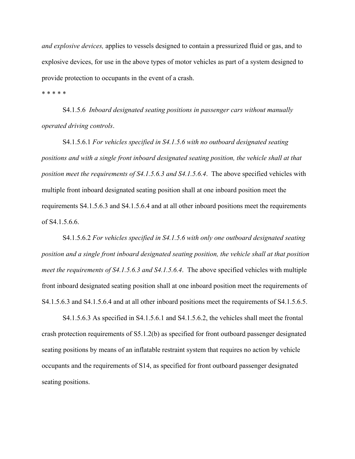*and explosive devices,* applies to vessels designed to contain a pressurized fluid or gas, and to explosive devices, for use in the above types of motor vehicles as part of a system designed to provide protection to occupants in the event of a crash.

\* \* \* \* \*

 S4.1.5.6 *Inboard designated seating positions in passenger cars without manually operated driving controls*.

 S4.1.5.6.1 *For vehicles specified in S4.1.5.6 with no outboard designated seating positions and with a single front inboard designated seating position, the vehicle shall at that position meet the requirements of S4.1.5.6.3 and S4.1.5.6.4*. The above specified vehicles with multiple front inboard designated seating position shall at one inboard position meet the requirements S4.1.5.6.3 and S4.1.5.6.4 and at all other inboard positions meet the requirements of S4.1.5.6.6.

 S4.1.5.6.2 *For vehicles specified in S4.1.5.6 with only one outboard designated seating position and a single front inboard designated seating position, the vehicle shall at that position meet the requirements of S4.1.5.6.3 and S4.1.5.6.4*. The above specified vehicles with multiple front inboard designated seating position shall at one inboard position meet the requirements of S4.1.5.6.3 and S4.1.5.6.4 and at all other inboard positions meet the requirements of S4.1.5.6.5.

 S4.1.5.6.3 As specified in S4.1.5.6.1 and S4.1.5.6.2, the vehicles shall meet the frontal crash protection requirements of S5.1.2(b) as specified for front outboard passenger designated seating positions by means of an inflatable restraint system that requires no action by vehicle occupants and the requirements of S14, as specified for front outboard passenger designated seating positions.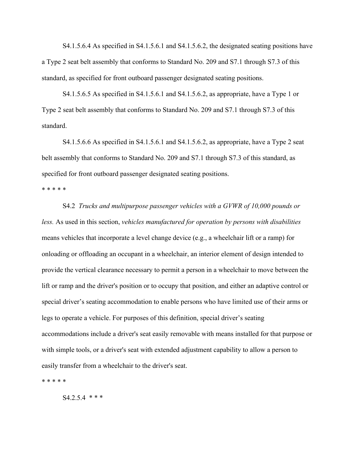S4.1.5.6.4 As specified in S4.1.5.6.1 and S4.1.5.6.2, the designated seating positions have a Type 2 seat belt assembly that conforms to Standard No. 209 and S7.1 through S7.3 of this standard, as specified for front outboard passenger designated seating positions.

 S4.1.5.6.5 As specified in S4.1.5.6.1 and S4.1.5.6.2, as appropriate, have a Type 1 or Type 2 seat belt assembly that conforms to Standard No. 209 and S7.1 through S7.3 of this standard.

 S4.1.5.6.6 As specified in S4.1.5.6.1 and S4.1.5.6.2, as appropriate, have a Type 2 seat belt assembly that conforms to Standard No. 209 and S7.1 through S7.3 of this standard, as specified for front outboard passenger designated seating positions.

\* \* \* \* \*

 S4.2 *Trucks and multipurpose passenger vehicles with a GVWR of 10,000 pounds or less.* As used in this section, *vehicles manufactured for operation by persons with disabilities* means vehicles that incorporate a level change device (e.g., a wheelchair lift or a ramp) for onloading or offloading an occupant in a wheelchair, an interior element of design intended to provide the vertical clearance necessary to permit a person in a wheelchair to move between the lift or ramp and the driver's position or to occupy that position, and either an adaptive control or special driver's seating accommodation to enable persons who have limited use of their arms or legs to operate a vehicle. For purposes of this definition, special driver's seating accommodations include a driver's seat easily removable with means installed for that purpose or with simple tools, or a driver's seat with extended adjustment capability to allow a person to easily transfer from a wheelchair to the driver's seat.

\* \* \* \* \*

 $S4.2.5.4$  \*\*\*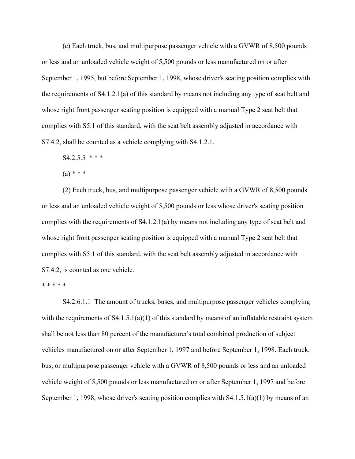(c) Each truck, bus, and multipurpose passenger vehicle with a GVWR of 8,500 pounds or less and an unloaded vehicle weight of 5,500 pounds or less manufactured on or after September 1, 1995, but before September 1, 1998, whose driver's seating position complies with the requirements of S4.1.2.1(a) of this standard by means not including any type of seat belt and whose right front passenger seating position is equipped with a manual Type 2 seat belt that complies with S5.1 of this standard, with the seat belt assembly adjusted in accordance with S7.4.2, shall be counted as a vehicle complying with S4.1.2.1.

 $S4.2.5.5$  \* \* \*

 $(a) * * * *$ 

 (2) Each truck, bus, and multipurpose passenger vehicle with a GVWR of 8,500 pounds or less and an unloaded vehicle weight of 5,500 pounds or less whose driver's seating position complies with the requirements of S4.1.2.1(a) by means not including any type of seat belt and whose right front passenger seating position is equipped with a manual Type 2 seat belt that complies with S5.1 of this standard, with the seat belt assembly adjusted in accordance with S7.4.2, is counted as one vehicle.

#### \* \* \* \* \*

 S4.2.6.1.1 The amount of trucks, buses, and multipurpose passenger vehicles complying with the requirements of S4.1.5.1(a)(1) of this standard by means of an inflatable restraint system shall be not less than 80 percent of the manufacturer's total combined production of subject vehicles manufactured on or after September 1, 1997 and before September 1, 1998. Each truck, bus, or multipurpose passenger vehicle with a GVWR of 8,500 pounds or less and an unloaded vehicle weight of 5,500 pounds or less manufactured on or after September 1, 1997 and before September 1, 1998, whose driver's seating position complies with S4.1.5.1(a)(1) by means of an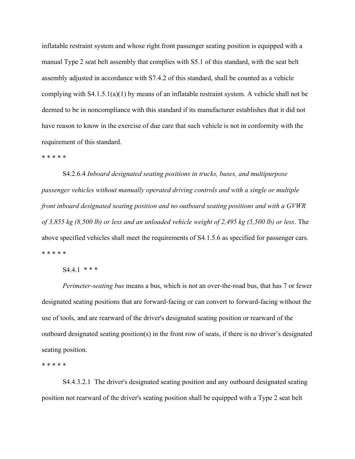inflatable restraint system and whose right front passenger seating position is equipped with a manual Type 2 seat belt assembly that complies with S5.1 of this standard, with the seat belt assembly adjusted in accordance with S7.4.2 of this standard, shall be counted as a vehicle complying with S4.1.5.1(a)(1) by means of an inflatable restraint system. A vehicle shall not be deemed to be in noncompliance with this standard if its manufacturer establishes that it did not have reason to know in the exercise of due care that such vehicle is not in conformity with the requirement of this standard.

### \* \* \* \* \*

 S4.2.6.4 *Inboard designated seating positions in trucks, buses, and multipurpose passenger vehicles without manually operated driving controls and with a single or multiple front inboard designated seating position and no outboard seating positions and with a GVWR of 3,855 kg (8,500 lb) or less and an unloaded vehicle weight of 2,495 kg (5,500 lb) or less*. The above specified vehicles shall meet the requirements of S4.1.5.6 as specified for passenger cars. \* \* \* \* \*

### $S4.4.1$  \* \* \*

 *Perimeter-seating bus* means a bus, which is not an over-the-road bus, that has 7 or fewer designated seating positions that are forward-facing or can convert to forward-facing without the use of tools, and are rearward of the driver's designated seating position or rearward of the outboard designated seating position(s) in the front row of seats, if there is no driver's designated seating position.

\* \* \* \* \*

S4.4.3.2.1 The driver's designated seating position and any outboard designated seating position not rearward of the driver's seating position shall be equipped with a Type 2 seat belt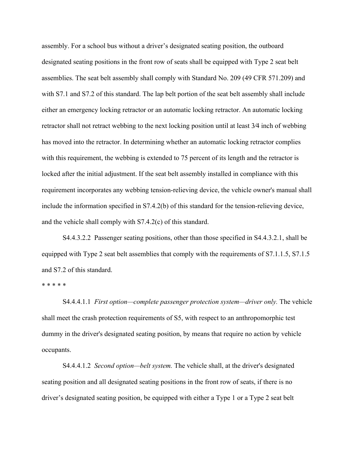assembly. For a school bus without a driver's designated seating position, the outboard designated seating positions in the front row of seats shall be equipped with Type 2 seat belt assemblies. The seat belt assembly shall comply with Standard No. 209 (49 CFR 571.209) and with S7.1 and S7.2 of this standard. The lap belt portion of the seat belt assembly shall include either an emergency locking retractor or an automatic locking retractor. An automatic locking retractor shall not retract webbing to the next locking position until at least 3∕4 inch of webbing has moved into the retractor. In determining whether an automatic locking retractor complies with this requirement, the webbing is extended to 75 percent of its length and the retractor is locked after the initial adjustment. If the seat belt assembly installed in compliance with this requirement incorporates any webbing tension-relieving device, the vehicle owner's manual shall include the information specified in S7.4.2(b) of this standard for the tension-relieving device, and the vehicle shall comply with S7.4.2(c) of this standard.

 S4.4.3.2.2 Passenger seating positions, other than those specified in S4.4.3.2.1, shall be equipped with Type 2 seat belt assemblies that comply with the requirements of S7.1.1.5, S7.1.5 and S7.2 of this standard.

#### \* \* \* \* \*

 S4.4.4.1.1 *First option—complete passenger protection system—driver only.* The vehicle shall meet the crash protection requirements of S5, with respect to an anthropomorphic test dummy in the driver's designated seating position, by means that require no action by vehicle occupants.

 S4.4.4.1.2 *Second option—belt system.* The vehicle shall, at the driver's designated seating position and all designated seating positions in the front row of seats, if there is no driver's designated seating position, be equipped with either a Type 1 or a Type 2 seat belt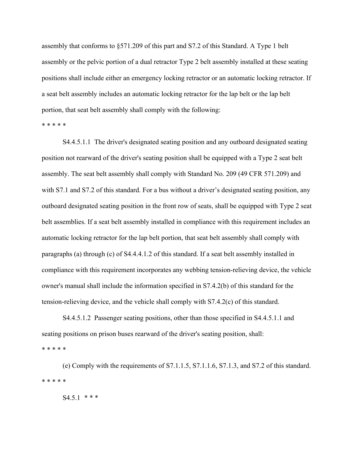assembly that conforms to §571.209 of this part and S7.2 of this Standard. A Type 1 belt assembly or the pelvic portion of a dual retractor Type 2 belt assembly installed at these seating positions shall include either an emergency locking retractor or an automatic locking retractor. If a seat belt assembly includes an automatic locking retractor for the lap belt or the lap belt portion, that seat belt assembly shall comply with the following:

\* \* \* \* \*

 S4.4.5.1.1 The driver's designated seating position and any outboard designated seating position not rearward of the driver's seating position shall be equipped with a Type 2 seat belt assembly. The seat belt assembly shall comply with Standard No. 209 (49 CFR 571.209) and with S7.1 and S7.2 of this standard. For a bus without a driver's designated seating position, any outboard designated seating position in the front row of seats, shall be equipped with Type 2 seat belt assemblies. If a seat belt assembly installed in compliance with this requirement includes an automatic locking retractor for the lap belt portion, that seat belt assembly shall comply with paragraphs (a) through (c) of S4.4.4.1.2 of this standard. If a seat belt assembly installed in compliance with this requirement incorporates any webbing tension-relieving device, the vehicle owner's manual shall include the information specified in S7.4.2(b) of this standard for the tension-relieving device, and the vehicle shall comply with S7.4.2(c) of this standard.

 S4.4.5.1.2 Passenger seating positions, other than those specified in S4.4.5.1.1 and seating positions on prison buses rearward of the driver's seating position, shall: \* \* \* \* \*

 (e) Comply with the requirements of S7.1.1.5, S7.1.1.6, S7.1.3, and S7.2 of this standard. \* \* \* \* \*

S4.5.1 *\* \* \**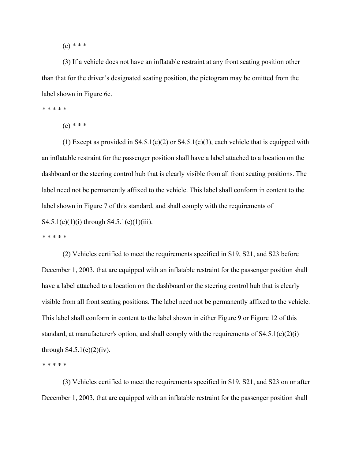(c) *\* \* \** 

 (3) If a vehicle does not have an inflatable restraint at any front seating position other than that for the driver's designated seating position, the pictogram may be omitted from the label shown in Figure 6c.

*\* \* \* \* \** 

(e) *\* \* \** 

(1) Except as provided in  $S4.5.1(e)(2)$  or  $S4.5.1(e)(3)$ , each vehicle that is equipped with an inflatable restraint for the passenger position shall have a label attached to a location on the dashboard or the steering control hub that is clearly visible from all front seating positions. The label need not be permanently affixed to the vehicle. This label shall conform in content to the label shown in Figure 7 of this standard, and shall comply with the requirements of S4.5.1(e)(1)(i) through S4.5.1(e)(1)(iii).

*\* \* \* \* \** 

 (2) Vehicles certified to meet the requirements specified in S19, S21, and S23 before December 1, 2003, that are equipped with an inflatable restraint for the passenger position shall have a label attached to a location on the dashboard or the steering control hub that is clearly visible from all front seating positions. The label need not be permanently affixed to the vehicle. This label shall conform in content to the label shown in either Figure 9 or Figure 12 of this standard, at manufacturer's option, and shall comply with the requirements of  $S4.5.1(e)(2)(i)$ through  $S4.5.1(e)(2)(iv)$ .

*\* \* \* \* \** 

 (3) Vehicles certified to meet the requirements specified in S19, S21, and S23 on or after December 1, 2003, that are equipped with an inflatable restraint for the passenger position shall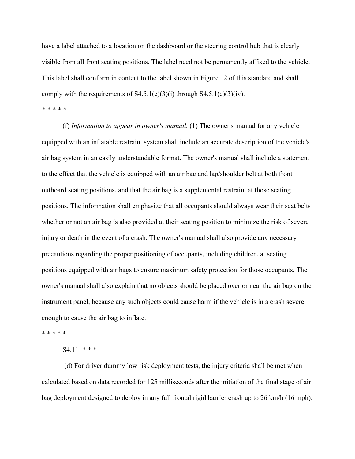have a label attached to a location on the dashboard or the steering control hub that is clearly visible from all front seating positions. The label need not be permanently affixed to the vehicle. This label shall conform in content to the label shown in Figure 12 of this standard and shall comply with the requirements of  $S4.5.1(e)(3)(i)$  through  $S4.5.1(e)(3)(iv)$ . *\* \* \* \* \** 

 (f) *Information to appear in owner's manual.* (1) The owner's manual for any vehicle equipped with an inflatable restraint system shall include an accurate description of the vehicle's air bag system in an easily understandable format. The owner's manual shall include a statement to the effect that the vehicle is equipped with an air bag and lap/shoulder belt at both front outboard seating positions, and that the air bag is a supplemental restraint at those seating positions. The information shall emphasize that all occupants should always wear their seat belts whether or not an air bag is also provided at their seating position to minimize the risk of severe injury or death in the event of a crash. The owner's manual shall also provide any necessary precautions regarding the proper positioning of occupants, including children, at seating positions equipped with air bags to ensure maximum safety protection for those occupants. The owner's manual shall also explain that no objects should be placed over or near the air bag on the instrument panel, because any such objects could cause harm if the vehicle is in a crash severe enough to cause the air bag to inflate.

\* \* \* \* \*

# S4.11 *\* \* \**

 (d) For driver dummy low risk deployment tests, the injury criteria shall be met when calculated based on data recorded for 125 milliseconds after the initiation of the final stage of air bag deployment designed to deploy in any full frontal rigid barrier crash up to 26 km/h (16 mph).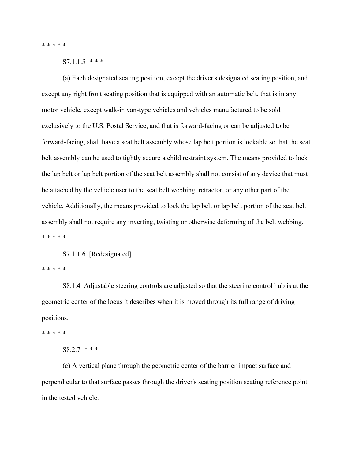\* \* \* \* \*

S7.1.1.5 *\* \* \**

 (a) Each designated seating position, except the driver's designated seating position, and except any right front seating position that is equipped with an automatic belt, that is in any motor vehicle, except walk-in van-type vehicles and vehicles manufactured to be sold exclusively to the U.S. Postal Service, and that is forward-facing or can be adjusted to be forward-facing, shall have a seat belt assembly whose lap belt portion is lockable so that the seat belt assembly can be used to tightly secure a child restraint system. The means provided to lock the lap belt or lap belt portion of the seat belt assembly shall not consist of any device that must be attached by the vehicle user to the seat belt webbing, retractor, or any other part of the vehicle. Additionally, the means provided to lock the lap belt or lap belt portion of the seat belt assembly shall not require any inverting, twisting or otherwise deforming of the belt webbing. \* \* \* \* \*

S7.1.1.6 [Redesignated]

\* \* \* \* \*

 S8.1.4 Adjustable steering controls are adjusted so that the steering control hub is at the geometric center of the locus it describes when it is moved through its full range of driving positions.

\* \* \* \* \*

## S8.2.7 *\* \* \**

 (c) A vertical plane through the geometric center of the barrier impact surface and perpendicular to that surface passes through the driver's seating position seating reference point in the tested vehicle.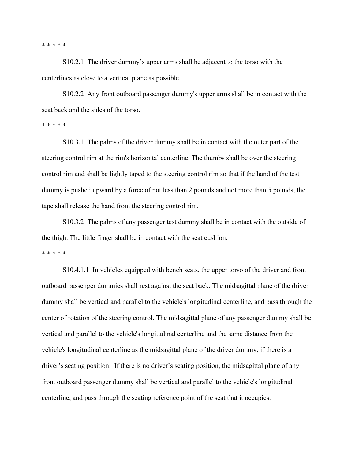\* \* \* \* \*

 S10.2.1 The driver dummy's upper arms shall be adjacent to the torso with the centerlines as close to a vertical plane as possible.

 S10.2.2 Any front outboard passenger dummy's upper arms shall be in contact with the seat back and the sides of the torso.

\* \* \* \* \*

 S10.3.1 The palms of the driver dummy shall be in contact with the outer part of the steering control rim at the rim's horizontal centerline. The thumbs shall be over the steering control rim and shall be lightly taped to the steering control rim so that if the hand of the test dummy is pushed upward by a force of not less than 2 pounds and not more than 5 pounds, the tape shall release the hand from the steering control rim.

 S10.3.2 The palms of any passenger test dummy shall be in contact with the outside of the thigh. The little finger shall be in contact with the seat cushion. \* \* \* \* \*

 S10.4.1.1 In vehicles equipped with bench seats, the upper torso of the driver and front outboard passenger dummies shall rest against the seat back. The midsagittal plane of the driver dummy shall be vertical and parallel to the vehicle's longitudinal centerline, and pass through the center of rotation of the steering control. The midsagittal plane of any passenger dummy shall be vertical and parallel to the vehicle's longitudinal centerline and the same distance from the vehicle's longitudinal centerline as the midsagittal plane of the driver dummy, if there is a driver's seating position. If there is no driver's seating position, the midsagittal plane of any front outboard passenger dummy shall be vertical and parallel to the vehicle's longitudinal centerline, and pass through the seating reference point of the seat that it occupies.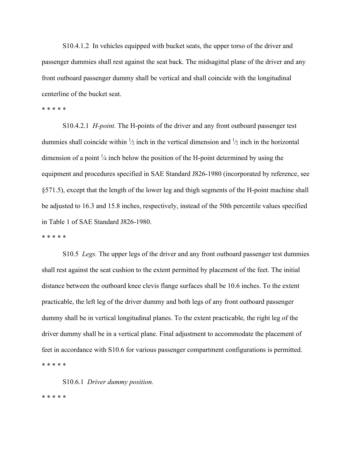S10.4.1.2 In vehicles equipped with bucket seats, the upper torso of the driver and passenger dummies shall rest against the seat back. The midsagittal plane of the driver and any front outboard passenger dummy shall be vertical and shall coincide with the longitudinal centerline of the bucket seat.

#### \* \* \* \* \*

 S10.4.2.1 *H-point.* The H-points of the driver and any front outboard passenger test dummies shall coincide within  $\frac{1}{2}$  inch in the vertical dimension and  $\frac{1}{2}$  inch in the horizontal dimension of a point  $\frac{1}{4}$  inch below the position of the H-point determined by using the equipment and procedures specified in SAE Standard J826-1980 (incorporated by reference, see §571.5), except that the length of the lower leg and thigh segments of the H-point machine shall be adjusted to 16.3 and 15.8 inches, respectively, instead of the 50th percentile values specified in Table 1 of SAE Standard J826-1980.

#### \* \* \* \* \*

 S10.5 *Legs.* The upper legs of the driver and any front outboard passenger test dummies shall rest against the seat cushion to the extent permitted by placement of the feet. The initial distance between the outboard knee clevis flange surfaces shall be 10.6 inches. To the extent practicable, the left leg of the driver dummy and both legs of any front outboard passenger dummy shall be in vertical longitudinal planes. To the extent practicable, the right leg of the driver dummy shall be in a vertical plane. Final adjustment to accommodate the placement of feet in accordance with S10.6 for various passenger compartment configurations is permitted. \* \* \* \* \*

S10.6.1 *Driver dummy position.*

\* \* \* \* \*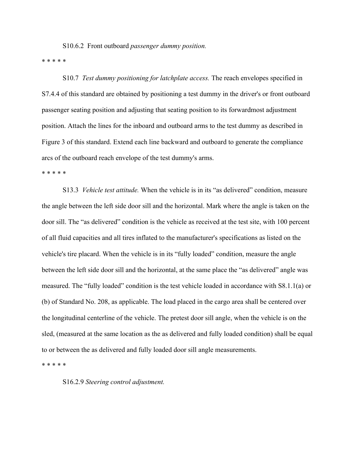S10.6.2 Front outboard *passenger dummy position.*

\* \* \* \* \*

 S10.7 *Test dummy positioning for latchplate access.* The reach envelopes specified in S7.4.4 of this standard are obtained by positioning a test dummy in the driver's or front outboard passenger seating position and adjusting that seating position to its forwardmost adjustment position. Attach the lines for the inboard and outboard arms to the test dummy as described in Figure 3 of this standard. Extend each line backward and outboard to generate the compliance arcs of the outboard reach envelope of the test dummy's arms.

\* \* \* \* \*

 S13.3 *Vehicle test attitude.* When the vehicle is in its "as delivered" condition, measure the angle between the left side door sill and the horizontal. Mark where the angle is taken on the door sill. The "as delivered" condition is the vehicle as received at the test site, with 100 percent of all fluid capacities and all tires inflated to the manufacturer's specifications as listed on the vehicle's tire placard. When the vehicle is in its "fully loaded" condition, measure the angle between the left side door sill and the horizontal, at the same place the "as delivered" angle was measured. The "fully loaded" condition is the test vehicle loaded in accordance with S8.1.1(a) or (b) of Standard No. 208, as applicable. The load placed in the cargo area shall be centered over the longitudinal centerline of the vehicle. The pretest door sill angle, when the vehicle is on the sled, (measured at the same location as the as delivered and fully loaded condition) shall be equal to or between the as delivered and fully loaded door sill angle measurements.

\* \* \* \* \*

S16.2.9 *Steering control adjustment.*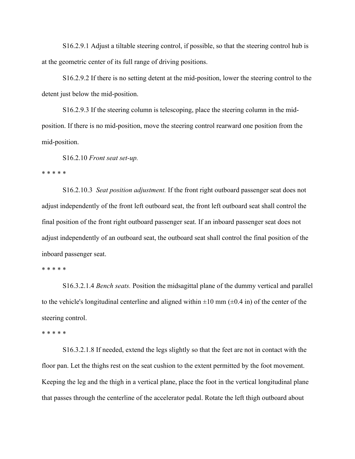S16.2.9.1 Adjust a tiltable steering control, if possible, so that the steering control hub is at the geometric center of its full range of driving positions.

 S16.2.9.2 If there is no setting detent at the mid-position, lower the steering control to the detent just below the mid-position.

S16.2.9.3 If the steering column is telescoping, place the steering column in the midposition. If there is no mid-position, move the steering control rearward one position from the mid-position.

S16.2.10 *Front seat set-up.*

\* \* \* \* \*

 S16.2.10.3 *Seat position adjustment.* If the front right outboard passenger seat does not adjust independently of the front left outboard seat, the front left outboard seat shall control the final position of the front right outboard passenger seat. If an inboard passenger seat does not adjust independently of an outboard seat, the outboard seat shall control the final position of the inboard passenger seat.

\* \* \* \* \*

 S16.3.2.1.4 *Bench seats.* Position the midsagittal plane of the dummy vertical and parallel to the vehicle's longitudinal centerline and aligned within  $\pm 10$  mm ( $\pm 0.4$  in) of the center of the steering control.

#### \* \* \* \* \*

 S16.3.2.1.8 If needed, extend the legs slightly so that the feet are not in contact with the floor pan. Let the thighs rest on the seat cushion to the extent permitted by the foot movement. Keeping the leg and the thigh in a vertical plane, place the foot in the vertical longitudinal plane that passes through the centerline of the accelerator pedal. Rotate the left thigh outboard about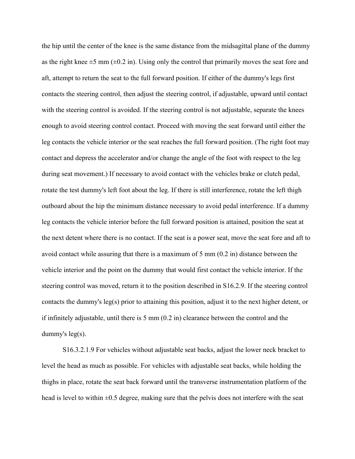the hip until the center of the knee is the same distance from the midsagittal plane of the dummy as the right knee  $\pm 5$  mm ( $\pm 0.2$  in). Using only the control that primarily moves the seat fore and aft, attempt to return the seat to the full forward position. If either of the dummy's legs first contacts the steering control, then adjust the steering control, if adjustable, upward until contact with the steering control is avoided. If the steering control is not adjustable, separate the knees enough to avoid steering control contact. Proceed with moving the seat forward until either the leg contacts the vehicle interior or the seat reaches the full forward position. (The right foot may contact and depress the accelerator and/or change the angle of the foot with respect to the leg during seat movement.) If necessary to avoid contact with the vehicles brake or clutch pedal, rotate the test dummy's left foot about the leg. If there is still interference, rotate the left thigh outboard about the hip the minimum distance necessary to avoid pedal interference. If a dummy leg contacts the vehicle interior before the full forward position is attained, position the seat at the next detent where there is no contact. If the seat is a power seat, move the seat fore and aft to avoid contact while assuring that there is a maximum of 5 mm (0.2 in) distance between the vehicle interior and the point on the dummy that would first contact the vehicle interior. If the steering control was moved, return it to the position described in S16.2.9. If the steering control contacts the dummy's leg(s) prior to attaining this position, adjust it to the next higher detent, or if infinitely adjustable, until there is 5 mm (0.2 in) clearance between the control and the dummy's leg(s).

 S16.3.2.1.9 For vehicles without adjustable seat backs, adjust the lower neck bracket to level the head as much as possible. For vehicles with adjustable seat backs, while holding the thighs in place, rotate the seat back forward until the transverse instrumentation platform of the head is level to within  $\pm 0.5$  degree, making sure that the pelvis does not interfere with the seat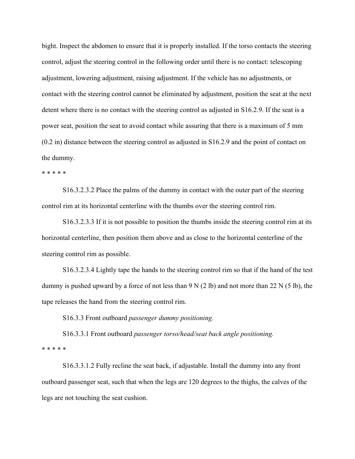bight. Inspect the abdomen to ensure that it is properly installed. If the torso contacts the steering control, adjust the steering control in the following order until there is no contact: telescoping adjustment, lowering adjustment, raising adjustment. If the vehicle has no adjustments, or contact with the steering control cannot be eliminated by adjustment, position the seat at the next detent where there is no contact with the steering control as adjusted in S16.2.9. If the seat is a power seat, position the seat to avoid contact while assuring that there is a maximum of 5 mm (0.2 in) distance between the steering control as adjusted in S16.2.9 and the point of contact on the dummy.

\* \* \* \* \*

 S16.3.2.3.2 Place the palms of the dummy in contact with the outer part of the steering control rim at its horizontal centerline with the thumbs over the steering control rim.

 S16.3.2.3.3 If it is not possible to position the thumbs inside the steering control rim at its horizontal centerline, then position them above and as close to the horizontal centerline of the steering control rim as possible.

 S16.3.2.3.4 Lightly tape the hands to the steering control rim so that if the hand of the test dummy is pushed upward by a force of not less than  $9 \text{ N } (2 \text{ lb})$  and not more than  $22 \text{ N } (5 \text{ lb})$ , the tape releases the hand from the steering control rim.

S16.3.3 Front outboard *passenger dummy positioning.*

 S16.3.3.1 Front outboard *passenger torso/head/seat back angle positioning.* \* \* \* \* \*

 S16.3.3.1.2 Fully recline the seat back, if adjustable. Install the dummy into any front outboard passenger seat, such that when the legs are 120 degrees to the thighs, the calves of the legs are not touching the seat cushion.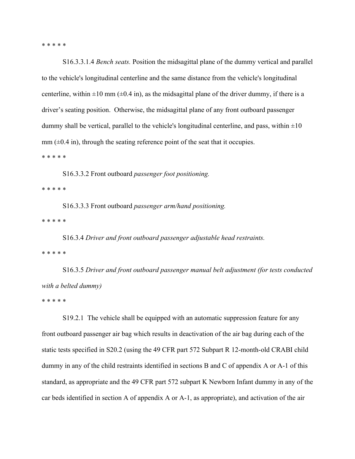\* \* \* \* \*

 S16.3.3.1.4 *Bench seats.* Position the midsagittal plane of the dummy vertical and parallel to the vehicle's longitudinal centerline and the same distance from the vehicle's longitudinal centerline, within  $\pm 10$  mm ( $\pm 0.4$  in), as the midsagittal plane of the driver dummy, if there is a driver's seating position. Otherwise, the midsagittal plane of any front outboard passenger dummy shall be vertical, parallel to the vehicle's longitudinal centerline, and pass, within  $\pm 10$  $mm$  ( $\pm$ 0.4 in), through the seating reference point of the seat that it occupies.

\* \* \* \* \*

S16.3.3.2 Front outboard *passenger foot positioning.*

\* \* \* \* \*

 S16.3.3.3 Front outboard *passenger arm/hand positioning.* \* \* \* \* \*

 S16.3.4 *Driver and front outboard passenger adjustable head restraints.* \* \* \* \* \*

 S16.3.5 *Driver and front outboard passenger manual belt adjustment (for tests conducted with a belted dummy)*

\* \* \* \* \*

 S19.2.1 The vehicle shall be equipped with an automatic suppression feature for any front outboard passenger air bag which results in deactivation of the air bag during each of the static tests specified in S20.2 (using the 49 CFR part 572 Subpart R 12-month-old CRABI child dummy in any of the child restraints identified in sections B and C of appendix A or A-1 of this standard, as appropriate and the 49 CFR part 572 subpart K Newborn Infant dummy in any of the car beds identified in section A of appendix A or A-1, as appropriate), and activation of the air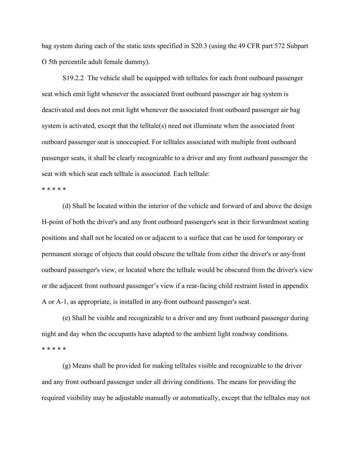bag system during each of the static tests specified in S20.3 (using the 49 CFR part 572 Subpart O 5th percentile adult female dummy).

 S19.2.2 The vehicle shall be equipped with telltales for each front outboard passenger seat which emit light whenever the associated front outboard passenger air bag system is deactivated and does not emit light whenever the associated front outboard passenger air bag system is activated, except that the telltale(s) need not illuminate when the associated front outboard passenger seat is unoccupied. For telltales associated with multiple front outboard passenger seats, it shall be clearly recognizable to a driver and any front outboard passenger the seat with which seat each telltale is associated. Each telltale:

\* \* \* \* \*

 (d) Shall be located within the interior of the vehicle and forward of and above the design H-point of both the driver's and any front outboard passenger's seat in their forwardmost seating positions and shall not be located on or adjacent to a surface that can be used for temporary or permanent storage of objects that could obscure the telltale from either the driver's or any front outboard passenger's view, or located where the telltale would be obscured from the driver's view or the adjacent front outboard passenger's view if a rear-facing child restraint listed in appendix A or A-1, as appropriate, is installed in any front outboard passenger's seat.

 (e) Shall be visible and recognizable to a driver and any front outboard passenger during night and day when the occupants have adapted to the ambient light roadway conditions. \* \* \* \* \*

 (g) Means shall be provided for making telltales visible and recognizable to the driver and any front outboard passenger under all driving conditions. The means for providing the required visibility may be adjustable manually or automatically, except that the telltales may not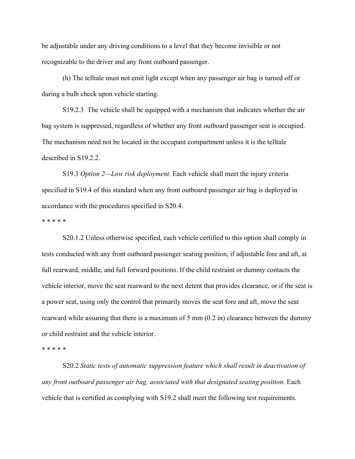be adjustable under any driving conditions to a level that they become invisible or not recognizable to the driver and any front outboard passenger.

 (h) The telltale must not emit light except when any passenger air bag is turned off or during a bulb check upon vehicle starting.

 S19.2.3 The vehicle shall be equipped with a mechanism that indicates whether the air bag system is suppressed, regardless of whether any front outboard passenger seat is occupied. The mechanism need not be located in the occupant compartment unless it is the telltale described in S19.2.2.

 S19.3 *Option 2—Low risk deployment.* Each vehicle shall meet the injury criteria specified in S19.4 of this standard when any front outboard passenger air bag is deployed in accordance with the procedures specified in S20.4.

\* \* \* \* \*

 S20.1.2 Unless otherwise specified, each vehicle certified to this option shall comply in tests conducted with any front outboard passenger seating position, if adjustable fore and aft, at full rearward, middle, and full forward positions. If the child restraint or dummy contacts the vehicle interior, move the seat rearward to the next detent that provides clearance, or if the seat is a power seat, using only the control that primarily moves the seat fore and aft, move the seat rearward while assuring that there is a maximum of 5 mm (0.2 in) clearance between the dummy or child restraint and the vehicle interior.

\* \* \* \* \*

 S20.2 *Static tests of automatic suppression feature which shall result in deactivation of any front outboard passenger air bag, associated with that designated seating position.* Each vehicle that is certified as complying with S19.2 shall meet the following test requirements.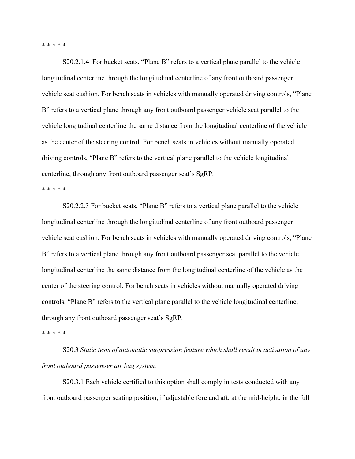\* \* \* \* \*

 S20.2.1.4 For bucket seats, "Plane B" refers to a vertical plane parallel to the vehicle longitudinal centerline through the longitudinal centerline of any front outboard passenger vehicle seat cushion. For bench seats in vehicles with manually operated driving controls, "Plane B" refers to a vertical plane through any front outboard passenger vehicle seat parallel to the vehicle longitudinal centerline the same distance from the longitudinal centerline of the vehicle as the center of the steering control. For bench seats in vehicles without manually operated driving controls, "Plane B" refers to the vertical plane parallel to the vehicle longitudinal centerline, through any front outboard passenger seat's SgRP.

\* \* \* \* \*

 S20.2.2.3 For bucket seats, "Plane B" refers to a vertical plane parallel to the vehicle longitudinal centerline through the longitudinal centerline of any front outboard passenger vehicle seat cushion. For bench seats in vehicles with manually operated driving controls, "Plane B" refers to a vertical plane through any front outboard passenger seat parallel to the vehicle longitudinal centerline the same distance from the longitudinal centerline of the vehicle as the center of the steering control. For bench seats in vehicles without manually operated driving controls, "Plane B" refers to the vertical plane parallel to the vehicle longitudinal centerline, through any front outboard passenger seat's SgRP.

\* \* \* \* \*

 S20.3 *Static tests of automatic suppression feature which shall result in activation of any front outboard passenger air bag system.*

 S20.3.1 Each vehicle certified to this option shall comply in tests conducted with any front outboard passenger seating position, if adjustable fore and aft, at the mid-height, in the full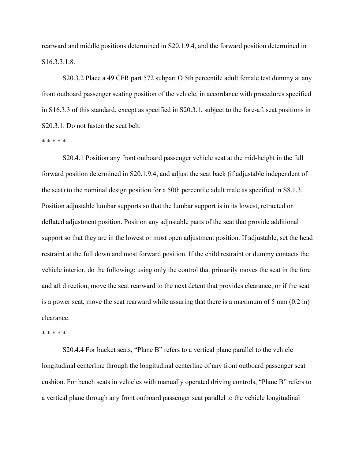rearward and middle positions determined in S20.1.9.4, and the forward position determined in S16.3.3.1.8.

 S20.3.2 Place a 49 CFR part 572 subpart O 5th percentile adult female test dummy at any front outboard passenger seating position of the vehicle, in accordance with procedures specified in S16.3.3 of this standard, except as specified in S20.3.1, subject to the fore-aft seat positions in S20.3.1. Do not fasten the seat belt.

\* \* \* \* \*

 S20.4.1 Position any front outboard passenger vehicle seat at the mid-height in the full forward position determined in S20.1.9.4, and adjust the seat back (if adjustable independent of the seat) to the nominal design position for a 50th percentile adult male as specified in S8.1.3. Position adjustable lumbar supports so that the lumbar support is in its lowest, retracted or deflated adjustment position. Position any adjustable parts of the seat that provide additional support so that they are in the lowest or most open adjustment position. If adjustable, set the head restraint at the full down and most forward position. If the child restraint or dummy contacts the vehicle interior, do the following: using only the control that primarily moves the seat in the fore and aft direction, move the seat rearward to the next detent that provides clearance; or if the seat is a power seat, move the seat rearward while assuring that there is a maximum of 5 mm (0.2 in) clearance.

#### \* \* \* \* \*

 S20.4.4 For bucket seats, "Plane B" refers to a vertical plane parallel to the vehicle longitudinal centerline through the longitudinal centerline of any front outboard passenger seat cushion. For bench seats in vehicles with manually operated driving controls, "Plane B" refers to a vertical plane through any front outboard passenger seat parallel to the vehicle longitudinal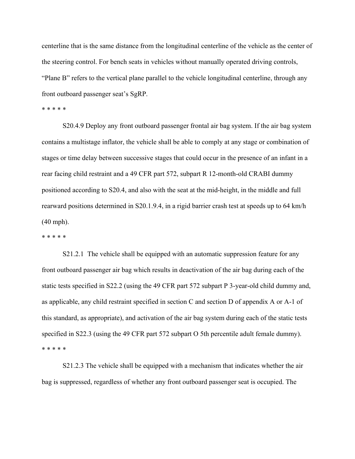centerline that is the same distance from the longitudinal centerline of the vehicle as the center of the steering control. For bench seats in vehicles without manually operated driving controls, "Plane B" refers to the vertical plane parallel to the vehicle longitudinal centerline, through any front outboard passenger seat's SgRP.

#### \* \* \* \* \*

 S20.4.9 Deploy any front outboard passenger frontal air bag system. If the air bag system contains a multistage inflator, the vehicle shall be able to comply at any stage or combination of stages or time delay between successive stages that could occur in the presence of an infant in a rear facing child restraint and a 49 CFR part 572, subpart R 12-month-old CRABI dummy positioned according to S20.4, and also with the seat at the mid-height, in the middle and full rearward positions determined in S20.1.9.4, in a rigid barrier crash test at speeds up to 64 km/h (40 mph).

#### \* \* \* \* \*

 S21.2.1 The vehicle shall be equipped with an automatic suppression feature for any front outboard passenger air bag which results in deactivation of the air bag during each of the static tests specified in S22.2 (using the 49 CFR part 572 subpart P 3-year-old child dummy and, as applicable, any child restraint specified in section C and section D of appendix A or A-1 of this standard, as appropriate), and activation of the air bag system during each of the static tests specified in S22.3 (using the 49 CFR part 572 subpart O 5th percentile adult female dummy). \* \* \* \* \*

 S21.2.3 The vehicle shall be equipped with a mechanism that indicates whether the air bag is suppressed, regardless of whether any front outboard passenger seat is occupied. The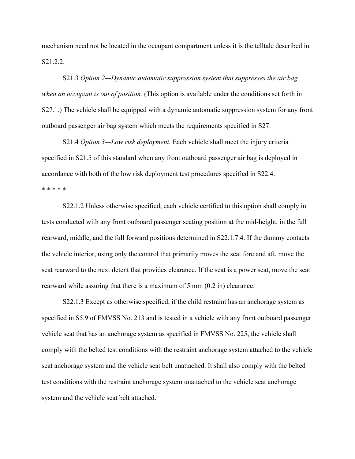mechanism need not be located in the occupant compartment unless it is the telltale described in S21.2.2.

 S21.3 *Option 2—Dynamic automatic suppression system that suppresses the air bag when an occupant is out of position.* (This option is available under the conditions set forth in S27.1.) The vehicle shall be equipped with a dynamic automatic suppression system for any front outboard passenger air bag system which meets the requirements specified in S27.

 S21.4 *Option 3—Low risk deployment.* Each vehicle shall meet the injury criteria specified in S21.5 of this standard when any front outboard passenger air bag is deployed in accordance with both of the low risk deployment test procedures specified in S22.4. \* \* \* \* \*

 S22.1.2 Unless otherwise specified, each vehicle certified to this option shall comply in tests conducted with any front outboard passenger seating position at the mid-height, in the full rearward, middle, and the full forward positions determined in S22.1.7.4. If the dummy contacts the vehicle interior, using only the control that primarily moves the seat fore and aft, move the seat rearward to the next detent that provides clearance. If the seat is a power seat, move the seat rearward while assuring that there is a maximum of 5 mm (0.2 in) clearance.

S22.1.3 Except as otherwise specified, if the child restraint has an anchorage system as specified in S5.9 of FMVSS No. 213 and is tested in a vehicle with any front outboard passenger vehicle seat that has an anchorage system as specified in FMVSS No. 225, the vehicle shall comply with the belted test conditions with the restraint anchorage system attached to the vehicle seat anchorage system and the vehicle seat belt unattached. It shall also comply with the belted test conditions with the restraint anchorage system unattached to the vehicle seat anchorage system and the vehicle seat belt attached.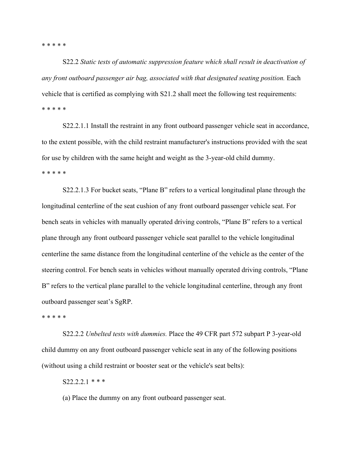\* \* \* \* \*

 S22.2 *Static tests of automatic suppression feature which shall result in deactivation of any front outboard passenger air bag, associated with that designated seating position.* Each vehicle that is certified as complying with S21.2 shall meet the following test requirements: \* \* \* \* \*

 S22.2.1.1 Install the restraint in any front outboard passenger vehicle seat in accordance, to the extent possible, with the child restraint manufacturer's instructions provided with the seat for use by children with the same height and weight as the 3-year-old child dummy. \* \* \* \* \*

 S22.2.1.3 For bucket seats, "Plane B" refers to a vertical longitudinal plane through the longitudinal centerline of the seat cushion of any front outboard passenger vehicle seat. For bench seats in vehicles with manually operated driving controls, "Plane B" refers to a vertical plane through any front outboard passenger vehicle seat parallel to the vehicle longitudinal centerline the same distance from the longitudinal centerline of the vehicle as the center of the steering control. For bench seats in vehicles without manually operated driving controls, "Plane B" refers to the vertical plane parallel to the vehicle longitudinal centerline, through any front outboard passenger seat's SgRP.

\* \* \* \* \*

 S22.2.2 *Unbelted tests with dummies.* Place the 49 CFR part 572 subpart P 3-year-old child dummy on any front outboard passenger vehicle seat in any of the following positions (without using a child restraint or booster seat or the vehicle's seat belts):

S22.2.2.1 *\* \* \**

(a) Place the dummy on any front outboard passenger seat.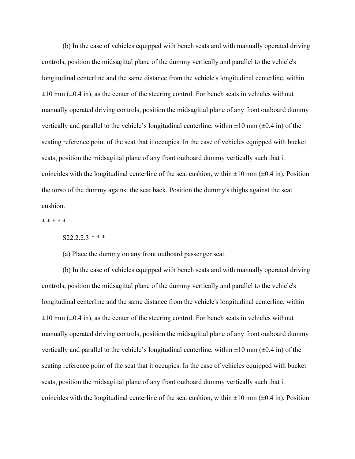(b) In the case of vehicles equipped with bench seats and with manually operated driving controls, position the midsagittal plane of the dummy vertically and parallel to the vehicle's longitudinal centerline and the same distance from the vehicle's longitudinal centerline, within  $\pm 10$  mm ( $\pm 0.4$  in), as the center of the steering control. For bench seats in vehicles without manually operated driving controls, position the midsagittal plane of any front outboard dummy vertically and parallel to the vehicle's longitudinal centerline, within  $\pm 10$  mm ( $\pm 0.4$  in) of the seating reference point of the seat that it occupies. In the case of vehicles equipped with bucket seats, position the midsagittal plane of any front outboard dummy vertically such that it coincides with the longitudinal centerline of the seat cushion, within  $\pm 10$  mm ( $\pm 0.4$  in). Position the torso of the dummy against the seat back. Position the dummy's thighs against the seat cushion.

\* \* \* \* \*

S22.2.2.3 *\* \* \**

(a) Place the dummy on any front outboard passenger seat.

 (b) In the case of vehicles equipped with bench seats and with manually operated driving controls, position the midsagittal plane of the dummy vertically and parallel to the vehicle's longitudinal centerline and the same distance from the vehicle's longitudinal centerline, within  $\pm 10$  mm ( $\pm 0.4$  in), as the center of the steering control. For bench seats in vehicles without manually operated driving controls, position the midsagittal plane of any front outboard dummy vertically and parallel to the vehicle's longitudinal centerline, within  $\pm 10$  mm ( $\pm 0.4$  in) of the seating reference point of the seat that it occupies. In the case of vehicles equipped with bucket seats, position the midsagittal plane of any front outboard dummy vertically such that it coincides with the longitudinal centerline of the seat cushion, within  $\pm 10$  mm ( $\pm 0.4$  in). Position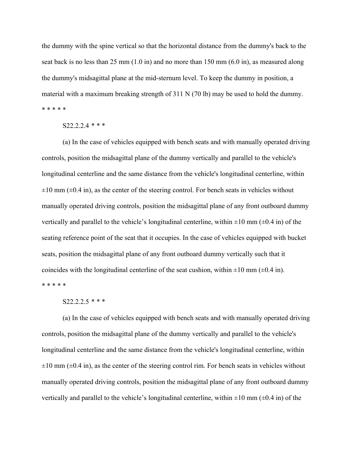the dummy with the spine vertical so that the horizontal distance from the dummy's back to the seat back is no less than 25 mm  $(1.0 \text{ in})$  and no more than 150 mm  $(6.0 \text{ in})$ , as measured along the dummy's midsagittal plane at the mid-sternum level. To keep the dummy in position, a material with a maximum breaking strength of 311 N (70 lb) may be used to hold the dummy. \* \* \* \* \*

### S22.2.2.4 *\* \* \**

 (a) In the case of vehicles equipped with bench seats and with manually operated driving controls, position the midsagittal plane of the dummy vertically and parallel to the vehicle's longitudinal centerline and the same distance from the vehicle's longitudinal centerline, within  $\pm 10$  mm ( $\pm 0.4$  in), as the center of the steering control. For bench seats in vehicles without manually operated driving controls, position the midsagittal plane of any front outboard dummy vertically and parallel to the vehicle's longitudinal centerline, within  $\pm 10$  mm ( $\pm 0.4$  in) of the seating reference point of the seat that it occupies. In the case of vehicles equipped with bucket seats, position the midsagittal plane of any front outboard dummy vertically such that it coincides with the longitudinal centerline of the seat cushion, within  $\pm 10$  mm ( $\pm 0.4$  in). \* \* \* \* \*

## S22.2.2.5 *\* \* \**

 (a) In the case of vehicles equipped with bench seats and with manually operated driving controls, position the midsagittal plane of the dummy vertically and parallel to the vehicle's longitudinal centerline and the same distance from the vehicle's longitudinal centerline, within  $\pm 10$  mm ( $\pm 0.4$  in), as the center of the steering control rim. For bench seats in vehicles without manually operated driving controls, position the midsagittal plane of any front outboard dummy vertically and parallel to the vehicle's longitudinal centerline, within  $\pm 10$  mm ( $\pm 0.4$  in) of the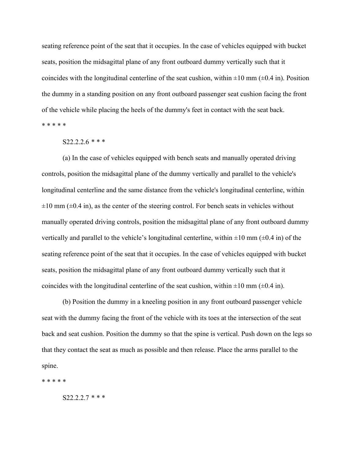seating reference point of the seat that it occupies. In the case of vehicles equipped with bucket seats, position the midsagittal plane of any front outboard dummy vertically such that it coincides with the longitudinal centerline of the seat cushion, within  $\pm 10$  mm ( $\pm 0.4$  in). Position the dummy in a standing position on any front outboard passenger seat cushion facing the front of the vehicle while placing the heels of the dummy's feet in contact with the seat back. \* \* \* \* \*

## S22.2.2.6 *\* \* \**

 (a) In the case of vehicles equipped with bench seats and manually operated driving controls, position the midsagittal plane of the dummy vertically and parallel to the vehicle's longitudinal centerline and the same distance from the vehicle's longitudinal centerline, within  $\pm 10$  mm ( $\pm 0.4$  in), as the center of the steering control. For bench seats in vehicles without manually operated driving controls, position the midsagittal plane of any front outboard dummy vertically and parallel to the vehicle's longitudinal centerline, within  $\pm 10$  mm ( $\pm 0.4$  in) of the seating reference point of the seat that it occupies. In the case of vehicles equipped with bucket seats, position the midsagittal plane of any front outboard dummy vertically such that it coincides with the longitudinal centerline of the seat cushion, within  $\pm 10$  mm ( $\pm 0.4$  in).

 (b) Position the dummy in a kneeling position in any front outboard passenger vehicle seat with the dummy facing the front of the vehicle with its toes at the intersection of the seat back and seat cushion. Position the dummy so that the spine is vertical. Push down on the legs so that they contact the seat as much as possible and then release. Place the arms parallel to the spine.

\* \* \* \* \*

S22.2.2.7 *\* \* \**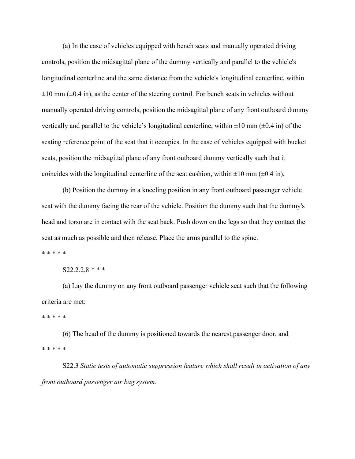(a) In the case of vehicles equipped with bench seats and manually operated driving controls, position the midsagittal plane of the dummy vertically and parallel to the vehicle's longitudinal centerline and the same distance from the vehicle's longitudinal centerline, within  $\pm 10$  mm ( $\pm 0.4$  in), as the center of the steering control. For bench seats in vehicles without manually operated driving controls, position the midsagittal plane of any front outboard dummy vertically and parallel to the vehicle's longitudinal centerline, within  $\pm 10$  mm ( $\pm 0.4$  in) of the seating reference point of the seat that it occupies. In the case of vehicles equipped with bucket seats, position the midsagittal plane of any front outboard dummy vertically such that it coincides with the longitudinal centerline of the seat cushion, within  $\pm 10$  mm ( $\pm 0.4$  in).

 (b) Position the dummy in a kneeling position in any front outboard passenger vehicle seat with the dummy facing the rear of the vehicle. Position the dummy such that the dummy's head and torso are in contact with the seat back. Push down on the legs so that they contact the seat as much as possible and then release. Place the arms parallel to the spine.

\* \* \* \* \*

S22.2.2.8 *\* \* \**

 (a) Lay the dummy on any front outboard passenger vehicle seat such that the following criteria are met:

\* \* \* \* \*

 (6) The head of the dummy is positioned towards the nearest passenger door, and \* \* \* \* \*

 S22.3 *Static tests of automatic suppression feature which shall result in activation of any front outboard passenger air bag system.*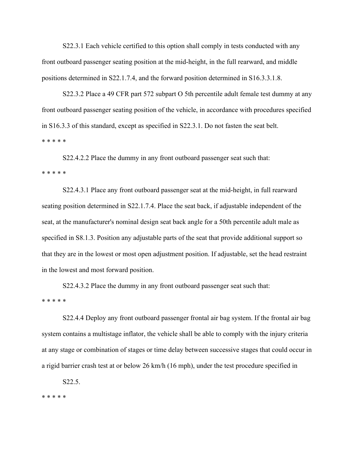S22.3.1 Each vehicle certified to this option shall comply in tests conducted with any front outboard passenger seating position at the mid-height, in the full rearward, and middle positions determined in S22.1.7.4, and the forward position determined in S16.3.3.1.8.

 S22.3.2 Place a 49 CFR part 572 subpart O 5th percentile adult female test dummy at any front outboard passenger seating position of the vehicle, in accordance with procedures specified in S16.3.3 of this standard, except as specified in S22.3.1. Do not fasten the seat belt. \* \* \* \* \*

 S22.4.2.2 Place the dummy in any front outboard passenger seat such that: \* \* \* \* \*

 S22.4.3.1 Place any front outboard passenger seat at the mid-height, in full rearward seating position determined in S22.1.7.4. Place the seat back, if adjustable independent of the seat, at the manufacturer's nominal design seat back angle for a 50th percentile adult male as specified in S8.1.3. Position any adjustable parts of the seat that provide additional support so that they are in the lowest or most open adjustment position. If adjustable, set the head restraint in the lowest and most forward position.

 S22.4.3.2 Place the dummy in any front outboard passenger seat such that: \* \* \* \* \*

 S22.4.4 Deploy any front outboard passenger frontal air bag system. If the frontal air bag system contains a multistage inflator, the vehicle shall be able to comply with the injury criteria at any stage or combination of stages or time delay between successive stages that could occur in a rigid barrier crash test at or below 26 km/h (16 mph), under the test procedure specified in

S22.5.

\* \* \* \* \*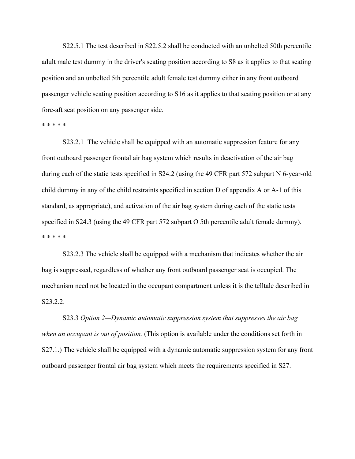S22.5.1 The test described in S22.5.2 shall be conducted with an unbelted 50th percentile adult male test dummy in the driver's seating position according to S8 as it applies to that seating position and an unbelted 5th percentile adult female test dummy either in any front outboard passenger vehicle seating position according to S16 as it applies to that seating position or at any fore-aft seat position on any passenger side.

\* \* \* \* \*

 S23.2.1 The vehicle shall be equipped with an automatic suppression feature for any front outboard passenger frontal air bag system which results in deactivation of the air bag during each of the static tests specified in S24.2 (using the 49 CFR part 572 subpart N 6-year-old child dummy in any of the child restraints specified in section D of appendix A or A-1 of this standard, as appropriate), and activation of the air bag system during each of the static tests specified in S24.3 (using the 49 CFR part 572 subpart O 5th percentile adult female dummy). \* \* \* \* \*

 S23.2.3 The vehicle shall be equipped with a mechanism that indicates whether the air bag is suppressed, regardless of whether any front outboard passenger seat is occupied. The mechanism need not be located in the occupant compartment unless it is the telltale described in S23.2.2.

 S23.3 *Option 2—Dynamic automatic suppression system that suppresses the air bag when an occupant is out of position.* (This option is available under the conditions set forth in S27.1.) The vehicle shall be equipped with a dynamic automatic suppression system for any front outboard passenger frontal air bag system which meets the requirements specified in S27.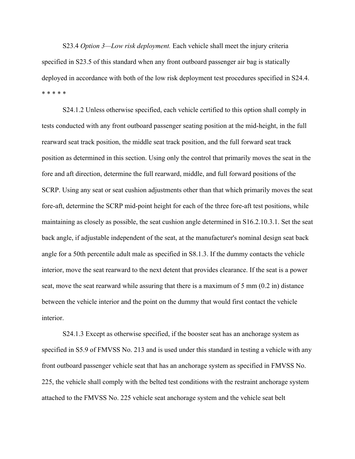S23.4 *Option 3—Low risk deployment.* Each vehicle shall meet the injury criteria specified in S23.5 of this standard when any front outboard passenger air bag is statically deployed in accordance with both of the low risk deployment test procedures specified in S24.4. \* \* \* \* \*

 S24.1.2 Unless otherwise specified, each vehicle certified to this option shall comply in tests conducted with any front outboard passenger seating position at the mid-height, in the full rearward seat track position, the middle seat track position, and the full forward seat track position as determined in this section. Using only the control that primarily moves the seat in the fore and aft direction, determine the full rearward, middle, and full forward positions of the SCRP. Using any seat or seat cushion adjustments other than that which primarily moves the seat fore-aft, determine the SCRP mid-point height for each of the three fore-aft test positions, while maintaining as closely as possible, the seat cushion angle determined in S16.2.10.3.1. Set the seat back angle, if adjustable independent of the seat, at the manufacturer's nominal design seat back angle for a 50th percentile adult male as specified in S8.1.3. If the dummy contacts the vehicle interior, move the seat rearward to the next detent that provides clearance. If the seat is a power seat, move the seat rearward while assuring that there is a maximum of 5 mm (0.2 in) distance between the vehicle interior and the point on the dummy that would first contact the vehicle interior.

 S24.1.3 Except as otherwise specified, if the booster seat has an anchorage system as specified in S5.9 of FMVSS No. 213 and is used under this standard in testing a vehicle with any front outboard passenger vehicle seat that has an anchorage system as specified in FMVSS No. 225, the vehicle shall comply with the belted test conditions with the restraint anchorage system attached to the FMVSS No. 225 vehicle seat anchorage system and the vehicle seat belt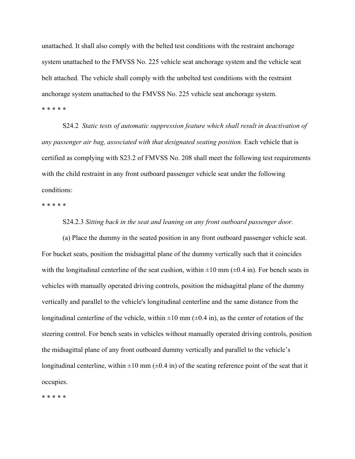unattached. It shall also comply with the belted test conditions with the restraint anchorage system unattached to the FMVSS No. 225 vehicle seat anchorage system and the vehicle seat belt attached. The vehicle shall comply with the unbelted test conditions with the restraint anchorage system unattached to the FMVSS No. 225 vehicle seat anchorage system. \* \* \* \* \*

 S24.2 *Static tests of automatic suppression feature which shall result in deactivation of any passenger air bag, associated with that designated seating position.* Each vehicle that is certified as complying with S23.2 of FMVSS No. 208 shall meet the following test requirements with the child restraint in any front outboard passenger vehicle seat under the following conditions:

\* \* \* \* \*

# S24.2.3 *Sitting back in the seat and leaning on any front outboard passenger door.*

 (a) Place the dummy in the seated position in any front outboard passenger vehicle seat. For bucket seats, position the midsagittal plane of the dummy vertically such that it coincides with the longitudinal centerline of the seat cushion, within  $\pm 10$  mm ( $\pm 0.4$  in). For bench seats in vehicles with manually operated driving controls, position the midsagittal plane of the dummy vertically and parallel to the vehicle's longitudinal centerline and the same distance from the longitudinal centerline of the vehicle, within  $\pm 10$  mm ( $\pm 0.4$  in), as the center of rotation of the steering control. For bench seats in vehicles without manually operated driving controls, position the midsagittal plane of any front outboard dummy vertically and parallel to the vehicle's longitudinal centerline, within  $\pm 10$  mm ( $\pm 0.4$  in) of the seating reference point of the seat that it occupies.

\* \* \* \* \*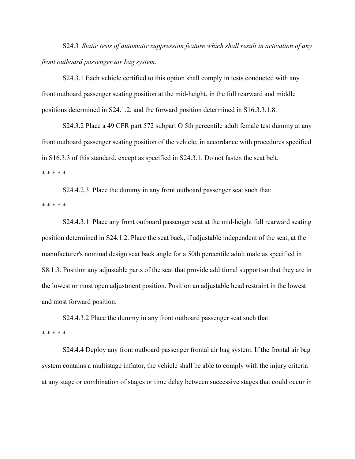S24.3 *Static tests of automatic suppression feature which shall result in activation of any front outboard passenger air bag system.*

 S24.3.1 Each vehicle certified to this option shall comply in tests conducted with any front outboard passenger seating position at the mid-height, in the full rearward and middle positions determined in S24.1.2, and the forward position determined in S16.3.3.1.8.

 S24.3.2 Place a 49 CFR part 572 subpart O 5th percentile adult female test dummy at any front outboard passenger seating position of the vehicle, in accordance with procedures specified in S16.3.3 of this standard, except as specified in S24.3.1. Do not fasten the seat belt. \* \* \* \* \*

 S24.4.2.3 Place the dummy in any front outboard passenger seat such that: \* \* \* \* \*

 S24.4.3.1 Place any front outboard passenger seat at the mid-height full rearward seating position determined in S24.1.2. Place the seat back, if adjustable independent of the seat, at the manufacturer's nominal design seat back angle for a 50th percentile adult male as specified in S8.1.3. Position any adjustable parts of the seat that provide additional support so that they are in the lowest or most open adjustment position. Position an adjustable head restraint in the lowest and most forward position.

 S24.4.3.2 Place the dummy in any front outboard passenger seat such that: \* \* \* \* \*

 S24.4.4 Deploy any front outboard passenger frontal air bag system. If the frontal air bag system contains a multistage inflator, the vehicle shall be able to comply with the injury criteria at any stage or combination of stages or time delay between successive stages that could occur in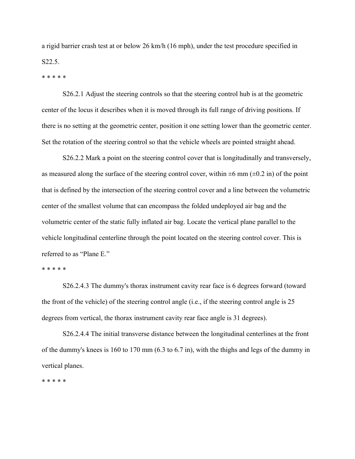a rigid barrier crash test at or below 26 km/h (16 mph), under the test procedure specified in S22.5.

\* \* \* \* \*

 S26.2.1 Adjust the steering controls so that the steering control hub is at the geometric center of the locus it describes when it is moved through its full range of driving positions. If there is no setting at the geometric center, position it one setting lower than the geometric center. Set the rotation of the steering control so that the vehicle wheels are pointed straight ahead.

S26.2.2 Mark a point on the steering control cover that is longitudinally and transversely, as measured along the surface of the steering control cover, within  $\pm 6$  mm ( $\pm 0.2$  in) of the point that is defined by the intersection of the steering control cover and a line between the volumetric center of the smallest volume that can encompass the folded undeployed air bag and the volumetric center of the static fully inflated air bag. Locate the vertical plane parallel to the vehicle longitudinal centerline through the point located on the steering control cover. This is referred to as "Plane E."

\* \* \* \* \*

 S26.2.4.3 The dummy's thorax instrument cavity rear face is 6 degrees forward (toward the front of the vehicle) of the steering control angle (i.e., if the steering control angle is 25 degrees from vertical, the thorax instrument cavity rear face angle is 31 degrees).

S26.2.4.4 The initial transverse distance between the longitudinal centerlines at the front of the dummy's knees is 160 to 170 mm (6.3 to 6.7 in), with the thighs and legs of the dummy in vertical planes.

\* \* \* \* \*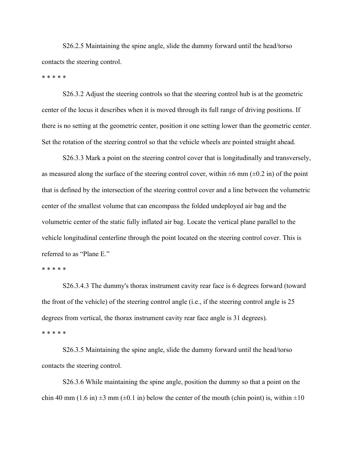S26.2.5 Maintaining the spine angle, slide the dummy forward until the head/torso contacts the steering control.

\* \* \* \* \*

 S26.3.2 Adjust the steering controls so that the steering control hub is at the geometric center of the locus it describes when it is moved through its full range of driving positions. If there is no setting at the geometric center, position it one setting lower than the geometric center. Set the rotation of the steering control so that the vehicle wheels are pointed straight ahead.

S26.3.3 Mark a point on the steering control cover that is longitudinally and transversely, as measured along the surface of the steering control cover, within  $\pm 6$  mm ( $\pm 0.2$  in) of the point that is defined by the intersection of the steering control cover and a line between the volumetric center of the smallest volume that can encompass the folded undeployed air bag and the volumetric center of the static fully inflated air bag. Locate the vertical plane parallel to the vehicle longitudinal centerline through the point located on the steering control cover. This is referred to as "Plane E."

\* \* \* \* \*

 S26.3.4.3 The dummy's thorax instrument cavity rear face is 6 degrees forward (toward the front of the vehicle) of the steering control angle (i.e., if the steering control angle is 25 degrees from vertical, the thorax instrument cavity rear face angle is 31 degrees). \* \* \* \* \*

 S26.3.5 Maintaining the spine angle, slide the dummy forward until the head/torso contacts the steering control.

 S26.3.6 While maintaining the spine angle, position the dummy so that a point on the chin 40 mm (1.6 in)  $\pm 3$  mm ( $\pm 0.1$  in) below the center of the mouth (chin point) is, within  $\pm 10$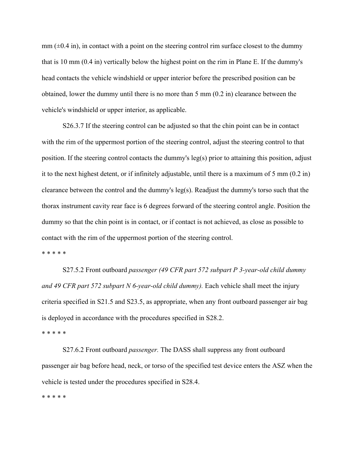$mm$  ( $\pm$ 0.4 in), in contact with a point on the steering control rim surface closest to the dummy that is 10 mm (0.4 in) vertically below the highest point on the rim in Plane E. If the dummy's head contacts the vehicle windshield or upper interior before the prescribed position can be obtained, lower the dummy until there is no more than 5 mm (0.2 in) clearance between the vehicle's windshield or upper interior, as applicable.

 S26.3.7 If the steering control can be adjusted so that the chin point can be in contact with the rim of the uppermost portion of the steering control, adjust the steering control to that position. If the steering control contacts the dummy's leg(s) prior to attaining this position, adjust it to the next highest detent, or if infinitely adjustable, until there is a maximum of 5 mm (0.2 in) clearance between the control and the dummy's leg(s). Readjust the dummy's torso such that the thorax instrument cavity rear face is 6 degrees forward of the steering control angle. Position the dummy so that the chin point is in contact, or if contact is not achieved, as close as possible to contact with the rim of the uppermost portion of the steering control.

\* \* \* \* \*

 S27.5.2 Front outboard *passenger (49 CFR part 572 subpart P 3-year-old child dummy and 49 CFR part 572 subpart N 6-year-old child dummy).* Each vehicle shall meet the injury criteria specified in S21.5 and S23.5, as appropriate, when any front outboard passenger air bag is deployed in accordance with the procedures specified in S28.2.

\* \* \* \* \*

 S27.6.2 Front outboard *passenger.* The DASS shall suppress any front outboard passenger air bag before head, neck, or torso of the specified test device enters the ASZ when the vehicle is tested under the procedures specified in S28.4.

\* \* \* \* \*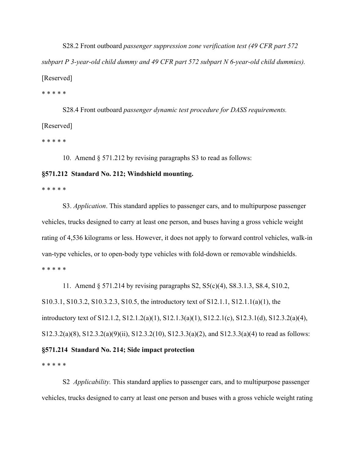S28.2 Front outboard *passenger suppression zone verification test (49 CFR part 572 subpart P 3-year-old child dummy and 49 CFR part 572 subpart N 6-year-old child dummies).* [Reserved]

\* \* \* \* \*

 S28.4 Front outboard *passenger dynamic test procedure for DASS requirements.* [Reserved]

\* \* \* \* \*

10. Amend § 571.212 by revising paragraphs S3 to read as follows:

# **§571.212 Standard No. 212; Windshield mounting.**

\* \* \* \* \*

 S3. *Application*. This standard applies to passenger cars, and to multipurpose passenger vehicles, trucks designed to carry at least one person, and buses having a gross vehicle weight rating of 4,536 kilograms or less. However, it does not apply to forward control vehicles, walk-in van-type vehicles, or to open-body type vehicles with fold-down or removable windshields. \* \* \* \* \*

 11. Amend § 571.214 by revising paragraphs S2, S5(c)(4), S8.3.1.3, S8.4, S10.2, S10.3.1, S10.3.2, S10.3.2.3, S10.5, the introductory text of S12.1.1, S12.1.1(a)(1), the introductory text of S12.1.2, S12.1.2(a)(1), S12.1.3(a)(1), S12.2.1(c), S12.3.1(d), S12.3.2(a)(4), S12.3.2(a)(8), S12.3.2(a)(9)(ii), S12.3.2(10), S12.3.3(a)(2), and S12.3.3(a)(4) to read as follows: **§571.214 Standard No. 214; Side impact protection** 

\* \* \* \* \*

 S2 *Applicability.* This standard applies to passenger cars, and to multipurpose passenger vehicles, trucks designed to carry at least one person and buses with a gross vehicle weight rating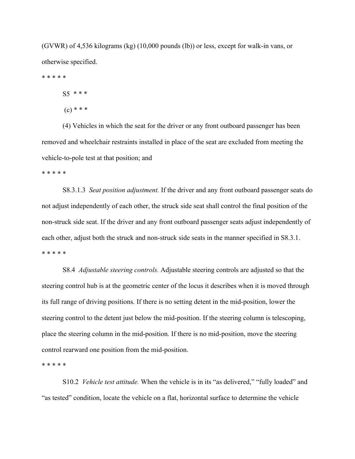(GVWR) of 4,536 kilograms (kg) (10,000 pounds (lb)) or less, except for walk-in vans, or otherwise specified.

\* \* \* \* \*

S5 \* \* \*

 $(c) * * *$ 

 (4) Vehicles in which the seat for the driver or any front outboard passenger has been removed and wheelchair restraints installed in place of the seat are excluded from meeting the vehicle-to-pole test at that position; and

\* \* \* \* \*

 S8.3.1.3 *Seat position adjustment.* If the driver and any front outboard passenger seats do not adjust independently of each other, the struck side seat shall control the final position of the non-struck side seat. If the driver and any front outboard passenger seats adjust independently of each other, adjust both the struck and non-struck side seats in the manner specified in S8.3.1. \* \* \* \* \*

 S8.4 *Adjustable steering controls.* Adjustable steering controls are adjusted so that the steering control hub is at the geometric center of the locus it describes when it is moved through its full range of driving positions. If there is no setting detent in the mid-position, lower the steering control to the detent just below the mid-position. If the steering column is telescoping, place the steering column in the mid-position. If there is no mid-position, move the steering control rearward one position from the mid-position.

\* \* \* \* \*

 S10.2 *Vehicle test attitude.* When the vehicle is in its "as delivered," "fully loaded" and "as tested" condition, locate the vehicle on a flat, horizontal surface to determine the vehicle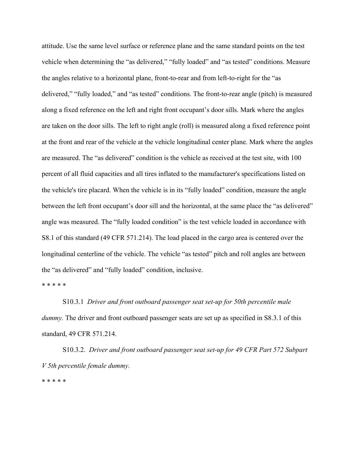attitude. Use the same level surface or reference plane and the same standard points on the test vehicle when determining the "as delivered," "fully loaded" and "as tested" conditions. Measure the angles relative to a horizontal plane, front-to-rear and from left-to-right for the "as delivered," "fully loaded," and "as tested" conditions. The front-to-rear angle (pitch) is measured along a fixed reference on the left and right front occupant's door sills. Mark where the angles are taken on the door sills. The left to right angle (roll) is measured along a fixed reference point at the front and rear of the vehicle at the vehicle longitudinal center plane. Mark where the angles are measured. The "as delivered" condition is the vehicle as received at the test site, with 100 percent of all fluid capacities and all tires inflated to the manufacturer's specifications listed on the vehicle's tire placard. When the vehicle is in its "fully loaded" condition, measure the angle between the left front occupant's door sill and the horizontal, at the same place the "as delivered" angle was measured. The "fully loaded condition" is the test vehicle loaded in accordance with S8.1 of this standard (49 CFR 571.214). The load placed in the cargo area is centered over the longitudinal centerline of the vehicle. The vehicle "as tested" pitch and roll angles are between the "as delivered" and "fully loaded" condition, inclusive.

\* \* \* \* \*

 S10.3.1 *Driver and front outboard passenger seat set-up for 50th percentile male dummy*. The driver and front outboard passenger seats are set up as specified in S8.3.1 of this standard, 49 CFR 571.214.

 S10.3.2. *Driver and front outboard passenger seat set-up for 49 CFR Part 572 Subpart V 5th percentile female dummy.*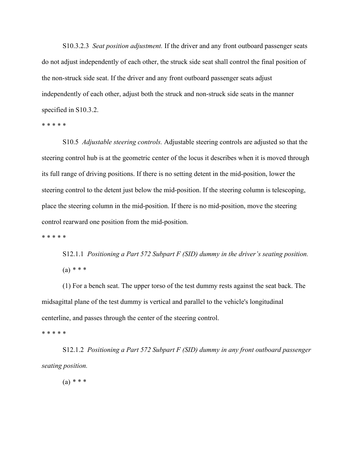S10.3.2.3 *Seat position adjustment.* If the driver and any front outboard passenger seats do not adjust independently of each other, the struck side seat shall control the final position of the non-struck side seat. If the driver and any front outboard passenger seats adjust independently of each other, adjust both the struck and non-struck side seats in the manner specified in S10.3.2.

\* \* \* \* \*

 S10.5 *Adjustable steering controls.* Adjustable steering controls are adjusted so that the steering control hub is at the geometric center of the locus it describes when it is moved through its full range of driving positions. If there is no setting detent in the mid-position, lower the steering control to the detent just below the mid-position. If the steering column is telescoping, place the steering column in the mid-position. If there is no mid-position, move the steering control rearward one position from the mid-position.

\* \* \* \* \*

 S12.1.1 *Positioning a Part 572 Subpart F (SID) dummy in the driver's seating position.* (a) *\* \* \** 

 (1) For a bench seat. The upper torso of the test dummy rests against the seat back. The midsagittal plane of the test dummy is vertical and parallel to the vehicle's longitudinal centerline, and passes through the center of the steering control.

\* \* \* \* \*

 S12.1.2 *Positioning a Part 572 Subpart F (SID) dummy in any front outboard passenger seating position.* 

(a) *\* \* \**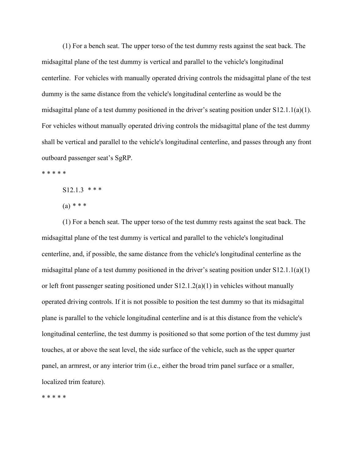(1) For a bench seat. The upper torso of the test dummy rests against the seat back. The midsagittal plane of the test dummy is vertical and parallel to the vehicle's longitudinal centerline. For vehicles with manually operated driving controls the midsagittal plane of the test dummy is the same distance from the vehicle's longitudinal centerline as would be the midsagittal plane of a test dummy positioned in the driver's seating position under S12.1.1(a)(1). For vehicles without manually operated driving controls the midsagittal plane of the test dummy shall be vertical and parallel to the vehicle's longitudinal centerline, and passes through any front outboard passenger seat's SgRP.

\* \* \* \* \*

S12.1.3 *\* \* \** 

(a) *\* \* \** 

 (1) For a bench seat. The upper torso of the test dummy rests against the seat back. The midsagittal plane of the test dummy is vertical and parallel to the vehicle's longitudinal centerline, and, if possible, the same distance from the vehicle's longitudinal centerline as the midsagittal plane of a test dummy positioned in the driver's seating position under S12.1.1(a)(1) or left front passenger seating positioned under  $S12.1.2(a)(1)$  in vehicles without manually operated driving controls. If it is not possible to position the test dummy so that its midsagittal plane is parallel to the vehicle longitudinal centerline and is at this distance from the vehicle's longitudinal centerline, the test dummy is positioned so that some portion of the test dummy just touches, at or above the seat level, the side surface of the vehicle, such as the upper quarter panel, an armrest, or any interior trim (i.e., either the broad trim panel surface or a smaller, localized trim feature).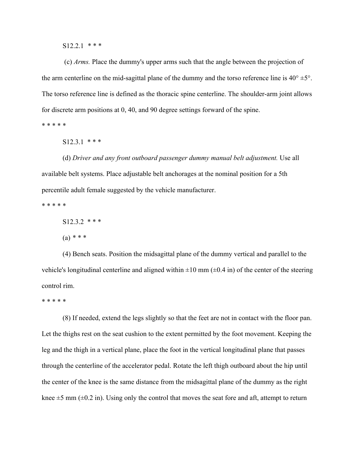S12.2.1 *\* \* \** 

 (c) *Arms.* Place the dummy's upper arms such that the angle between the projection of the arm centerline on the mid-sagittal plane of the dummy and the torso reference line is  $40^{\circ} \pm 5^{\circ}$ . The torso reference line is defined as the thoracic spine centerline. The shoulder-arm joint allows for discrete arm positions at 0, 40, and 90 degree settings forward of the spine.

\* \* \* \* \*

 $S12.3.1$  \* \* \*

 (d) *Driver and any front outboard passenger dummy manual belt adjustment.* Use all available belt systems. Place adjustable belt anchorages at the nominal position for a 5th percentile adult female suggested by the vehicle manufacturer.

\* \* \* \* \*

S12.3.2 \* \* \*

(a) *\* \* \** 

 (4) Bench seats. Position the midsagittal plane of the dummy vertical and parallel to the vehicle's longitudinal centerline and aligned within  $\pm 10$  mm ( $\pm 0.4$  in) of the center of the steering control rim.

\* \* \* \* \*

 (8) If needed, extend the legs slightly so that the feet are not in contact with the floor pan. Let the thighs rest on the seat cushion to the extent permitted by the foot movement. Keeping the leg and the thigh in a vertical plane, place the foot in the vertical longitudinal plane that passes through the centerline of the accelerator pedal. Rotate the left thigh outboard about the hip until the center of the knee is the same distance from the midsagittal plane of the dummy as the right knee  $\pm$ 5 mm ( $\pm$ 0.2 in). Using only the control that moves the seat fore and aft, attempt to return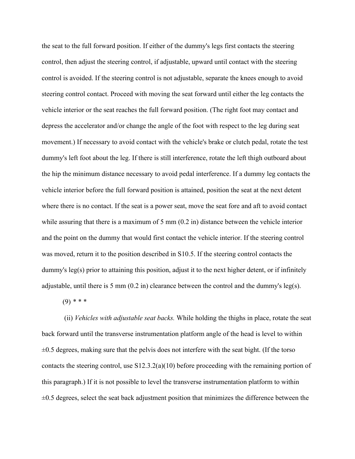the seat to the full forward position. If either of the dummy's legs first contacts the steering control, then adjust the steering control, if adjustable, upward until contact with the steering control is avoided. If the steering control is not adjustable, separate the knees enough to avoid steering control contact. Proceed with moving the seat forward until either the leg contacts the vehicle interior or the seat reaches the full forward position. (The right foot may contact and depress the accelerator and/or change the angle of the foot with respect to the leg during seat movement.) If necessary to avoid contact with the vehicle's brake or clutch pedal, rotate the test dummy's left foot about the leg. If there is still interference, rotate the left thigh outboard about the hip the minimum distance necessary to avoid pedal interference. If a dummy leg contacts the vehicle interior before the full forward position is attained, position the seat at the next detent where there is no contact. If the seat is a power seat, move the seat fore and aft to avoid contact while assuring that there is a maximum of 5 mm  $(0.2 \text{ in})$  distance between the vehicle interior and the point on the dummy that would first contact the vehicle interior. If the steering control was moved, return it to the position described in S10.5. If the steering control contacts the dummy's leg(s) prior to attaining this position, adjust it to the next higher detent, or if infinitely adjustable, until there is 5 mm  $(0.2 \text{ in})$  clearance between the control and the dummy's leg(s).

(9) *\* \* \**

 (ii) *Vehicles with adjustable seat backs.* While holding the thighs in place, rotate the seat back forward until the transverse instrumentation platform angle of the head is level to within  $\pm 0.5$  degrees, making sure that the pelvis does not interfere with the seat bight. (If the torso contacts the steering control, use S12.3.2(a)(10) before proceeding with the remaining portion of this paragraph.) If it is not possible to level the transverse instrumentation platform to within  $\pm 0.5$  degrees, select the seat back adjustment position that minimizes the difference between the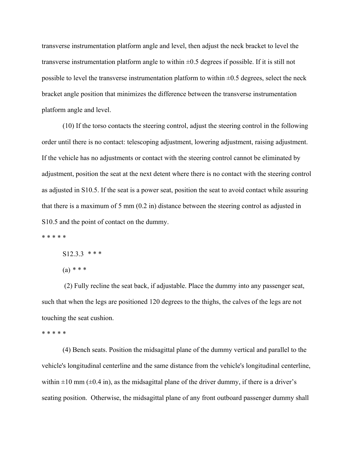transverse instrumentation platform angle and level, then adjust the neck bracket to level the transverse instrumentation platform angle to within  $\pm 0.5$  degrees if possible. If it is still not possible to level the transverse instrumentation platform to within  $\pm 0.5$  degrees, select the neck bracket angle position that minimizes the difference between the transverse instrumentation platform angle and level.

 (10) If the torso contacts the steering control, adjust the steering control in the following order until there is no contact: telescoping adjustment, lowering adjustment, raising adjustment. If the vehicle has no adjustments or contact with the steering control cannot be eliminated by adjustment, position the seat at the next detent where there is no contact with the steering control as adjusted in S10.5. If the seat is a power seat, position the seat to avoid contact while assuring that there is a maximum of 5 mm (0.2 in) distance between the steering control as adjusted in S10.5 and the point of contact on the dummy.

\* \* \* \* \*

S12.3.3 *\* \* \** 

(a) *\* \* \** 

 (2) Fully recline the seat back, if adjustable. Place the dummy into any passenger seat, such that when the legs are positioned 120 degrees to the thighs, the calves of the legs are not touching the seat cushion.

\* \* \* \* \*

 (4) Bench seats. Position the midsagittal plane of the dummy vertical and parallel to the vehicle's longitudinal centerline and the same distance from the vehicle's longitudinal centerline, within  $\pm 10$  mm ( $\pm 0.4$  in), as the midsagittal plane of the driver dummy, if there is a driver's seating position. Otherwise, the midsagittal plane of any front outboard passenger dummy shall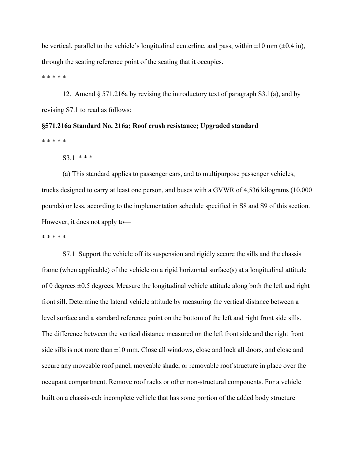be vertical, parallel to the vehicle's longitudinal centerline, and pass, within  $\pm 10$  mm ( $\pm 0.4$  in), through the seating reference point of the seating that it occupies.

\* \* \* \* \*

 12. Amend § 571.216a by revising the introductory text of paragraph S3.1(a), and by revising S7.1 to read as follows:

**§571.216a Standard No. 216a; Roof crush resistance; Upgraded standard**  \* \* \* \* \*

 $S3.1$  \* \* \*

 (a) This standard applies to passenger cars, and to multipurpose passenger vehicles, trucks designed to carry at least one person, and buses with a GVWR of 4,536 kilograms (10,000 pounds) or less, according to the implementation schedule specified in S8 and S9 of this section. However, it does not apply to—

\* \* \* \* \*

 S7.1 Support the vehicle off its suspension and rigidly secure the sills and the chassis frame (when applicable) of the vehicle on a rigid horizontal surface(s) at a longitudinal attitude of 0 degrees  $\pm 0.5$  degrees. Measure the longitudinal vehicle attitude along both the left and right front sill. Determine the lateral vehicle attitude by measuring the vertical distance between a level surface and a standard reference point on the bottom of the left and right front side sills. The difference between the vertical distance measured on the left front side and the right front side sills is not more than  $\pm 10$  mm. Close all windows, close and lock all doors, and close and secure any moveable roof panel, moveable shade, or removable roof structure in place over the occupant compartment. Remove roof racks or other non-structural components. For a vehicle built on a chassis-cab incomplete vehicle that has some portion of the added body structure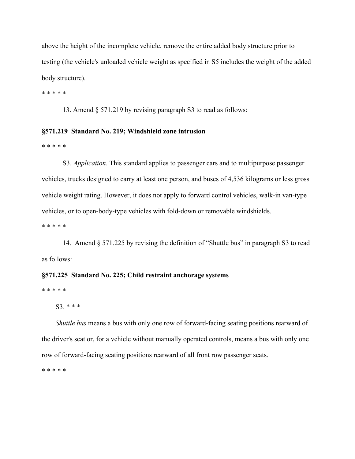above the height of the incomplete vehicle, remove the entire added body structure prior to testing (the vehicle's unloaded vehicle weight as specified in S5 includes the weight of the added body structure).

\* \* \* \* \*

13. Amend § 571.219 by revising paragraph S3 to read as follows:

## **§571.219 Standard No. 219; Windshield zone intrusion**

\* \* \* \* \*

 S3. *Application*. This standard applies to passenger cars and to multipurpose passenger vehicles, trucks designed to carry at least one person, and buses of 4,536 kilograms or less gross vehicle weight rating. However, it does not apply to forward control vehicles, walk-in van-type vehicles, or to open-body-type vehicles with fold-down or removable windshields.

\* \* \* \* \*

 14. Amend § 571.225 by revising the definition of "Shuttle bus" in paragraph S3 to read as follows:

## **§571.225 Standard No. 225; Child restraint anchorage systems**

\* \* \* \* \*

S3. \* \* \*

*Shuttle bus* means a bus with only one row of forward-facing seating positions rearward of the driver's seat or, for a vehicle without manually operated controls, means a bus with only one row of forward-facing seating positions rearward of all front row passenger seats.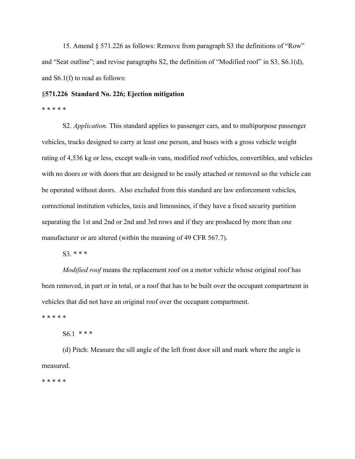15. Amend § 571.226 as follows: Remove from paragraph S3 the definitions of "Row" and "Seat outline"; and revise paragraphs S2, the definition of "Modified roof" in S3, S6.1(d), and S6.1(f) to read as follows:

## §**571.226 Standard No. 226; Ejection mitigation**

## \* \* \* \* \*

 S2. *Application.* This standard applies to passenger cars, and to multipurpose passenger vehicles, trucks designed to carry at least one person, and buses with a gross vehicle weight rating of 4,536 kg or less, except walk-in vans, modified roof vehicles, convertibles, and vehicles with no doors or with doors that are designed to be easily attached or removed so the vehicle can be operated without doors. Also excluded from this standard are law enforcement vehicles, correctional institution vehicles, taxis and limousines, if they have a fixed security partition separating the 1st and 2nd or 2nd and 3rd rows and if they are produced by more than one manufacturer or are altered (within the meaning of 49 CFR 567.7).

S3. \* \* \*

 *Modified roof* means the replacement roof on a motor vehicle whose original roof has been removed, in part or in total, or a roof that has to be built over the occupant compartment in vehicles that did not have an original roof over the occupant compartment.

\* \* \* \* \*

S6.1 \* \* \*

 (d) Pitch: Measure the sill angle of the left front door sill and mark where the angle is measured.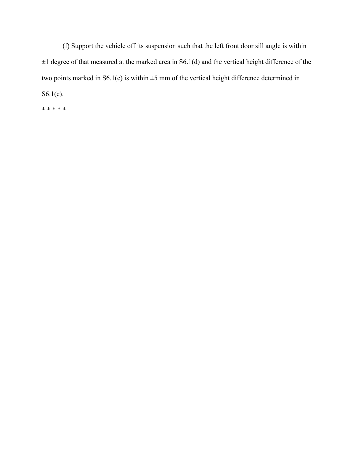(f) Support the vehicle off its suspension such that the left front door sill angle is within  $\pm 1$  degree of that measured at the marked area in S6.1(d) and the vertical height difference of the two points marked in  $S6.1(e)$  is within  $\pm 5$  mm of the vertical height difference determined in S6.1(e).